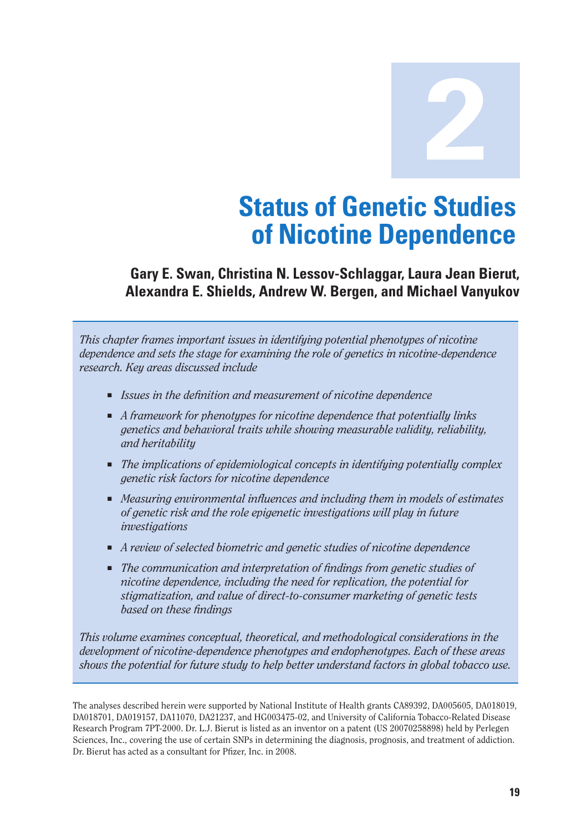**2**

# **Status of Genetic Studies of Nicotine Dependence**

#### **Gary E. Swan, Christina N. Lessov-Schlaggar, Laura Jean Bierut, Alexandra E. Shields, Andrew W. Bergen, and Michael Vanyukov**

*This chapter frames important issues in identifying potential phenotypes of nicotine dependence and sets the stage for examining the role of genetics in nicotine-dependence research. Key areas discussed include* 

- *Issues in the definition and measurement of nicotine dependence*
- *A framework for phenotypes for nicotine dependence that potentially links genetics and behavioral traits while showing measurable validity, reliability, and heritability*
- The *implications of epidemiological concepts in identifying potentially complex genetic risk factors for nicotine dependence*
- *Measuring environmental influences and including them in models of estimates of genetic risk and the role epigenetic investigations will play in future investigations*
- *A review of selected biometric and genetic studies of nicotine dependence*
- The communication and interpretation of findings from genetic studies of *nicotine dependence, including the need for replication, the potential for stigmatization, and value of direct-to-consumer marketing of genetic tests based on these findings*

*This volume examines conceptual, theoretical, and methodological considerations in the development of nicotine-dependence phenotypes and endophenotypes. Each of these areas shows the potential for future study to help better understand factors in global tobacco use.* 

The analyses described herein were supported by National Institute of Health grants CA89392, DA005605, DA018019, DA018701, DA019157, DA11070, DA21237, and HG003475-02, and University of California Tobacco-Related Disease Research Program 7PT-2000. Dr. L.J. Bierut is listed as an inventor on a patent (US 20070258898) held by Perlegen Sciences, Inc., covering the use of certain SNPs in determining the diagnosis, prognosis, and treatment of addiction. Dr. Bierut has acted as a consultant for Pfizer, Inc. in 2008.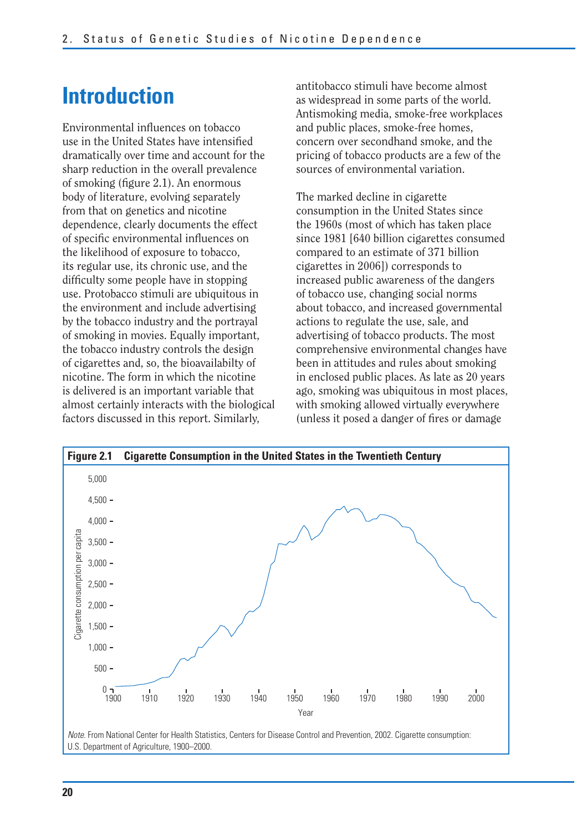## **Introduction**

Environmental influences on tobacco use in the United States have intensified dramatically over time and account for the sharp reduction in the overall prevalence of smoking (figure 2.1). An enormous body of literature, evolving separately from that on genetics and nicotine dependence, clearly documents the effect of specific environmental influences on the likelihood of exposure to tobacco, its regular use, its chronic use, and the difficulty some people have in stopping use. Protobacco stimuli are ubiquitous in the environment and include advertising by the tobacco industry and the portrayal of smoking in movies. Equally important, the tobacco industry controls the design of cigarettes and, so, the bioavailabilty of nicotine. The form in which the nicotine is delivered is an important variable that almost certainly interacts with the biological factors discussed in this report. Similarly,

antitobacco stimuli have become almost as widespread in some parts of the world. Antismoking media, smoke-free workplaces and public places, smoke-free homes, concern over secondhand smoke, and the pricing of tobacco products are a few of the sources of environmental variation.

The marked decline in cigarette consumption in the United States since the 1960s (most of which has taken place since 1981 [640 billion cigarettes consumed compared to an estimate of 371 billion cigarettes in 2006]) corresponds to increased public awareness of the dangers of tobacco use, changing social norms about tobacco, and increased governmental actions to regulate the use, sale, and advertising of tobacco products. The most comprehensive environmental changes have been in attitudes and rules about smoking in enclosed public places. As late as 20 years ago, smoking was ubiquitous in most places, with smoking allowed virtually everywhere (unless it posed a danger of fires or damage

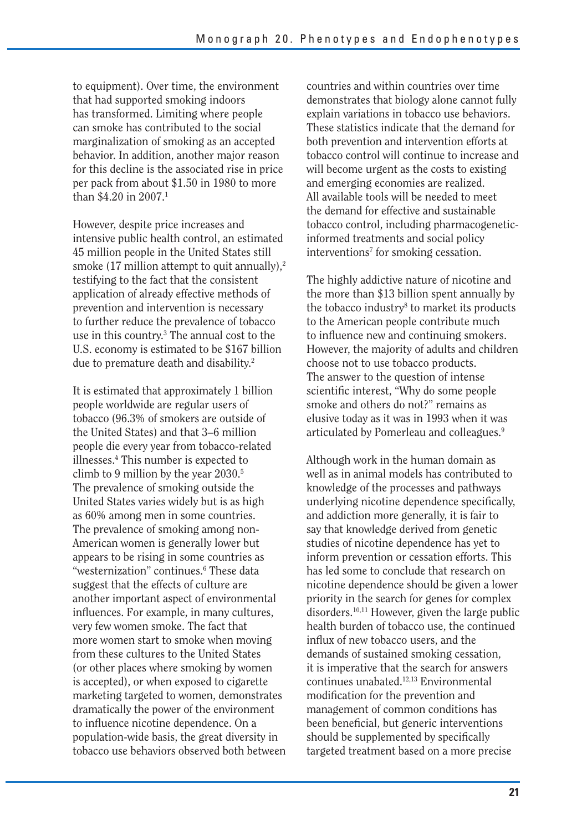to equipment). Over time, the environment that had supported smoking indoors has transformed. Limiting where people can smoke has contributed to the social marginalization of smoking as an accepted behavior. In addition, another major reason for this decline is the associated rise in price per pack from about \$1.50 in 1980 to more than  $$4.20$  in  $2007$ <sup>1</sup>

However, despite price increases and intensive public health control, an estimated 45 million people in the United States still smoke  $(17 \text{ million attempt to quit annually})$ ,<sup>2</sup> testifying to the fact that the consistent application of already effective methods of prevention and intervention is necessary to further reduce the prevalence of tobacco use in this country.3 The annual cost to the U.S. economy is estimated to be \$167 billion due to premature death and disability.2

It is estimated that approximately 1 billion people worldwide are regular users of tobacco (96.3% of smokers are outside of the United States) and that 3–6 million people die every year from tobacco-related illnesses.4 This number is expected to climb to 9 million by the year 2030.5 The prevalence of smoking outside the United States varies widely but is as high as 60% among men in some countries. The prevalence of smoking among non-American women is generally lower but appears to be rising in some countries as "westernization" continues.<sup>6</sup> These data suggest that the effects of culture are another important aspect of environmental influences. For example, in many cultures, very few women smoke. The fact that more women start to smoke when moving from these cultures to the United States (or other places where smoking by women is accepted), or when exposed to cigarette marketing targeted to women, demonstrates dramatically the power of the environment to influence nicotine dependence. On a population-wide basis, the great diversity in tobacco use behaviors observed both between countries and within countries over time demonstrates that biology alone cannot fully explain variations in tobacco use behaviors. These statistics indicate that the demand for both prevention and intervention efforts at tobacco control will continue to increase and will become urgent as the costs to existing and emerging economies are realized. All available tools will be needed to meet the demand for effective and sustainable tobacco control, including pharmacogeneticinformed treatments and social policy interventions<sup>7</sup> for smoking cessation.

The highly addictive nature of nicotine and the more than \$13 billion spent annually by the tobacco industry<sup>8</sup> to market its products to the American people contribute much to influence new and continuing smokers. However, the majority of adults and children choose not to use tobacco products. The answer to the question of intense scientific interest, "Why do some people smoke and others do not?" remains as elusive today as it was in 1993 when it was articulated by Pomerleau and colleagues.9

Although work in the human domain as well as in animal models has contributed to knowledge of the processes and pathways underlying nicotine dependence specifically, and addiction more generally, it is fair to say that knowledge derived from genetic studies of nicotine dependence has yet to inform prevention or cessation efforts. This has led some to conclude that research on nicotine dependence should be given a lower priority in the search for genes for complex disorders.10,11 However, given the large public health burden of tobacco use, the continued influx of new tobacco users, and the demands of sustained smoking cessation, it is imperative that the search for answers continues unabated.12,13 Environmental modification for the prevention and management of common conditions has been beneficial, but generic interventions should be supplemented by specifically targeted treatment based on a more precise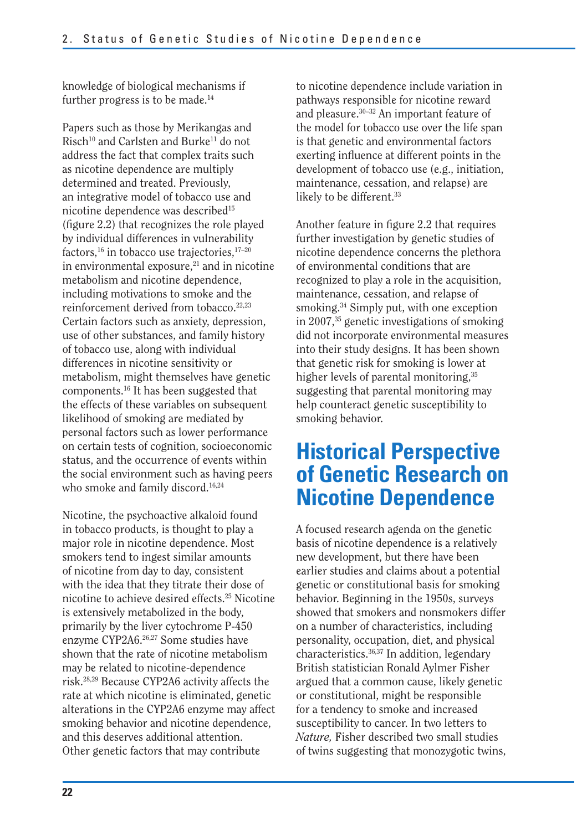knowledge of biological mechanisms if further progress is to be made.<sup>14</sup>

Papers such as those by Merikangas and Risch<sup>10</sup> and Carlsten and Burke<sup>11</sup> do not address the fact that complex traits such as nicotine dependence are multiply determined and treated. Previously, an integrative model of tobacco use and nicotine dependence was described<sup>15</sup> (figure 2.2) that recognizes the role played by individual differences in vulnerability factors, $16$  in tobacco use trajectories, $17-20$ in environmental exposure, $21$  and in nicotine metabolism and nicotine dependence, including motivations to smoke and the reinforcement derived from tobacco.<sup>22,23</sup> Certain factors such as anxiety, depression, use of other substances, and family history of tobacco use, along with individual differences in nicotine sensitivity or metabolism, might themselves have genetic components.16 It has been suggested that the effects of these variables on subsequent likelihood of smoking are mediated by personal factors such as lower performance on certain tests of cognition, socioeconomic status, and the occurrence of events within the social environment such as having peers who smoke and family discord.<sup>16,24</sup>

Nicotine, the psychoactive alkaloid found in tobacco products, is thought to play a major role in nicotine dependence. Most smokers tend to ingest similar amounts of nicotine from day to day, consistent with the idea that they titrate their dose of nicotine to achieve desired effects.25 Nicotine is extensively metabolized in the body, primarily by the liver cytochrome P-450 enzyme CYP2A6.26,27 Some studies have shown that the rate of nicotine metabolism may be related to nicotine-dependence risk.28,29 Because CYP2A6 activity affects the rate at which nicotine is eliminated, genetic alterations in the CYP2A6 enzyme may affect smoking behavior and nicotine dependence, and this deserves additional attention. Other genetic factors that may contribute

to nicotine dependence include variation in pathways responsible for nicotine reward and pleasure.30–32 An important feature of the model for tobacco use over the life span is that genetic and environmental factors exerting influence at different points in the development of tobacco use (e.g., initiation, maintenance, cessation, and relapse) are likely to be different.<sup>33</sup>

Another feature in figure 2.2 that requires further investigation by genetic studies of nicotine dependence concerns the plethora of environmental conditions that are recognized to play a role in the acquisition, maintenance, cessation, and relapse of smoking.34 Simply put, with one exception in 2007,35 genetic investigations of smoking did not incorporate environmental measures into their study designs. It has been shown that genetic risk for smoking is lower at higher levels of parental monitoring,<sup>35</sup> suggesting that parental monitoring may help counteract genetic susceptibility to smoking behavior.

### **Historical Perspective of Genetic Research on Nicotine Dependence**

A focused research agenda on the genetic basis of nicotine dependence is a relatively new development, but there have been earlier studies and claims about a potential genetic or constitutional basis for smoking behavior. Beginning in the 1950s, surveys showed that smokers and nonsmokers differ on a number of characteristics, including personality, occupation, diet, and physical characteristics.36,37 In addition, legendary British statistician Ronald Aylmer Fisher argued that a common cause, likely genetic or constitutional, might be responsible for a tendency to smoke and increased susceptibility to cancer. In two letters to *Nature,* Fisher described two small studies of twins suggesting that monozygotic twins,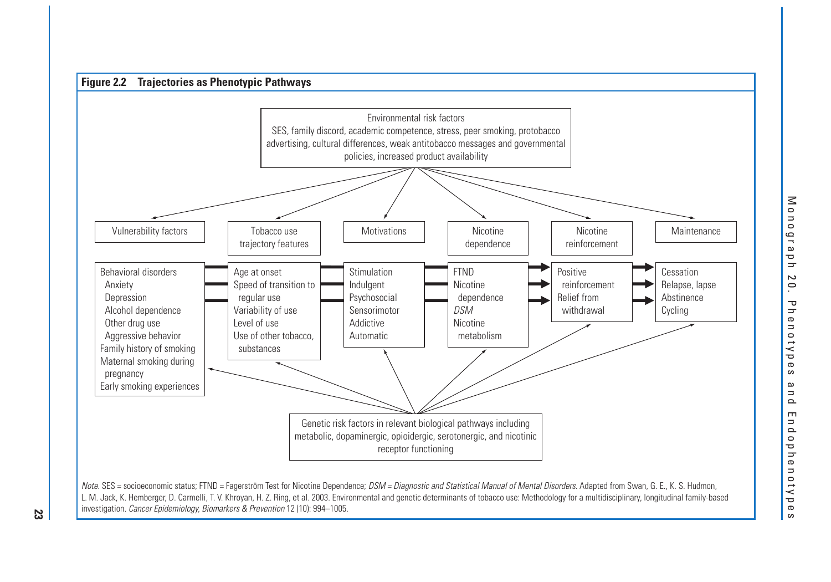

Note. SES = socioeconomic status; FTND = Fagerström Test for Nicotine Dependence; DSM = Diagnostic and Statistical Manual of Mental Disorders. Adapted from Swan, G. E., K. S. Hudmon, L. M. Jack, K. Hemberger, D. Carmelli, T. V. Khroyan, H. Z. Ring, et al. 2003. Environmental and genetic determinants of tobacco use: Methodology for a multidisciplinary, longitudinal family-based investigation. Cancer Epidemiology, Biomarkers & Prevention 12 (10): 994–1005.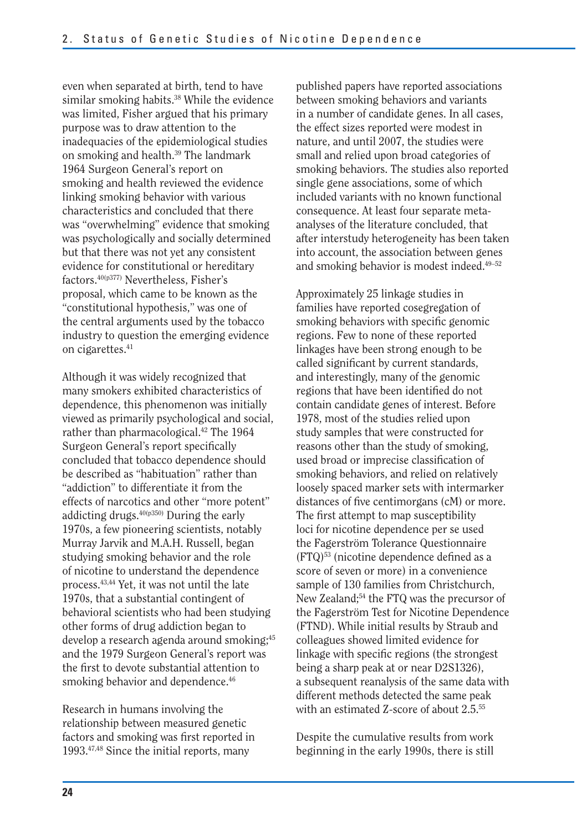even when separated at birth, tend to have similar smoking habits.<sup>38</sup> While the evidence was limited, Fisher argued that his primary purpose was to draw attention to the inadequacies of the epidemiological studies on smoking and health.<sup>39</sup> The landmark 1964 Surgeon General's report on smoking and health reviewed the evidence linking smoking behavior with various characteristics and concluded that there was "overwhelming" evidence that smoking was psychologically and socially determined but that there was not yet any consistent evidence for constitutional or hereditary factors.40(p377) Nevertheless, Fisher's proposal, which came to be known as the "constitutional hypothesis," was one of the central arguments used by the tobacco industry to question the emerging evidence on cigarettes.<sup>41</sup>

Although it was widely recognized that many smokers exhibited characteristics of dependence, this phenomenon was initially viewed as primarily psychological and social, rather than pharmacological.<sup>42</sup> The 1964 Surgeon General's report specifically concluded that tobacco dependence should be described as "habituation" rather than "addiction" to differentiate it from the effects of narcotics and other "more potent" addicting drugs. $40(p350)$  During the early 1970s, a few pioneering scientists, notably Murray Jarvik and M.A.H. Russell, began studying smoking behavior and the role of nicotine to understand the dependence process.43,44 Yet, it was not until the late 1970s, that a substantial contingent of behavioral scientists who had been studying other forms of drug addiction began to develop a research agenda around smoking;<sup>45</sup> and the 1979 Surgeon General's report was the first to devote substantial attention to smoking behavior and dependence.<sup>46</sup>

Research in humans involving the relationship between measured genetic factors and smoking was first reported in 1993.47,48 Since the initial reports, many

published papers have reported associations between smoking behaviors and variants in a number of candidate genes. In all cases, the effect sizes reported were modest in nature, and until 2007, the studies were small and relied upon broad categories of smoking behaviors. The studies also reported single gene associations, some of which included variants with no known functional consequence. At least four separate metaanalyses of the literature concluded, that after interstudy heterogeneity has been taken into account, the association between genes and smoking behavior is modest indeed.49–52

Approximately 25 linkage studies in families have reported cosegregation of smoking behaviors with specific genomic regions. Few to none of these reported linkages have been strong enough to be called significant by current standards, and interestingly, many of the genomic regions that have been identified do not contain candidate genes of interest. Before 1978, most of the studies relied upon study samples that were constructed for reasons other than the study of smoking, used broad or imprecise classification of smoking behaviors, and relied on relatively loosely spaced marker sets with intermarker distances of five centimorgans (cM) or more. The first attempt to map susceptibility loci for nicotine dependence per se used the Fagerström Tolerance Questionnaire  $(FTQ)^{53}$  (nicotine dependence defined as a score of seven or more) in a convenience sample of 130 families from Christchurch, New Zealand;54 the FTQ was the precursor of the Fagerström Test for Nicotine Dependence (FTND). While initial results by Straub and colleagues showed limited evidence for linkage with specific regions (the strongest being a sharp peak at or near D2S1326), a subsequent reanalysis of the same data with different methods detected the same peak with an estimated Z-score of about 2.5.55

Despite the cumulative results from work beginning in the early 1990s, there is still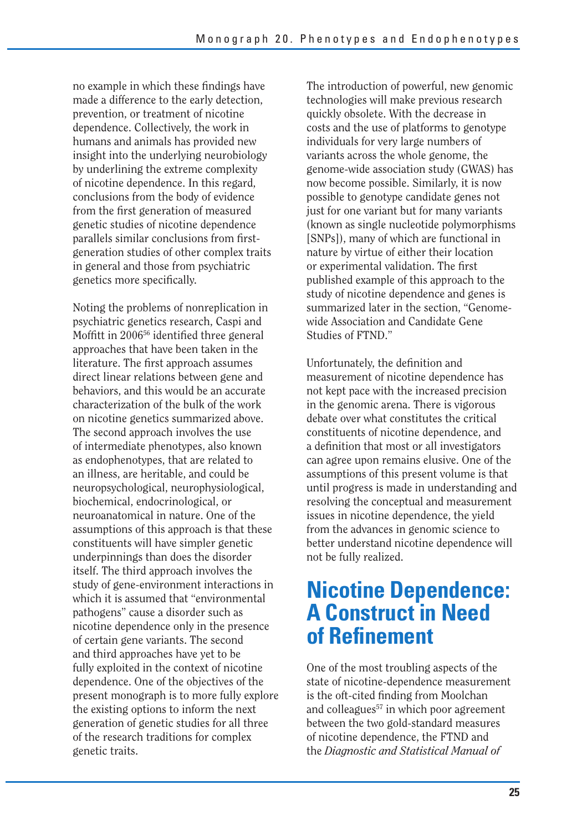no example in which these findings have made a difference to the early detection, prevention, or treatment of nicotine dependence. Collectively, the work in humans and animals has provided new insight into the underlying neurobiology by underlining the extreme complexity of nicotine dependence. In this regard, conclusions from the body of evidence from the first generation of measured genetic studies of nicotine dependence parallels similar conclusions from firstgeneration studies of other complex traits in general and those from psychiatric genetics more specifically.

Noting the problems of nonreplication in psychiatric genetics research, Caspi and Moffitt in 200656 identified three general approaches that have been taken in the literature. The first approach assumes direct linear relations between gene and behaviors, and this would be an accurate characterization of the bulk of the work on nicotine genetics summarized above. The second approach involves the use of intermediate phenotypes, also known as endophenotypes, that are related to an illness, are heritable, and could be neuropsychological, neurophysiological, biochemical, endocrinological, or neuroanatomical in nature. One of the assumptions of this approach is that these constituents will have simpler genetic underpinnings than does the disorder itself. The third approach involves the study of gene-environment interactions in which it is assumed that "environmental pathogens" cause a disorder such as nicotine dependence only in the presence of certain gene variants. The second and third approaches have yet to be fully exploited in the context of nicotine dependence. One of the objectives of the present monograph is to more fully explore the existing options to inform the next generation of genetic studies for all three of the research traditions for complex genetic traits.

The introduction of powerful, new genomic technologies will make previous research quickly obsolete. With the decrease in costs and the use of platforms to genotype individuals for very large numbers of variants across the whole genome, the genome-wide association study (GWAS) has now become possible. Similarly, it is now possible to genotype candidate genes not just for one variant but for many variants (known as single nucleotide polymorphisms [SNPs]), many of which are functional in nature by virtue of either their location or experimental validation. The first published example of this approach to the study of nicotine dependence and genes is summarized later in the section, "Genomewide Association and Candidate Gene Studies of FTND."

Unfortunately, the definition and measurement of nicotine dependence has not kept pace with the increased precision in the genomic arena. There is vigorous debate over what constitutes the critical constituents of nicotine dependence, and a definition that most or all investigators can agree upon remains elusive. One of the assumptions of this present volume is that until progress is made in understanding and resolving the conceptual and measurement issues in nicotine dependence, the yield from the advances in genomic science to better understand nicotine dependence will not be fully realized.

### **Nicotine Dependence: A Construct in Need of Refi nement**

One of the most troubling aspects of the state of nicotine-dependence measurement is the oft-cited finding from Moolchan and colleagues<sup>57</sup> in which poor agreement between the two gold-standard measures of nicotine dependence, the FTND and the *Diagnostic and Statistical Manual of*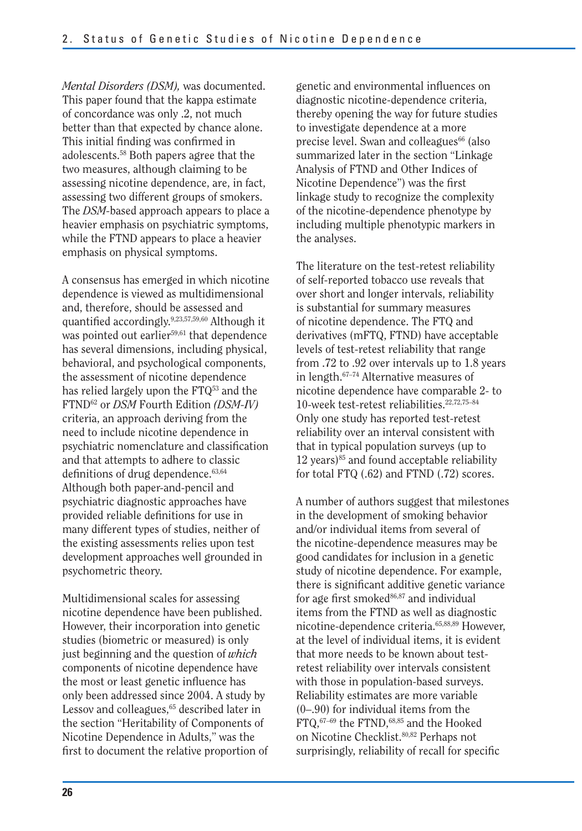*Mental Disorders (DSM),* was documented. This paper found that the kappa estimate of concordance was only .2, not much better than that expected by chance alone. This initial finding was confirmed in adolescents.58 Both papers agree that the two measures, although claiming to be assessing nicotine dependence, are, in fact, assessing two different groups of smokers. The *DSM-*based approach appears to place a heavier emphasis on psychiatric symptoms, while the FTND appears to place a heavier emphasis on physical symptoms.

A consensus has emerged in which nicotine dependence is viewed as multidimensional and, therefore, should be assessed and quantified accordingly.<sup>9,23,57,59,60</sup> Although it was pointed out earlier<sup>59,61</sup> that dependence has several dimensions, including physical, behavioral, and psychological components, the assessment of nicotine dependence has relied largely upon the  $FTQ^{53}$  and the FTND62 or *DSM* Fourth Edition *(DSM-IV)*  criteria, an approach deriving from the need to include nicotine dependence in psychiatric nomenclature and classification and that attempts to adhere to classic definitions of drug dependence. $63,64$ Although both paper-and-pencil and psychiatric diagnostic approaches have provided reliable definitions for use in many different types of studies, neither of the existing assessments relies upon test development approaches well grounded in psychometric theory.

Multidimensional scales for assessing nicotine dependence have been published. However, their incorporation into genetic studies (biometric or measured) is only just beginning and the question of *which*  components of nicotine dependence have the most or least genetic influence has only been addressed since 2004. A study by Lessov and colleagues,<sup>65</sup> described later in the section "Heritability of Components of Nicotine Dependence in Adults," was the first to document the relative proportion of genetic and environmental influences on diagnostic nicotine-dependence criteria, thereby opening the way for future studies to investigate dependence at a more precise level. Swan and colleagues<sup>66</sup> (also summarized later in the section "Linkage Analysis of FTND and Other Indices of Nicotine Dependence") was the first linkage study to recognize the complexity of the nicotine-dependence phenotype by including multiple phenotypic markers in the analyses.

The literature on the test-retest reliability of self-reported tobacco use reveals that over short and longer intervals, reliability is substantial for summary measures of nicotine dependence. The FTQ and derivatives (mFTQ, FTND) have acceptable levels of test-retest reliability that range from .72 to .92 over intervals up to 1.8 years in length.67–74 Alternative measures of nicotine dependence have comparable 2- to 10-week test-retest reliabilities.22,72,75–84 Only one study has reported test-retest reliability over an interval consistent with that in typical population surveys (up to  $12 \text{ years}$ <sup>85</sup> and found acceptable reliability for total FTQ (.62) and FTND (.72) scores.

A number of authors suggest that milestones in the development of smoking behavior and/or individual items from several of the nicotine-dependence measures may be good candidates for inclusion in a genetic study of nicotine dependence. For example, there is significant additive genetic variance for age first smoked<sup>86,87</sup> and individual items from the FTND as well as diagnostic nicotine-dependence criteria.65,88,89 However, at the level of individual items, it is evident that more needs to be known about testretest reliability over intervals consistent with those in population-based surveys. Reliability estimates are more variable (0–.90) for individual items from the FTQ,67–69 the FTND,68,85 and the Hooked on Nicotine Checklist.80,82 Perhaps not surprisingly, reliability of recall for specific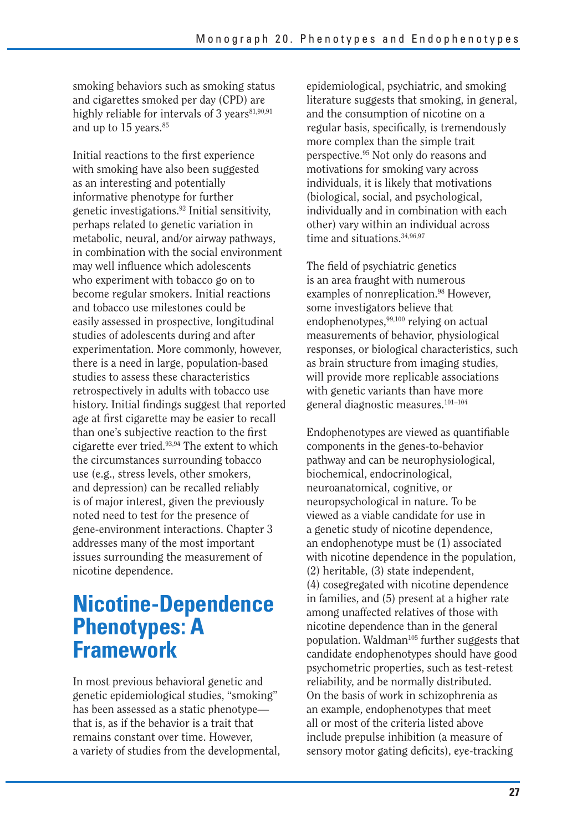smoking behaviors such as smoking status and cigarettes smoked per day (CPD) are highly reliable for intervals of 3 years<sup>81,90,91</sup> and up to 15 years.<sup>85</sup>

Initial reactions to the first experience with smoking have also been suggested as an interesting and potentially informative phenotype for further genetic investigations.92 Initial sensitivity, perhaps related to genetic variation in metabolic, neural, and/or airway pathways, in combination with the social environment may well influence which adolescents who experiment with tobacco go on to become regular smokers. Initial reactions and tobacco use milestones could be easily assessed in prospective, longitudinal studies of adolescents during and after experimentation. More commonly, however, there is a need in large, population-based studies to assess these characteristics retrospectively in adults with tobacco use history. Initial findings suggest that reported age at first cigarette may be easier to recall than one's subjective reaction to the first cigarette ever tried.93,94 The extent to which the circumstances surrounding tobacco use (e.g., stress levels, other smokers, and depression) can be recalled reliably is of major interest, given the previously noted need to test for the presence of gene-environment interactions. Chapter 3 addresses many of the most important issues surrounding the measurement of nicotine dependence.

### **Nicotine-Dependence Phenotypes: A Framework**

In most previous behavioral genetic and genetic epidemiological studies, "smoking" has been assessed as a static phenotype that is, as if the behavior is a trait that remains constant over time. However, a variety of studies from the developmental, epidemiological, psychiatric, and smoking literature suggests that smoking, in general, and the consumption of nicotine on a regular basis, specifically, is tremendously more complex than the simple trait perspective.95 Not only do reasons and motivations for smoking vary across individuals, it is likely that motivations (biological, social, and psychological, individually and in combination with each other) vary within an individual across time and situations.<sup>34,96,97</sup>

The field of psychiatric genetics is an area fraught with numerous examples of nonreplication.<sup>98</sup> However, some investigators believe that endophenotypes,<sup>99,100</sup> relying on actual measurements of behavior, physiological responses, or biological characteristics, such as brain structure from imaging studies, will provide more replicable associations with genetic variants than have more general diagnostic measures.101–104

Endophenotypes are viewed as quantifiable components in the genes-to-behavior pathway and can be neurophysiological, biochemical, endocrinological, neuroanatomical, cognitive, or neuropsychological in nature. To be viewed as a viable candidate for use in a genetic study of nicotine dependence, an endophenotype must be (1) associated with nicotine dependence in the population, (2) heritable, (3) state independent, (4) cosegregated with nicotine dependence in families, and (5) present at a higher rate among unaffected relatives of those with nicotine dependence than in the general population. Waldman<sup>105</sup> further suggests that candidate endophenotypes should have good psychometric properties, such as test-retest reliability, and be normally distributed. On the basis of work in schizophrenia as an example, endophenotypes that meet all or most of the criteria listed above include prepulse inhibition (a measure of sensory motor gating deficits), eye-tracking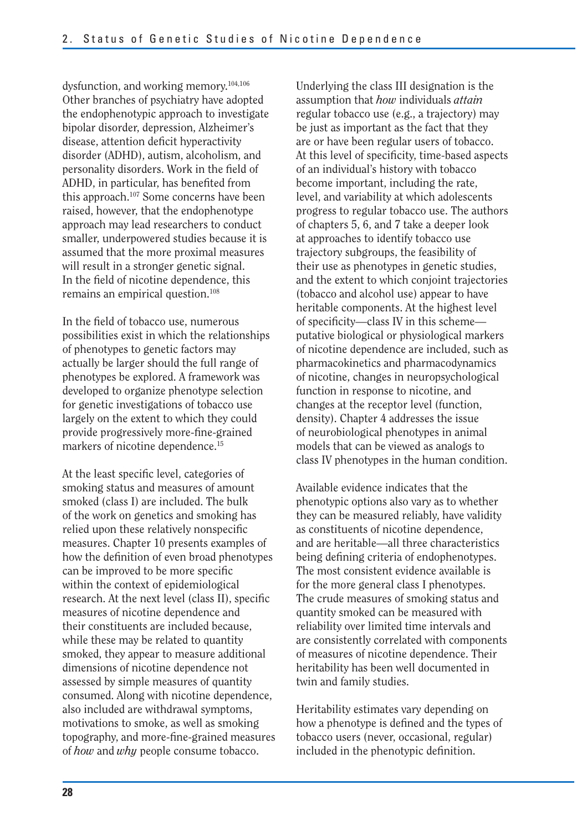dysfunction, and working memory.104,106 Other branches of psychiatry have adopted the endophenotypic approach to investigate bipolar disorder, depression, Alzheimer's disease, attention deficit hyperactivity disorder (ADHD), autism, alcoholism, and personality disorders. Work in the field of ADHD, in particular, has benefited from this approach.107 Some concerns have been raised, however, that the endophenotype approach may lead researchers to conduct smaller, underpowered studies because it is assumed that the more proximal measures will result in a stronger genetic signal. In the field of nicotine dependence, this remains an empirical question.108

In the field of tobacco use, numerous possibilities exist in which the relationships of phenotypes to genetic factors may actually be larger should the full range of phenotypes be explored. A framework was developed to organize phenotype selection for genetic investigations of tobacco use largely on the extent to which they could provide progressively more-fine-grained markers of nicotine dependence.<sup>15</sup>

At the least specific level, categories of smoking status and measures of amount smoked (class I) are included. The bulk of the work on genetics and smoking has relied upon these relatively nonspecific measures. Chapter 10 presents examples of how the definition of even broad phenotypes can be improved to be more specific within the context of epidemiological research. At the next level (class II), specific measures of nicotine dependence and their constituents are included because, while these may be related to quantity smoked, they appear to measure additional dimensions of nicotine dependence not assessed by simple measures of quantity consumed. Along with nicotine dependence, also included are withdrawal symptoms, motivations to smoke, as well as smoking topography, and more-fine-grained measures of *how* and *why* people consume tobacco.

Underlying the class III designation is the assumption that *how* individuals *attain*  regular tobacco use (e.g., a trajectory) may be just as important as the fact that they are or have been regular users of tobacco. At this level of specificity, time-based aspects of an individual's history with tobacco become important, including the rate, level, and variability at which adolescents progress to regular tobacco use. The authors of chapters 5, 6, and 7 take a deeper look at approaches to identify tobacco use trajectory subgroups, the feasibility of their use as phenotypes in genetic studies, and the extent to which conjoint trajectories (tobacco and alcohol use) appear to have heritable components. At the highest level of specificity—class IV in this scheme putative biological or physiological markers of nicotine dependence are included, such as pharmacokinetics and pharmacodynamics of nicotine, changes in neuropsychological function in response to nicotine, and changes at the receptor level (function, density). Chapter 4 addresses the issue of neurobiological phenotypes in animal models that can be viewed as analogs to class IV phenotypes in the human condition.

Available evidence indicates that the phenotypic options also vary as to whether they can be measured reliably, have validity as constituents of nicotine dependence, and are heritable—all three characteristics being defining criteria of endophenotypes. The most consistent evidence available is for the more general class I phenotypes. The crude measures of smoking status and quantity smoked can be measured with reliability over limited time intervals and are consistently correlated with components of measures of nicotine dependence. Their heritability has been well documented in twin and family studies.

Heritability estimates vary depending on how a phenotype is defined and the types of tobacco users (never, occasional, regular) included in the phenotypic definition.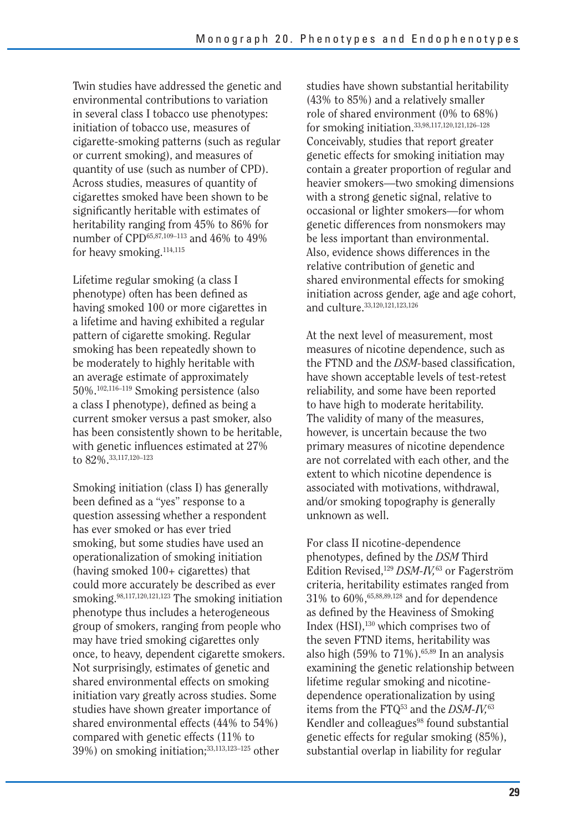Twin studies have addressed the genetic and environmental contributions to variation in several class I tobacco use phenotypes: initiation of tobacco use, measures of cigarette-smoking patterns (such as regular or current smoking), and measures of quantity of use (such as number of CPD). Across studies, measures of quantity of cigarettes smoked have been shown to be significantly heritable with estimates of heritability ranging from 45% to 86% for number of CPD<sup>65,87,109-113</sup> and 46% to 49% for heavy smoking.114,115

Lifetime regular smoking (a class I phenotype) often has been defined as having smoked 100 or more cigarettes in a lifetime and having exhibited a regular pattern of cigarette smoking. Regular smoking has been repeatedly shown to be moderately to highly heritable with an average estimate of approximately 50%.102,116–119 Smoking persistence (also a class I phenotype), defined as being a current smoker versus a past smoker, also has been consistently shown to be heritable, with genetic influences estimated at 27% to 82%.33,117,120–123

Smoking initiation (class I) has generally been defined as a "yes" response to a question assessing whether a respondent has ever smoked or has ever tried smoking, but some studies have used an operationalization of smoking initiation (having smoked  $100+$  cigarettes) that could more accurately be described as ever smoking.98,117,120,121,123 The smoking initiation phenotype thus includes a heterogeneous group of smokers, ranging from people who may have tried smoking cigarettes only once, to heavy, dependent cigarette smokers. Not surprisingly, estimates of genetic and shared environmental effects on smoking initiation vary greatly across studies. Some studies have shown greater importance of shared environmental effects (44% to 54%) compared with genetic effects (11% to 39%) on smoking initiation;33,113,123–125 other

studies have shown substantial heritability (43% to 85%) and a relatively smaller role of shared environment (0% to 68%) for smoking initiation.33,98,117,120,121,126–128 Conceivably, studies that report greater genetic effects for smoking initiation may contain a greater proportion of regular and heavier smokers—two smoking dimensions with a strong genetic signal, relative to occasional or lighter smokers—for whom genetic differences from nonsmokers may be less important than environmental. Also, evidence shows differences in the relative contribution of genetic and shared environmental effects for smoking initiation across gender, age and age cohort, and culture.33,120,121,123,126

At the next level of measurement, most measures of nicotine dependence, such as the FTND and the *DSM*-based classification. have shown acceptable levels of test-retest reliability, and some have been reported to have high to moderate heritability. The validity of many of the measures, however, is uncertain because the two primary measures of nicotine dependence are not correlated with each other, and the extent to which nicotine dependence is associated with motivations, withdrawal, and/or smoking topography is generally unknown as well.

For class II nicotine-dependence phenotypes, defined by the *DSM* Third Edition Revised,129 *DSM-IV,*63 or Fagerström criteria, heritability estimates ranged from 31% to 60%,65,88,89,128 and for dependence as defined by the Heaviness of Smoking Index (HSI),130 which comprises two of the seven FTND items, heritability was also high  $(59\% \text{ to } 71\%)$ .<sup>65,89</sup> In an analysis examining the genetic relationship between lifetime regular smoking and nicotinedependence operationalization by using items from the FTQ53 and the *DSM-IV,*<sup>63</sup> Kendler and colleagues<sup>98</sup> found substantial genetic effects for regular smoking (85%), substantial overlap in liability for regular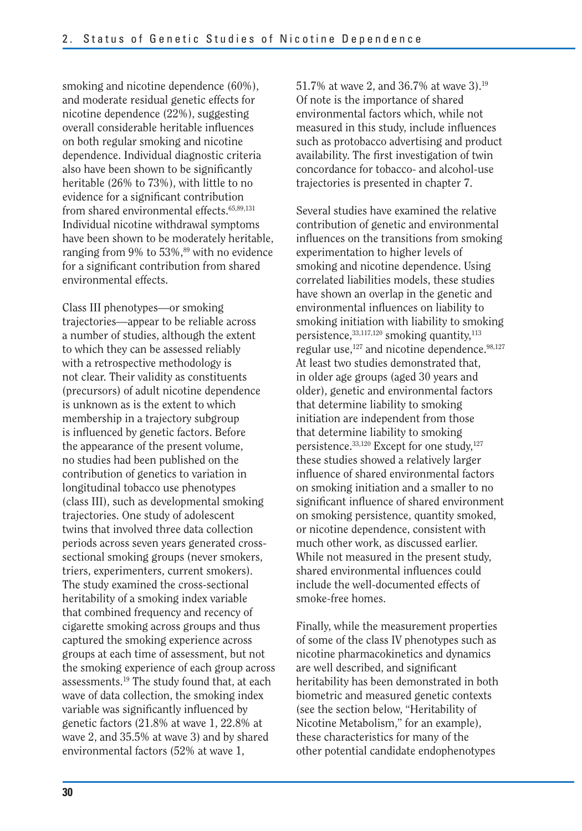smoking and nicotine dependence (60%), and moderate residual genetic effects for nicotine dependence (22%), suggesting overall considerable heritable influences on both regular smoking and nicotine dependence. Individual diagnostic criteria also have been shown to be significantly heritable (26% to 73%), with little to no evidence for a significant contribution from shared environmental effects.<sup>65,89,131</sup> Individual nicotine withdrawal symptoms have been shown to be moderately heritable, ranging from  $9\%$  to  $53\%$ ,<sup>89</sup> with no evidence for a significant contribution from shared environmental effects.

Class III phenotypes—or smoking trajectories—appear to be reliable across a number of studies, although the extent to which they can be assessed reliably with a retrospective methodology is not clear. Their validity as constituents (precursors) of adult nicotine dependence is unknown as is the extent to which membership in a trajectory subgroup is influenced by genetic factors. Before the appearance of the present volume, no studies had been published on the contribution of genetics to variation in longitudinal tobacco use phenotypes (class III), such as developmental smoking trajectories. One study of adolescent twins that involved three data collection periods across seven years generated crosssectional smoking groups (never smokers, triers, experimenters, current smokers). The study examined the cross-sectional heritability of a smoking index variable that combined frequency and recency of cigarette smoking across groups and thus captured the smoking experience across groups at each time of assessment, but not the smoking experience of each group across assessments.19 The study found that, at each wave of data collection, the smoking index variable was significantly influenced by genetic factors (21.8% at wave 1, 22.8% at wave 2, and 35.5% at wave 3) and by shared environmental factors (52% at wave 1,

51.7% at wave 2, and 36.7% at wave 3).19 Of note is the importance of shared environmental factors which, while not measured in this study, include influences such as protobacco advertising and product availability. The first investigation of twin concordance for tobacco- and alcohol-use trajectories is presented in chapter 7.

Several studies have examined the relative contribution of genetic and environmental influences on the transitions from smoking experimentation to higher levels of smoking and nicotine dependence. Using correlated liabilities models, these studies have shown an overlap in the genetic and environmental influences on liability to smoking initiation with liability to smoking persistence,<sup>33,117,120</sup> smoking quantity,<sup>113</sup> regular use, $127$  and nicotine dependence. $98,127$ At least two studies demonstrated that, in older age groups (aged 30 years and older), genetic and environmental factors that determine liability to smoking initiation are independent from those that determine liability to smoking persistence.<sup>33,120</sup> Except for one study,<sup>127</sup> these studies showed a relatively larger influence of shared environmental factors on smoking initiation and a smaller to no significant influence of shared environment on smoking persistence, quantity smoked, or nicotine dependence, consistent with much other work, as discussed earlier. While not measured in the present study, shared environmental influences could include the well-documented effects of smoke-free homes.

Finally, while the measurement properties of some of the class IV phenotypes such as nicotine pharmacokinetics and dynamics are well described, and significant heritability has been demonstrated in both biometric and measured genetic contexts (see the section below, "Heritability of Nicotine Metabolism," for an example), these characteristics for many of the other potential candidate endophenotypes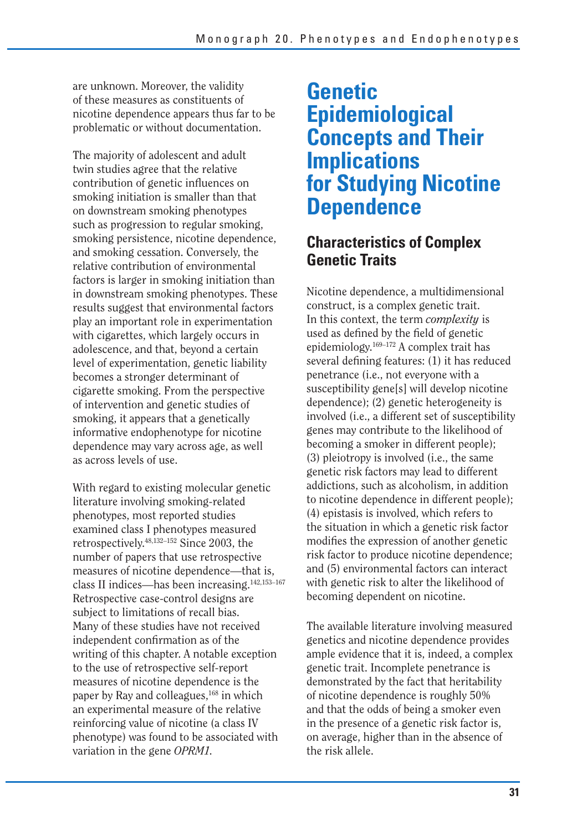are unknown. Moreover, the validity of these measures as constituents of nicotine dependence appears thus far to be problematic or without documentation.

The majority of adolescent and adult twin studies agree that the relative contribution of genetic influences on smoking initiation is smaller than that on downstream smoking phenotypes such as progression to regular smoking, smoking persistence, nicotine dependence, and smoking cessation. Conversely, the relative contribution of environmental factors is larger in smoking initiation than in downstream smoking phenotypes. These results suggest that environmental factors play an important role in experimentation with cigarettes, which largely occurs in adolescence, and that, beyond a certain level of experimentation, genetic liability becomes a stronger determinant of cigarette smoking. From the perspective of intervention and genetic studies of smoking, it appears that a genetically informative endophenotype for nicotine dependence may vary across age, as well as across levels of use.

With regard to existing molecular genetic literature involving smoking-related phenotypes, most reported studies examined class I phenotypes measured retrospectively.48,132–152 Since 2003, the number of papers that use retrospective measures of nicotine dependence—that is, class II indices—has been increasing.142,153–167 Retrospective case-control designs are subject to limitations of recall bias. Many of these studies have not received independent confirmation as of the writing of this chapter. A notable exception to the use of retrospective self-report measures of nicotine dependence is the paper by Ray and colleagues,<sup>168</sup> in which an experimental measure of the relative reinforcing value of nicotine (a class IV phenotype) was found to be associated with variation in the gene *OPRM1.* 

### **Genetic Epidemiological Concepts and Their Implications for Studying Nicotine Dependence**

### **Characteristics of Complex Genetic Traits**

 used as defined by the field of genetic Nicotine dependence, a multidimensional construct, is a complex genetic trait. In this context, the term *complexity* is epidemiology.169–172 A complex trait has several defining features: (1) it has reduced penetrance (i.e., not everyone with a susceptibility gene[s] will develop nicotine dependence); (2) genetic heterogeneity is involved (i.e., a different set of susceptibility genes may contribute to the likelihood of becoming a smoker in different people); (3) pleiotropy is involved (i.e., the same genetic risk factors may lead to different addictions, such as alcoholism, in addition to nicotine dependence in different people); (4) epistasis is involved, which refers to the situation in which a genetic risk factor modifies the expression of another genetic risk factor to produce nicotine dependence; and (5) environmental factors can interact with genetic risk to alter the likelihood of becoming dependent on nicotine.

The available literature involving measured genetics and nicotine dependence provides ample evidence that it is, indeed, a complex genetic trait. Incomplete penetrance is demonstrated by the fact that heritability of nicotine dependence is roughly 50% and that the odds of being a smoker even in the presence of a genetic risk factor is, on average, higher than in the absence of the risk allele.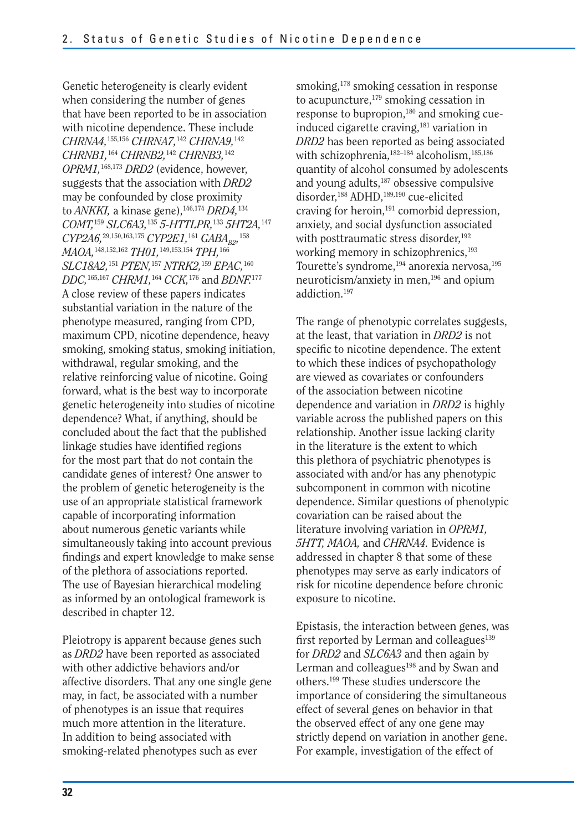*CHRNA4,*155,156 *CHRNA7,*142 *CHRNA9,*<sup>142</sup> *CHRNB1,*164 *CHRNB2,*142 *CHRNB3,*<sup>142</sup> to *ANKKI,* a kinase gene),146,174 *DRD4,*<sup>134</sup> *COMT,*159 *SLC6A3,*135 *5-HTTLPR,*133 *5HT2A,*<sup>147</sup> *CYP2A6*,<sup>29,150,163,175</sup> *CYP2E1*,<sup>161</sup> *GABA<sub>B2</sub>*,<sup>158</sup> *MAOA,*148,152,162 *TH01,*149,153,154 *TPH,*<sup>166</sup> *SLC18A2,*151 *PTEN,*157 *NTRK2,*159 *EPAC,*<sup>160</sup> *DDC,*165,167 *CHRM1,*164 *CCK,*176 and *BDNF.*<sup>177</sup> Genetic heterogeneity is clearly evident when considering the number of genes that have been reported to be in association with nicotine dependence. These include *OPRM1,*168,173 *DRD2* (evidence, however, suggests that the association with *DRD2*  may be confounded by close proximity A close review of these papers indicates substantial variation in the nature of the phenotype measured, ranging from CPD, maximum CPD, nicotine dependence, heavy smoking, smoking status, smoking initiation, withdrawal, regular smoking, and the relative reinforcing value of nicotine. Going forward, what is the best way to incorporate genetic heterogeneity into studies of nicotine dependence? What, if anything, should be concluded about the fact that the published linkage studies have identified regions for the most part that do not contain the candidate genes of interest? One answer to the problem of genetic heterogeneity is the use of an appropriate statistical framework capable of incorporating information about numerous genetic variants while simultaneously taking into account previous findings and expert knowledge to make sense of the plethora of associations reported. The use of Bayesian hierarchical modeling as informed by an ontological framework is described in chapter 12.

Pleiotropy is apparent because genes such as *DRD2* have been reported as associated with other addictive behaviors and/or affective disorders. That any one single gene may, in fact, be associated with a number of phenotypes is an issue that requires much more attention in the literature. In addition to being associated with smoking-related phenotypes such as ever

smoking,<sup>178</sup> smoking cessation in response to acupuncture,<sup>179</sup> smoking cessation in response to bupropion,<sup>180</sup> and smoking cueinduced cigarette craving,<sup>181</sup> variation in *DRD2* has been reported as being associated with schizophrenia,<sup>182-184</sup> alcoholism,<sup>185,186</sup> quantity of alcohol consumed by adolescents and young adults,<sup>187</sup> obsessive compulsive disorder,188 ADHD,189,190 cue-elicited craving for heroin,<sup>191</sup> comorbid depression, anxiety, and social dysfunction associated with posttraumatic stress disorder,<sup>192</sup> working memory in schizophrenics,<sup>193</sup> Tourette's syndrome,<sup>194</sup> anorexia nervosa,<sup>195</sup> neuroticism/anxiety in men,196 and opium addiction.197

The range of phenotypic correlates suggests, at the least, that variation in *DRD2* is not specific to nicotine dependence. The extent to which these indices of psychopathology are viewed as covariates or confounders of the association between nicotine dependence and variation in *DRD2* is highly variable across the published papers on this relationship. Another issue lacking clarity in the literature is the extent to which this plethora of psychiatric phenotypes is associated with and/or has any phenotypic subcomponent in common with nicotine dependence. Similar questions of phenotypic covariation can be raised about the literature involving variation in *OPRM1, 5HTT, MAOA,* and *CHRNA4.* Evidence is addressed in chapter 8 that some of these phenotypes may serve as early indicators of risk for nicotine dependence before chronic exposure to nicotine.

Epistasis, the interaction between genes, was first reported by Lerman and colleagues $139$ for *DRD2* and *SLC6A3* and then again by Lerman and colleagues<sup>198</sup> and by Swan and others.199 These studies underscore the importance of considering the simultaneous effect of several genes on behavior in that the observed effect of any one gene may strictly depend on variation in another gene. For example, investigation of the effect of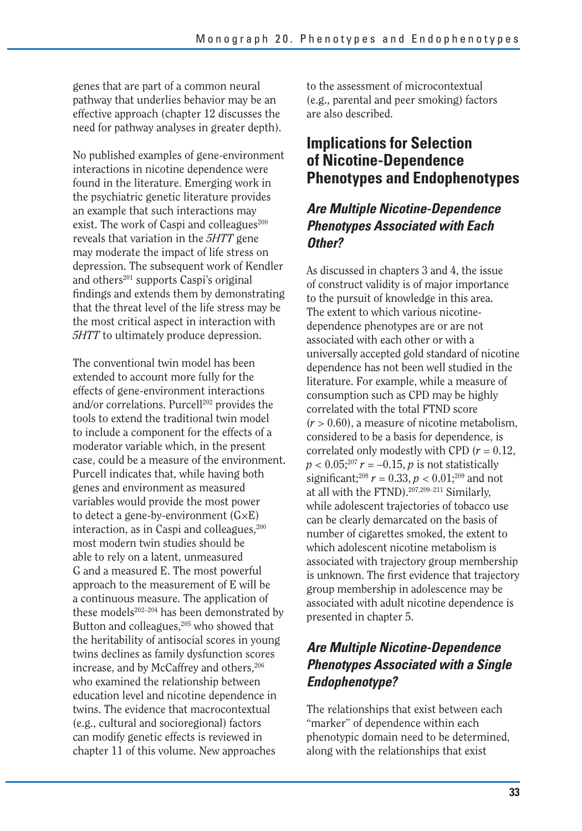genes that are part of a common neural pathway that underlies behavior may be an effective approach (chapter 12 discusses the need for pathway analyses in greater depth).

No published examples of gene-environment interactions in nicotine dependence were found in the literature. Emerging work in the psychiatric genetic literature provides an example that such interactions may exist. The work of Caspi and colleagues<sup>200</sup> reveals that variation in the *5HTT* gene may moderate the impact of life stress on depression. The subsequent work of Kendler and others<sup>201</sup> supports Caspi's original findings and extends them by demonstrating that the threat level of the life stress may be the most critical aspect in interaction with *5HTT* to ultimately produce depression.

The conventional twin model has been extended to account more fully for the effects of gene-environment interactions and/or correlations. Purcell<sup>202</sup> provides the tools to extend the traditional twin model to include a component for the effects of a moderator variable which, in the present case, could be a measure of the environment. Purcell indicates that, while having both genes and environment as measured variables would provide the most power to detect a gene-by-environment  $(G \times E)$ interaction, as in Caspi and colleagues,<sup>200</sup> most modern twin studies should be able to rely on a latent, unmeasured G and a measured E. The most powerful approach to the measurement of E will be a continuous measure. The application of these models $202-204$  has been demonstrated by Button and colleagues,<sup>205</sup> who showed that the heritability of antisocial scores in young twins declines as family dysfunction scores increase, and by McCaffrey and others,<sup>206</sup> who examined the relationship between education level and nicotine dependence in twins. The evidence that macrocontextual (e.g., cultural and socioregional) factors can modify genetic effects is reviewed in chapter 11 of this volume. New approaches

to the assessment of microcontextual (e.g., parental and peer smoking) factors are also described.

#### **Implications for Selection of Nicotine-Dependence Phenotypes and Endophenotypes**

#### *Are Multiple Nicotine-Dependence Phenotypes Associated with Each Other?*

As discussed in chapters 3 and 4, the issue of construct validity is of major importance to the pursuit of knowledge in this area. The extent to which various nicotinedependence phenotypes are or are not associated with each other or with a universally accepted gold standard of nicotine dependence has not been well studied in the literature. For example, while a measure of consumption such as CPD may be highly correlated with the total FTND score  $(r > 0.60)$ , a measure of nicotine metabolism, considered to be a basis for dependence, is correlated only modestly with CPD  $(r = 0.12,$  $p < 0.05$ <sup>207</sup>  $r = -0.15$ , *p* is not statistically significant;<sup>208</sup>  $r = 0.33$ ,  $p < 0.01$ ;<sup>209</sup> and not at all with the FTND).<sup>207,209-211</sup> Similarly, while adolescent trajectories of tobacco use can be clearly demarcated on the basis of number of cigarettes smoked, the extent to which adolescent nicotine metabolism is associated with trajectory group membership is unknown. The first evidence that trajectory group membership in adolescence may be associated with adult nicotine dependence is presented in chapter 5.

#### *Are Multiple Nicotine-Dependence Phenotypes Associated with a Single Endophenotype?*

The relationships that exist between each "marker" of dependence within each phenotypic domain need to be determined, along with the relationships that exist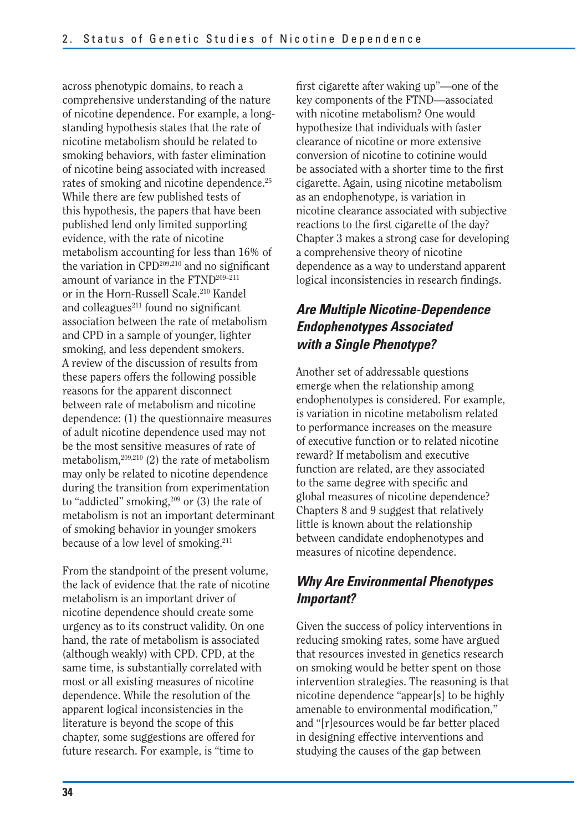across phenotypic domains, to reach a comprehensive understanding of the nature of nicotine dependence. For example, a longstanding hypothesis states that the rate of nicotine metabolism should be related to smoking behaviors, with faster elimination of nicotine being associated with increased rates of smoking and nicotine dependence.<sup>25</sup> While there are few published tests of this hypothesis, the papers that have been published lend only limited supporting evidence, with the rate of nicotine metabolism accounting for less than 16% of the variation in CPD<sup>209,210</sup> and no significant amount of variance in the FTND<sup>209-211</sup> or in the Horn-Russell Scale.<sup>210</sup> Kandel and colleagues $211$  found no significant association between the rate of metabolism and CPD in a sample of younger, lighter smoking, and less dependent smokers. A review of the discussion of results from these papers offers the following possible reasons for the apparent disconnect between rate of metabolism and nicotine dependence: (1) the questionnaire measures of adult nicotine dependence used may not be the most sensitive measures of rate of metabolism,209,210 (2) the rate of metabolism may only be related to nicotine dependence during the transition from experimentation to "addicted" smoking, $209$  or (3) the rate of metabolism is not an important determinant of smoking behavior in younger smokers because of a low level of smoking.211

From the standpoint of the present volume, the lack of evidence that the rate of nicotine metabolism is an important driver of nicotine dependence should create some urgency as to its construct validity. On one hand, the rate of metabolism is associated (although weakly) with CPD. CPD, at the same time, is substantially correlated with most or all existing measures of nicotine dependence. While the resolution of the apparent logical inconsistencies in the literature is beyond the scope of this chapter, some suggestions are offered for future research. For example, is "time to

first cigarette after waking up"—one of the key components of the FTND—associated with nicotine metabolism? One would hypothesize that individuals with faster clearance of nicotine or more extensive conversion of nicotine to cotinine would be associated with a shorter time to the first cigarette. Again, using nicotine metabolism as an endophenotype, is variation in nicotine clearance associated with subjective reactions to the first cigarette of the day? Chapter 3 makes a strong case for developing a comprehensive theory of nicotine dependence as a way to understand apparent logical inconsistencies in research findings.

#### *Are Multiple Nicotine-Dependence Endophenotypes Associated with a Single Phenotype?*

Another set of addressable questions emerge when the relationship among endophenotypes is considered. For example, is variation in nicotine metabolism related to performance increases on the measure of executive function or to related nicotine reward? If metabolism and executive function are related, are they associated to the same degree with specific and global measures of nicotine dependence? Chapters 8 and 9 suggest that relatively little is known about the relationship between candidate endophenotypes and measures of nicotine dependence.

### *Why Are Environmental Phenotypes Important?*

Given the success of policy interventions in reducing smoking rates, some have argued that resources invested in genetics research on smoking would be better spent on those intervention strategies. The reasoning is that nicotine dependence "appear[s] to be highly amenable to environmental modification." and "[r]esources would be far better placed in designing effective interventions and studying the causes of the gap between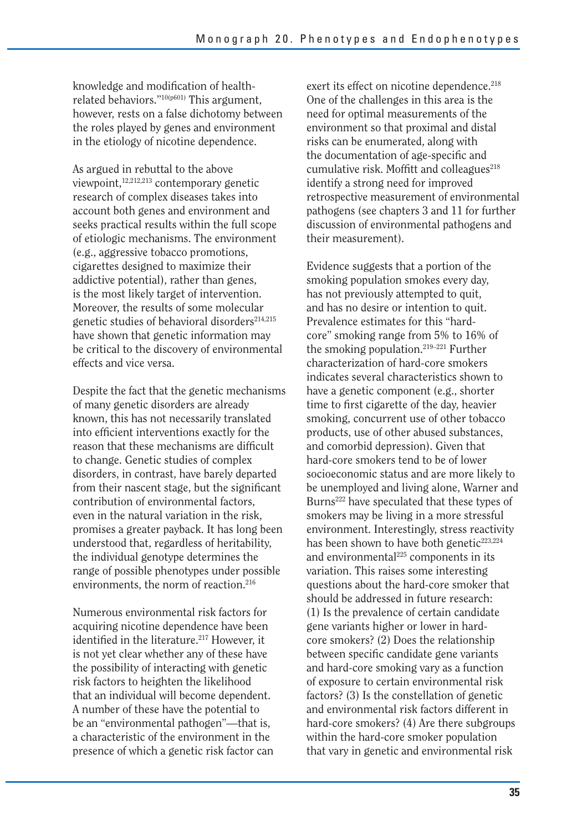knowledge and modification of healthrelated behaviors."10(p601) This argument, however, rests on a false dichotomy between the roles played by genes and environment in the etiology of nicotine dependence.

As argued in rebuttal to the above viewpoint,12,212,213 contemporary genetic research of complex diseases takes into account both genes and environment and seeks practical results within the full scope of etiologic mechanisms. The environment (e.g., aggressive tobacco promotions, cigarettes designed to maximize their addictive potential), rather than genes, is the most likely target of intervention. Moreover, the results of some molecular genetic studies of behavioral disorders $214,215$ have shown that genetic information may be critical to the discovery of environmental effects and vice versa.

Despite the fact that the genetic mechanisms of many genetic disorders are already known, this has not necessarily translated into efficient interventions exactly for the reason that these mechanisms are difficult to change. Genetic studies of complex disorders, in contrast, have barely departed from their nascent stage, but the significant contribution of environmental factors, even in the natural variation in the risk, promises a greater payback. It has long been understood that, regardless of heritability, the individual genotype determines the range of possible phenotypes under possible environments, the norm of reaction.216

Numerous environmental risk factors for acquiring nicotine dependence have been identified in the literature.<sup>217</sup> However, it is not yet clear whether any of these have the possibility of interacting with genetic risk factors to heighten the likelihood that an individual will become dependent. A number of these have the potential to be an "environmental pathogen"—that is, a characteristic of the environment in the presence of which a genetic risk factor can exert its effect on nicotine dependence.<sup>218</sup> One of the challenges in this area is the need for optimal measurements of the environment so that proximal and distal risks can be enumerated, along with the documentation of age-specific and cumulative risk. Moffitt and colleagues<sup>218</sup> identify a strong need for improved retrospective measurement of environmental pathogens (see chapters 3 and 11 for further discussion of environmental pathogens and their measurement).

Evidence suggests that a portion of the smoking population smokes every day, has not previously attempted to quit, and has no desire or intention to quit. Prevalence estimates for this "hardcore" smoking range from 5% to 16% of the smoking population.219–221 Further characterization of hard-core smokers indicates several characteristics shown to have a genetic component (e.g., shorter time to first cigarette of the day, heavier smoking, concurrent use of other tobacco products, use of other abused substances, and comorbid depression). Given that hard-core smokers tend to be of lower socioeconomic status and are more likely to be unemployed and living alone, Warner and Burns<sup>222</sup> have speculated that these types of smokers may be living in a more stressful environment. Interestingly, stress reactivity has been shown to have both genetic<sup>223,224</sup> and environmental<sup>225</sup> components in its variation. This raises some interesting questions about the hard-core smoker that should be addressed in future research: (1) Is the prevalence of certain candidate gene variants higher or lower in hardcore smokers? (2) Does the relationship between specific candidate gene variants and hard-core smoking vary as a function of exposure to certain environmental risk factors? (3) Is the constellation of genetic and environmental risk factors different in hard-core smokers? (4) Are there subgroups within the hard-core smoker population that vary in genetic and environmental risk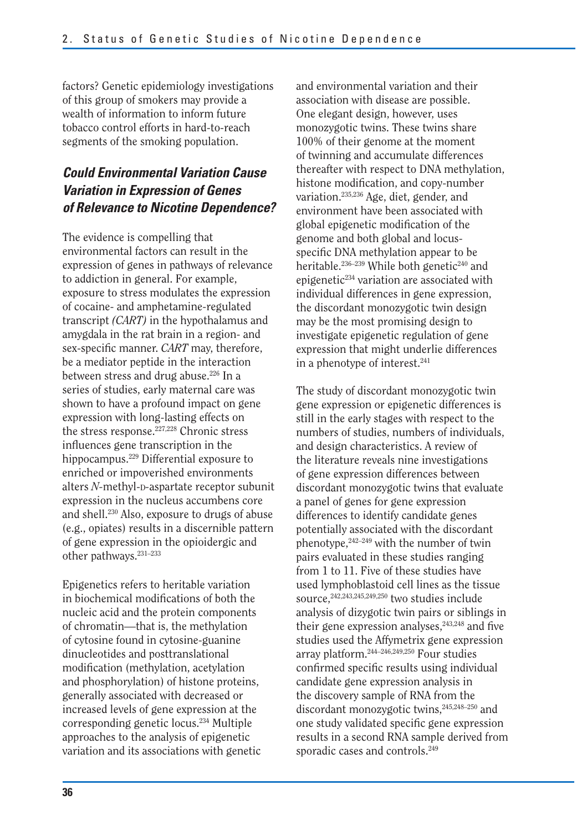factors? Genetic epidemiology investigations of this group of smokers may provide a wealth of information to inform future tobacco control efforts in hard-to-reach segments of the smoking population.

#### *Could Environmental Variation Cause Variation in Expression of Genes of Relevance to Nicotine Dependence?*

The evidence is compelling that environmental factors can result in the expression of genes in pathways of relevance to addiction in general. For example, exposure to stress modulates the expression of cocaine- and amphetamine-regulated transcript *(CART)* in the hypothalamus and amygdala in the rat brain in a region- and sex-specific manner. *CART* may, therefore, be a mediator peptide in the interaction between stress and drug abuse.<sup>226</sup> In a series of studies, early maternal care was shown to have a profound impact on gene expression with long-lasting effects on the stress response.227,228 Chronic stress influences gene transcription in the hippocampus.229 Differential exposure to enriched or impoverished environments alters *N-*methyl-D*-*aspartate receptor subunit expression in the nucleus accumbens core and shell.230 Also, exposure to drugs of abuse (e.g., opiates) results in a discernible pattern of gene expression in the opioidergic and other pathways.<sup>231-233</sup>

Epigenetics refers to heritable variation in biochemical modifications of both the nucleic acid and the protein components of chromatin—that is, the methylation of cytosine found in cytosine-guanine dinucleotides and posttranslational modification (methylation, acetylation and phosphorylation) of histone proteins, generally associated with decreased or increased levels of gene expression at the corresponding genetic locus.234 Multiple approaches to the analysis of epigenetic variation and its associations with genetic

and environmental variation and their association with disease are possible. One elegant design, however, uses monozygotic twins. These twins share 100% of their genome at the moment of twinning and accumulate differences thereafter with respect to DNA methylation, histone modification, and copy-number variation.235,236 Age, diet, gender, and environment have been associated with global epigenetic modification of the genome and both global and locusspecific DNA methylation appear to be heritable.<sup>236–239</sup> While both genetic<sup>240</sup> and epigenetic234 variation are associated with individual differences in gene expression, the discordant monozygotic twin design may be the most promising design to investigate epigenetic regulation of gene expression that might underlie differences in a phenotype of interest.241

The study of discordant monozygotic twin gene expression or epigenetic differences is still in the early stages with respect to the numbers of studies, numbers of individuals, and design characteristics. A review of the literature reveals nine investigations of gene expression differences between discordant monozygotic twins that evaluate a panel of genes for gene expression differences to identify candidate genes potentially associated with the discordant phenotype, $242-249$  with the number of twin pairs evaluated in these studies ranging from 1 to 11. Five of these studies have used lymphoblastoid cell lines as the tissue source,<sup>242,243,245,249,250</sup> two studies include analysis of dizygotic twin pairs or siblings in their gene expression analyses, $243,248$  and five studies used the Affymetrix gene expression array platform.244–246,249,250 Four studies confirmed specific results using individual candidate gene expression analysis in the discovery sample of RNA from the discordant monozygotic twins, <sup>245,248-250</sup> and one study validated specific gene expression results in a second RNA sample derived from sporadic cases and controls.<sup>249</sup>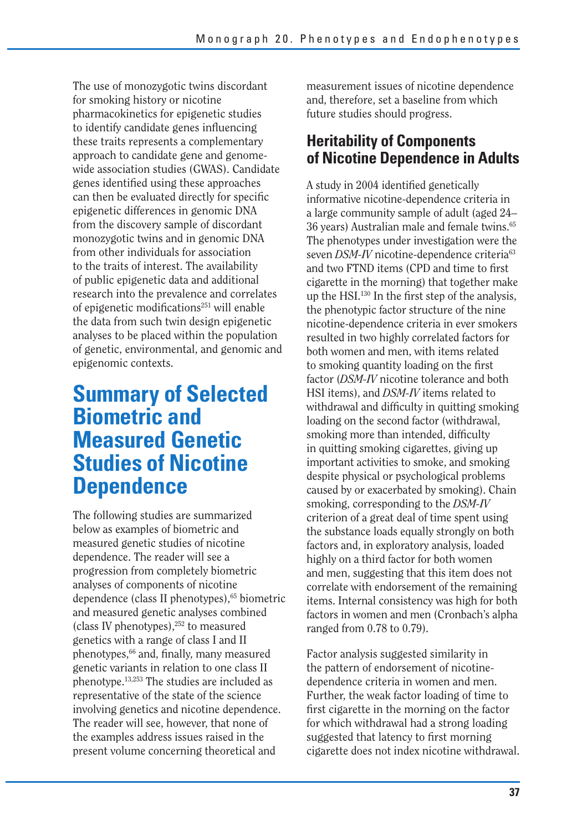The use of monozygotic twins discordant for smoking history or nicotine pharmacokinetics for epigenetic studies to identify candidate genes influencing these traits represents a complementary approach to candidate gene and genomewide association studies (GWAS). Candidate genes identified using these approaches can then be evaluated directly for specific epigenetic differences in genomic DNA from the discovery sample of discordant monozygotic twins and in genomic DNA from other individuals for association to the traits of interest. The availability of public epigenetic data and additional research into the prevalence and correlates of epigenetic modifications<sup>251</sup> will enable the data from such twin design epigenetic analyses to be placed within the population of genetic, environmental, and genomic and epigenomic contexts.

### **Summary of Selected Biometric and Measured Genetic Studies of Nicotine Dependence**

The following studies are summarized below as examples of biometric and measured genetic studies of nicotine dependence. The reader will see a progression from completely biometric analyses of components of nicotine dependence (class II phenotypes),<sup>65</sup> biometric and measured genetic analyses combined (class IV phenotypes),252 to measured genetics with a range of class I and II phenotypes,<sup>66</sup> and, finally, many measured genetic variants in relation to one class II phenotype.13,253 The studies are included as representative of the state of the science involving genetics and nicotine dependence. The reader will see, however, that none of the examples address issues raised in the present volume concerning theoretical and

measurement issues of nicotine dependence and, therefore, set a baseline from which future studies should progress.

### **Heritability of Components of Nicotine Dependence in Adults**

A study in 2004 identified genetically informative nicotine-dependence criteria in a large community sample of adult (aged 24– 36 years) Australian male and female twins.65 The phenotypes under investigation were the seven *DSM-IV* nicotine-dependence criteria<sup>63</sup> and two FTND items (CPD and time to first cigarette in the morning) that together make up the HSI.130 In the first step of the analysis, the phenotypic factor structure of the nine nicotine-dependence criteria in ever smokers resulted in two highly correlated factors for both women and men, with items related to smoking quantity loading on the first factor (*DSM-IV* nicotine tolerance and both HSI items), and *DSM-IV* items related to withdrawal and difficulty in quitting smoking loading on the second factor (withdrawal, smoking more than intended, difficulty in quitting smoking cigarettes, giving up important activities to smoke, and smoking despite physical or psychological problems caused by or exacerbated by smoking). Chain smoking, corresponding to the *DSM-IV*  criterion of a great deal of time spent using the substance loads equally strongly on both factors and, in exploratory analysis, loaded highly on a third factor for both women and men, suggesting that this item does not correlate with endorsement of the remaining items. Internal consistency was high for both factors in women and men (Cronbach's alpha ranged from 0.78 to 0.79).

Factor analysis suggested similarity in the pattern of endorsement of nicotinedependence criteria in women and men. Further, the weak factor loading of time to first cigarette in the morning on the factor for which withdrawal had a strong loading suggested that latency to first morning cigarette does not index nicotine withdrawal.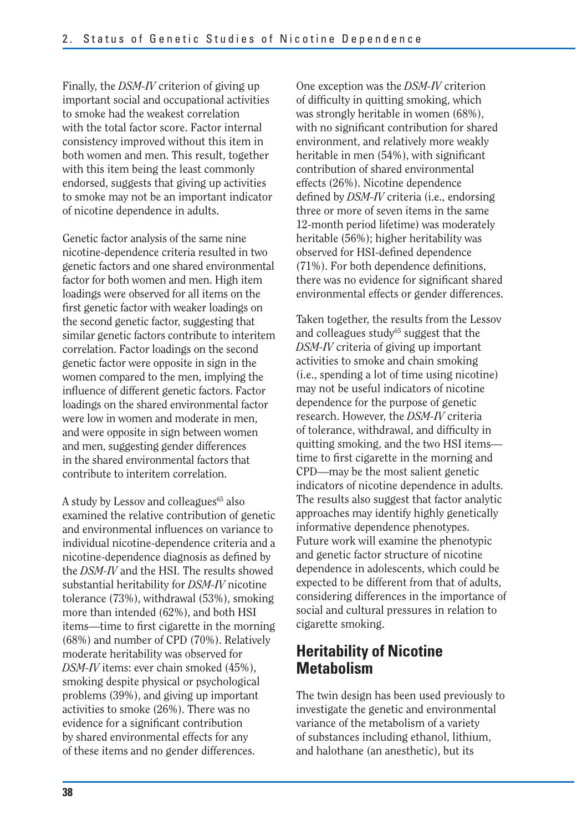Finally, the *DSM-IV* criterion of giving up important social and occupational activities to smoke had the weakest correlation with the total factor score. Factor internal consistency improved without this item in both women and men. This result, together with this item being the least commonly endorsed, suggests that giving up activities to smoke may not be an important indicator of nicotine dependence in adults.

Genetic factor analysis of the same nine nicotine-dependence criteria resulted in two genetic factors and one shared environmental factor for both women and men. High item loadings were observed for all items on the first genetic factor with weaker loadings on the second genetic factor, suggesting that similar genetic factors contribute to interitem correlation. Factor loadings on the second genetic factor were opposite in sign in the women compared to the men, implying the influence of different genetic factors. Factor loadings on the shared environmental factor were low in women and moderate in men, and were opposite in sign between women and men, suggesting gender differences in the shared environmental factors that contribute to interitem correlation.

A study by Lessov and colleagues<sup>65</sup> also examined the relative contribution of genetic and environmental influences on variance to individual nicotine-dependence criteria and a nicotine-dependence diagnosis as defined by the *DSM-IV* and the HSI. The results showed substantial heritability for *DSM-IV* nicotine tolerance (73%), withdrawal (53%), smoking more than intended (62%), and both HSI items—time to first cigarette in the morning (68%) and number of CPD (70%). Relatively moderate heritability was observed for *DSM-IV* items: ever chain smoked (45%), smoking despite physical or psychological problems (39%), and giving up important activities to smoke (26%). There was no evidence for a significant contribution by shared environmental effects for any of these items and no gender differences.

One exception was the *DSM-IV* criterion of difficulty in quitting smoking, which was strongly heritable in women (68%), with no significant contribution for shared environment, and relatively more weakly heritable in men (54%), with significant contribution of shared environmental effects (26%). Nicotine dependence defined by *DSM-IV* criteria (i.e., endorsing three or more of seven items in the same 12-month period lifetime) was moderately heritable (56%); higher heritability was observed for HSI-defined dependence  $(71%)$ . For both dependence definitions, there was no evidence for significant shared environmental effects or gender differences.

Taken together, the results from the Lessov and colleagues study<sup>65</sup> suggest that the *DSM-IV* criteria of giving up important activities to smoke and chain smoking (i.e., spending a lot of time using nicotine) may not be useful indicators of nicotine dependence for the purpose of genetic research. However, the *DSM-IV* criteria of tolerance, withdrawal, and difficulty in quitting smoking, and the two HSI items time to first cigarette in the morning and CPD—may be the most salient genetic indicators of nicotine dependence in adults. The results also suggest that factor analytic approaches may identify highly genetically informative dependence phenotypes. Future work will examine the phenotypic and genetic factor structure of nicotine dependence in adolescents, which could be expected to be different from that of adults, considering differences in the importance of social and cultural pressures in relation to cigarette smoking.

### **Heritability of Nicotine Metabolism**

The twin design has been used previously to investigate the genetic and environmental variance of the metabolism of a variety of substances including ethanol, lithium, and halothane (an anesthetic), but its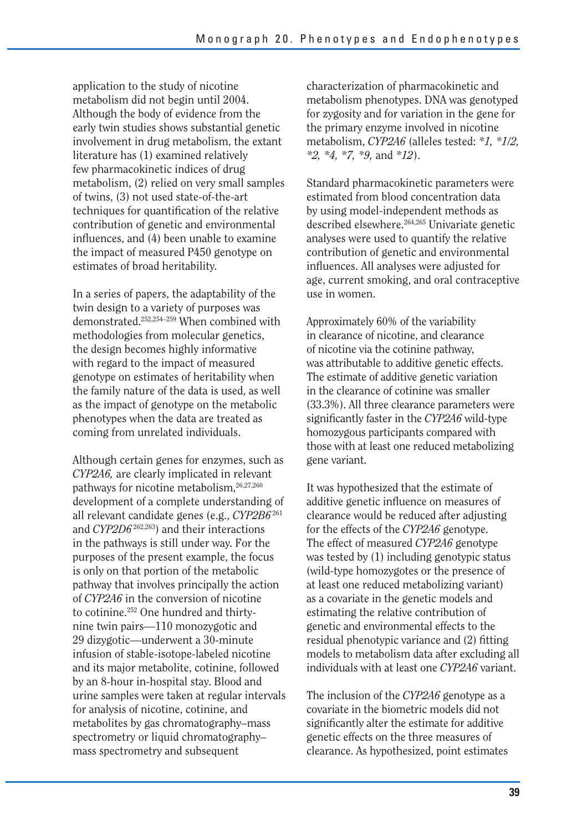application to the study of nicotine metabolism did not begin until 2004. Although the body of evidence from the early twin studies shows substantial genetic involvement in drug metabolism, the extant literature has (1) examined relatively few pharmacokinetic indices of drug metabolism, (2) relied on very small samples of twins, (3) not used state-of-the-art techniques for quantification of the relative contribution of genetic and environmental influences, and (4) been unable to examine the impact of measured P450 genotype on estimates of broad heritability.

In a series of papers, the adaptability of the twin design to a variety of purposes was demonstrated.252,254–259 When combined with methodologies from molecular genetics, the design becomes highly informative with regard to the impact of measured genotype on estimates of heritability when the family nature of the data is used, as well as the impact of genotype on the metabolic phenotypes when the data are treated as coming from unrelated individuals.

Although certain genes for enzymes, such as *CYP2A6,* are clearly implicated in relevant pathways for nicotine metabolism,<sup>26,27,260</sup> development of a complete understanding of all relevant candidate genes (e.g., *CYP2B6* <sup>261</sup> and *CYP2D6* 262,263) and their interactions in the pathways is still under way. For the purposes of the present example, the focus is only on that portion of the metabolic pathway that involves principally the action of *CYP2A6* in the conversion of nicotine to cotinine.252 One hundred and thirtynine twin pairs—110 monozygotic and 29 dizygotic—underwent a 30-minute infusion of stable-isotope-labeled nicotine and its major metabolite, cotinine, followed by an 8-hour in-hospital stay. Blood and urine samples were taken at regular intervals for analysis of nicotine, cotinine, and metabolites by gas chromatography–mass spectrometry or liquid chromatography– mass spectrometry and subsequent

characterization of pharmacokinetic and metabolism phenotypes. DNA was genotyped for zygosity and for variation in the gene for the primary enzyme involved in nicotine metabolism, *CYP2A6* (alleles tested: *\*1, \*1/2, \*2, \*4, \*7, \*9,* and *\*12*).

Standard pharmacokinetic parameters were estimated from blood concentration data by using model-independent methods as described elsewhere.264,265 Univariate genetic analyses were used to quantify the relative contribution of genetic and environmental influences. All analyses were adjusted for age, current smoking, and oral contraceptive use in women.

Approximately 60% of the variability in clearance of nicotine, and clearance of nicotine via the cotinine pathway, was attributable to additive genetic effects. The estimate of additive genetic variation in the clearance of cotinine was smaller (33.3%). All three clearance parameters were significantly faster in the *CYP2A6* wild-type homozygous participants compared with those with at least one reduced metabolizing gene variant.

It was hypothesized that the estimate of additive genetic influence on measures of clearance would be reduced after adjusting for the effects of the *CYP2A6* genotype. The effect of measured *CYP2A6* genotype was tested by (1) including genotypic status (wild-type homozygotes or the presence of at least one reduced metabolizing variant) as a covariate in the genetic models and estimating the relative contribution of genetic and environmental effects to the residual phenotypic variance and (2) fitting models to metabolism data after excluding all individuals with at least one *CYP2A6* variant.

The inclusion of the *CYP2A6* genotype as a covariate in the biometric models did not significantly alter the estimate for additive genetic effects on the three measures of clearance. As hypothesized, point estimates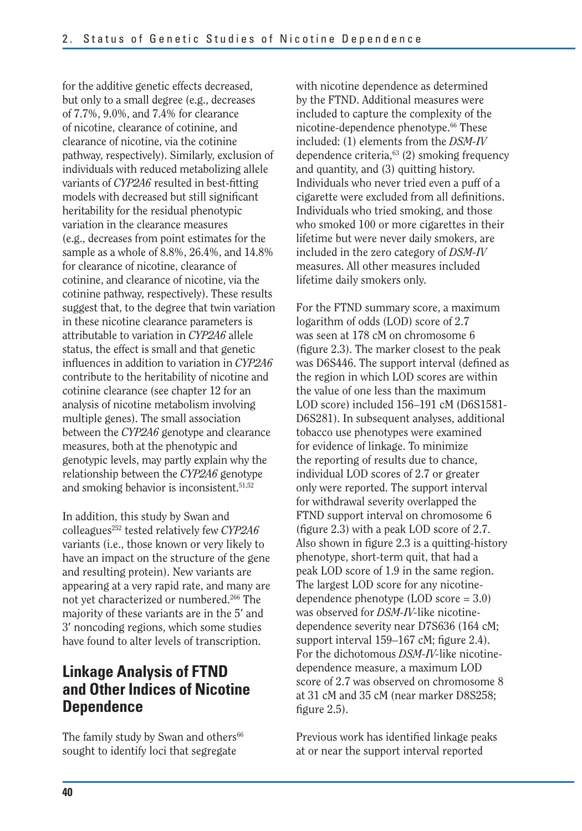for the additive genetic effects decreased, but only to a small degree (e.g., decreases of 7.7%, 9.0%, and 7.4% for clearance of nicotine, clearance of cotinine, and clearance of nicotine, via the cotinine pathway, respectively). Similarly, exclusion of individuals with reduced metabolizing allele variants of *CYP2A6* resulted in best-fitting models with decreased but still significant heritability for the residual phenotypic variation in the clearance measures (e.g., decreases from point estimates for the sample as a whole of 8.8%, 26.4%, and 14.8% for clearance of nicotine, clearance of cotinine, and clearance of nicotine, via the cotinine pathway, respectively). These results suggest that, to the degree that twin variation in these nicotine clearance parameters is attributable to variation in *CYP2A6* allele status, the effect is small and that genetic influences in addition to variation in *CYP2A6*  contribute to the heritability of nicotine and cotinine clearance (see chapter 12 for an analysis of nicotine metabolism involving multiple genes). The small association between the *CYP2A6* genotype and clearance measures, both at the phenotypic and genotypic levels, may partly explain why the relationship between the *CYP2A6* genotype and smoking behavior is inconsistent.<sup>51,52</sup>

In addition, this study by Swan and colleagues252 tested relatively few *CYP2A6*  variants (i.e., those known or very likely to have an impact on the structure of the gene and resulting protein). New variants are appearing at a very rapid rate, and many are not yet characterized or numbered.266 The majority of these variants are in the 5′ and 3′ noncoding regions, which some studies have found to alter levels of transcription.

### **Linkage Analysis of FTND and Other Indices of Nicotine Dependence**

The family study by Swan and others<sup>66</sup> sought to identify loci that segregate

with nicotine dependence as determined by the FTND. Additional measures were included to capture the complexity of the nicotine-dependence phenotype.66 These included: (1) elements from the *DSM-IV*  dependence criteria,<sup>63</sup> (2) smoking frequency and quantity, and (3) quitting history. Individuals who never tried even a puff of a cigarette were excluded from all definitions. Individuals who tried smoking, and those who smoked 100 or more cigarettes in their lifetime but were never daily smokers, are included in the zero category of *DSM-IV*  measures. All other measures included lifetime daily smokers only.

For the FTND summary score, a maximum logarithm of odds (LOD) score of 2.7 was seen at 178 cM on chromosome 6 (figure 2.3). The marker closest to the peak was D6S446. The support interval (defined as the region in which LOD scores are within the value of one less than the maximum LOD score) included 156–191 cM (D6S1581 D6S281). In subsequent analyses, additional tobacco use phenotypes were examined for evidence of linkage. To minimize the reporting of results due to chance, individual LOD scores of 2.7 or greater only were reported. The support interval for withdrawal severity overlapped the FTND support interval on chromosome 6 (figure 2.3) with a peak LOD score of 2.7. Also shown in figure 2.3 is a quitting-history phenotype, short-term quit, that had a peak LOD score of 1.9 in the same region. The largest LOD score for any nicotinedependence phenotype (LOD score = 3.0) was observed for *DSM-IV-*like nicotinedependence severity near D7S636 (164 cM; support interval  $159-167$  cM; figure 2.4). For the dichotomous *DSM-IV-*like nicotinedependence measure, a maximum LOD score of 2.7 was observed on chromosome 8 at 31 cM and 35 cM (near marker D8S258; figure  $2.5$ ).

Previous work has identified linkage peaks at or near the support interval reported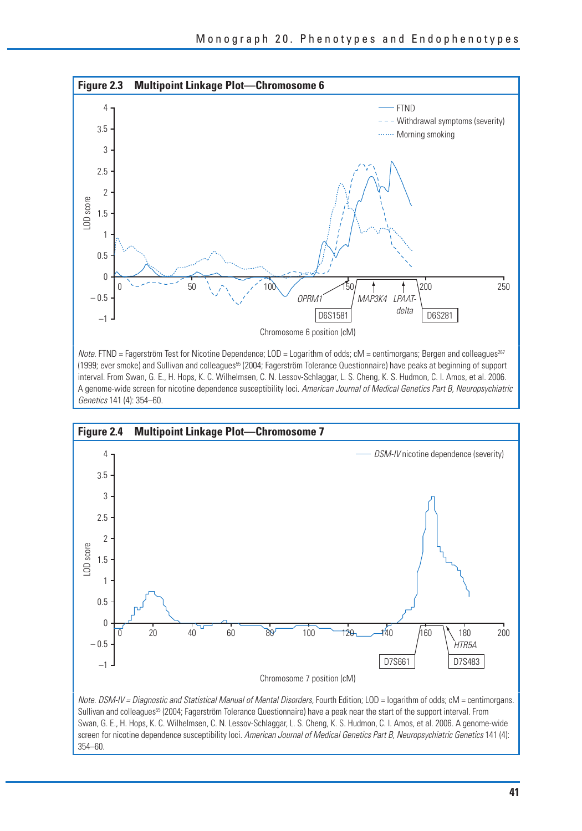

Note. FTND = Fagerström Test for Nicotine Dependence; LOD = Logarithm of odds; cM = centimorgans; Bergen and colleagues<sup>267</sup> (1999; ever smoke) and Sullivan and colleagues55 (2004; Fagerström Tolerance Questionnaire) have peaks at beginning of support interval. From Swan, G. E., H. Hops, K. C. Wilhelmsen, C. N. Lessov-Schlaggar, L. S. Cheng, K. S. Hudmon, C. I. Amos, et al. 2006. A genome-wide screen for nicotine dependence susceptibility loci. American Journal of Medical Genetics Part B, Neuropsychiatric Genetics 141 (4): 354–60.



Sullivan and colleagues<sup>55</sup> (2004; Fagerström Tolerance Questionnaire) have a peak near the start of the support interval. From Swan, G. E., H. Hops, K. C. Wilhelmsen, C. N. Lessov-Schlaggar, L. S. Cheng, K. S. Hudmon, C. I. Amos, et al. 2006. A genome-wide screen for nicotine dependence susceptibility loci. American Journal of Medical Genetics Part B, Neuropsychiatric Genetics 141 (4): 354–60.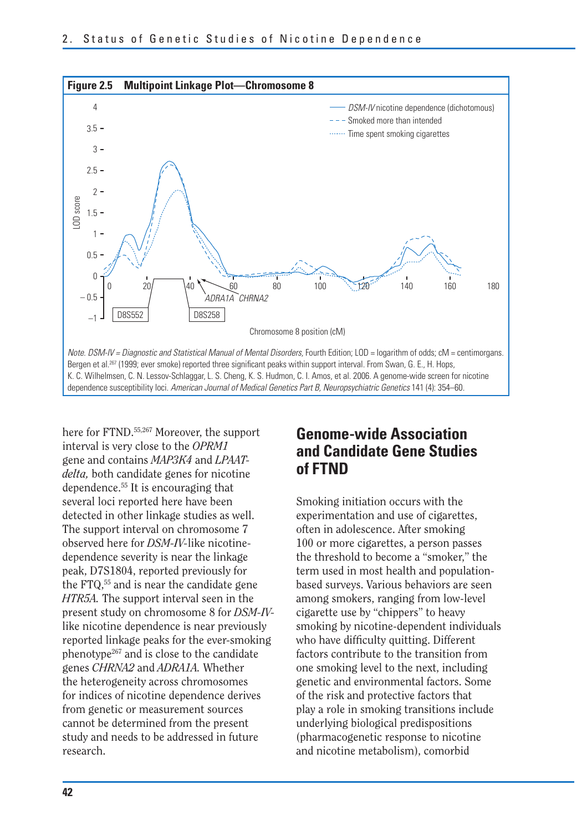

here for FTND.<sup>55,267</sup> Moreover, the support interval is very close to the *OPRM1*  gene and contains *MAP3K4* and *LPAATdelta,* both candidate genes for nicotine dependence.55 It is encouraging that several loci reported here have been detected in other linkage studies as well. The support interval on chromosome 7 observed here for *DSM-IV-*like nicotinedependence severity is near the linkage peak, D7S1804, reported previously for the FTQ,55 and is near the candidate gene *HTR5A.* The support interval seen in the present study on chromosome 8 for *DSM-IV*like nicotine dependence is near previously reported linkage peaks for the ever-smoking phenotype<sup>267</sup> and is close to the candidate genes *CHRNA2* and *ADRA1A.* Whether the heterogeneity across chromosomes for indices of nicotine dependence derives from genetic or measurement sources cannot be determined from the present study and needs to be addressed in future research.

### **Genome-wide Association and Candidate Gene Studies of FTND**

Smoking initiation occurs with the experimentation and use of cigarettes, often in adolescence. After smoking 100 or more cigarettes, a person passes the threshold to become a "smoker," the term used in most health and populationbased surveys. Various behaviors are seen among smokers, ranging from low-level cigarette use by "chippers" to heavy smoking by nicotine-dependent individuals who have difficulty quitting. Different factors contribute to the transition from one smoking level to the next, including genetic and environmental factors. Some of the risk and protective factors that play a role in smoking transitions include underlying biological predispositions (pharmacogenetic response to nicotine and nicotine metabolism), comorbid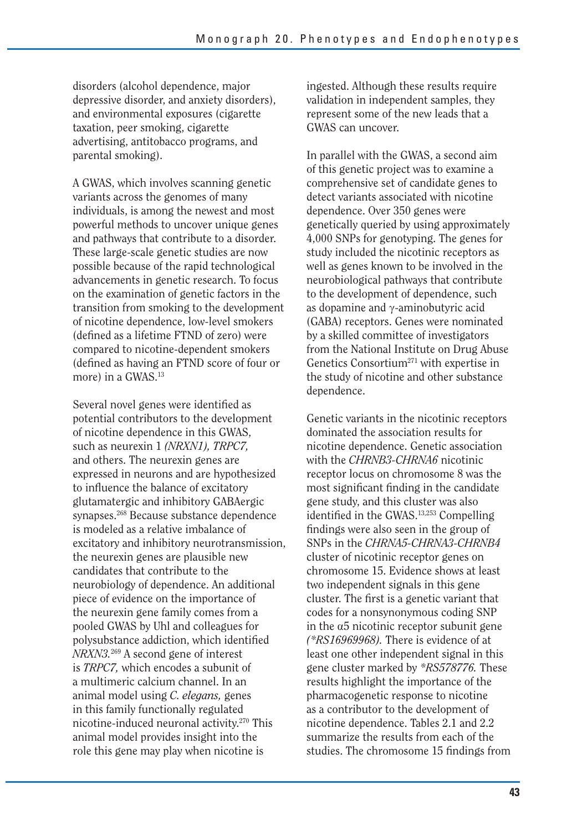disorders (alcohol dependence, major depressive disorder, and anxiety disorders), and environmental exposures (cigarette taxation, peer smoking, cigarette advertising, antitobacco programs, and parental smoking).

A GWAS, which involves scanning genetic variants across the genomes of many individuals, is among the newest and most powerful methods to uncover unique genes and pathways that contribute to a disorder. These large-scale genetic studies are now possible because of the rapid technological advancements in genetic research. To focus on the examination of genetic factors in the transition from smoking to the development of nicotine dependence, low-level smokers (defined as a lifetime FTND of zero) were compared to nicotine-dependent smokers (defined as having an FTND score of four or more) in a GWAS.<sup>13</sup>

Several novel genes were identified as potential contributors to the development of nicotine dependence in this GWAS, such as neurexin 1 *(NRXN1), TRPC7,*  and others. The neurexin genes are expressed in neurons and are hypothesized to influence the balance of excitatory glutamatergic and inhibitory GABAergic synapses.268 Because substance dependence is modeled as a relative imbalance of excitatory and inhibitory neurotransmission, the neurexin genes are plausible new candidates that contribute to the neurobiology of dependence. An additional piece of evidence on the importance of the neurexin gene family comes from a pooled GWAS by Uhl and colleagues for polysubstance addiction, which identified *NRXN3.*269 A second gene of interest is *TRPC7,* which encodes a subunit of a multimeric calcium channel. In an animal model using *C. elegans,* genes in this family functionally regulated nicotine-induced neuronal activity.270 This animal model provides insight into the role this gene may play when nicotine is

ingested. Although these results require validation in independent samples, they represent some of the new leads that a GWAS can uncover.

In parallel with the GWAS, a second aim of this genetic project was to examine a comprehensive set of candidate genes to detect variants associated with nicotine dependence. Over 350 genes were genetically queried by using approximately 4,000 SNPs for genotyping. The genes for study included the nicotinic receptors as well as genes known to be involved in the neurobiological pathways that contribute to the development of dependence, such as dopamine and  $\gamma$ -aminobutyric acid (GABA) receptors. Genes were nominated by a skilled committee of investigators from the National Institute on Drug Abuse Genetics Consortium271 with expertise in the study of nicotine and other substance dependence.

Genetic variants in the nicotinic receptors dominated the association results for nicotine dependence. Genetic association with the *CHRNB3-CHRNA6* nicotinic receptor locus on chromosome 8 was the most significant finding in the candidate gene study, and this cluster was also identified in the GWAS.13,253 Compelling findings were also seen in the group of SNPs in the *CHRNA5-CHRNA3-CHRNB4*  cluster of nicotinic receptor genes on chromosome 15. Evidence shows at least two independent signals in this gene cluster. The first is a genetic variant that codes for a nonsynonymous coding SNP in the  $\alpha$ 5 nicotinic receptor subunit gene *(\*RS16969968).* There is evidence of at least one other independent signal in this gene cluster marked by *\*RS578776.* These results highlight the importance of the pharmacogenetic response to nicotine as a contributor to the development of nicotine dependence. Tables 2.1 and 2.2 summarize the results from each of the studies. The chromosome 15 findings from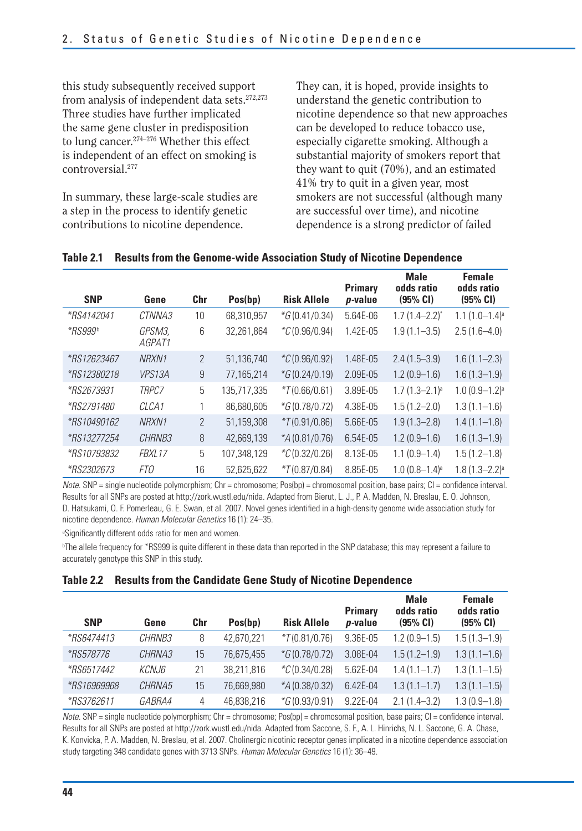this study subsequently received support from analysis of independent data sets.<sup>272,273</sup> Three studies have further implicated the same gene cluster in predisposition to lung cancer.<sup>274-276</sup> Whether this effect is independent of an effect on smoking is controversial.277

In summary, these large-scale studies are a step in the process to identify genetic contributions to nicotine dependence.

They can, it is hoped, provide insights to understand the genetic contribution to nicotine dependence so that new approaches can be developed to reduce tobacco use, especially cigarette smoking. Although a substantial majority of smokers report that they want to quit (70%), and an estimated 41% try to quit in a given year, most smokers are not successful (although many are successful over time), and nicotine dependence is a strong predictor of failed

| <b>SNP</b>         | Gene              | Chr            | Pos(bp)     | <b>Risk Allele</b>  | <b>Primary</b><br><i>p</i> -value | <b>Male</b><br>odds ratio<br>(95% CI) | <b>Female</b><br>odds ratio<br>(95% CI) |
|--------------------|-------------------|----------------|-------------|---------------------|-----------------------------------|---------------------------------------|-----------------------------------------|
| <i>*RS4142041</i>  | CTNNA3            | 10             | 68,310,957  | $*G(0.41/0.34)$     | 5.64E-06                          | $1.7(1.4 - 2.2)^{*}$                  | $1.1(1.0-1.4)^a$                        |
| *RS999b            | GPSM3.<br>AGPAT1  | 6              | 32,261,864  | ${}^*C(0.96/0.94)$  | 1.42E-05                          | $1.9(1.1 - 3.5)$                      | $2.5(1.6-4.0)$                          |
| <i>*RS12623467</i> | NRXN1             | $\overline{2}$ | 51,136,740  | ${}^*C(0.96/0.92)$  | 1.48E-05                          | $2.4(1.5-3.9)$                        | $1.6(1.1 - 2.3)$                        |
| <i>*RS12380218</i> | <b>VPS13A</b>     | 9              | 77,165,214  | $*G(0.24/0.19)$     | 2.09E-05                          | $1.2(0.9-1.6)$                        | $1.6(1.3-1.9)$                          |
| *RS2673931         | TRPC7             | 5              | 135,717,335 | $*7(0.66/0.61)$     | 3.89E-05                          | $1.7(1.3 - 2.1)^a$                    | $1.0(0.9-1.2)$ <sup>a</sup>             |
| <i>*RS2791480</i>  | CLCA <sub>1</sub> |                | 86,680,605  | $*G(0.78/0.72)$     | 4.38E-05                          | $1.5(1.2 - 2.0)$                      | $1.3(1.1-1.6)$                          |
| *RS10490162        | NRXN1             | $\overline{2}$ | 51,159,308  | $*7(0.91/0.86)$     | 5.66E-05                          | $1.9(1.3 - 2.8)$                      | $1.4(1.1-1.8)$                          |
| <i>*RS13277254</i> | CHRNB3            | 8              | 42,669,139  | $*$ A $(0.81/0.76)$ | 6.54E-05                          | $1.2(0.9-1.6)$                        | $1.6(1.3-1.9)$                          |
| <i>*RS10793832</i> | FBXL17            | 5              | 107,348,129 | ${}^*C(0.32/0.26)$  | 8.13E-05                          | $1.1(0.9-1.4)$                        | $1.5(1.2-1.8)$                          |
| <i>*RS2302673</i>  | FTO               | 16             | 52,625,622  | $*7(0.87/0.84)$     | 8.85E-05                          | $1.0(0.8-1.4)$ <sup>a</sup>           | $1.8(1.3 - 2.2)^a$                      |

#### **Table 2.1 Results from the Genome-wide Association Study of Nicotine Dependence**

 $Note.$  SNP = single nucleotide polymorphism: Chr = chromosome: Pos(bp) = chromosomal position, base pairs: CI = confidence interval. Results for all SNPs are posted at http://zork.wustl.edu/nida. Adapted from Bierut, L. J., P. A. Madden, N. Breslau, E. O. Johnson, D. Hatsukami, O. F. Pomerleau, G. E. Swan, et al. 2007. Novel genes identified in a high-density genome wide association study for nicotine dependence. Human Molecular Genetics 16 (1): 24–35.

<sup>a</sup>Significantly different odds ratio for men and women.

b The allele frequency for \*RS999 is quite different in these data than reported in the SNP database; this may represent a failure to accurately genotype this SNP in this study.

|  | Table 2.2 Results from the Candidate Gene Study of Nicotine Dependence |  |  |  |  |
|--|------------------------------------------------------------------------|--|--|--|--|
|--|------------------------------------------------------------------------|--|--|--|--|

| <b>SNP</b>         | Gene          | Chr | Pos(bp)    | <b>Risk Allele</b>    | <b>Primary</b><br><i>p</i> -value | <b>Male</b><br>odds ratio<br>(95% CI) | <b>Female</b><br>odds ratio<br>(95% CI) |
|--------------------|---------------|-----|------------|-----------------------|-----------------------------------|---------------------------------------|-----------------------------------------|
| <i>*RS6474413</i>  | <i>CHRNB3</i> | 8   | 42,670,221 | $*7(0.81/0.76)$       | 9.36E-05                          | $1.2(0.9-1.5)$                        | $1.5(1.3-1.9)$                          |
| <i>*RS578776</i>   | CHRNA3        | 15  | 76,675,455 | $*G(0.78/0.72)$       | 3.08E-04                          | $1.5(1.2 - 1.9)$                      | $1.3(1.1-1.6)$                          |
| <i>*RS6517442</i>  | KCNJ6         | 21  | 38.211.816 | $^{\ast}C(0.34/0.28)$ | 5.62E-04                          | $1.4(1.1-1.7)$                        | $1.3(1.1 - 1.5)$                        |
| <i>*RS16969968</i> | CHRNA5        | 15  | 76,669,980 | $*$ A (0.38/0.32)     | 6.42E-04                          | $1.3(1.1 - 1.7)$                      | $1.3(1.1 - 1.5)$                        |
| <i>*RS3762611</i>  | <i>GABRA4</i> | 4   | 46.838.216 | $*G(0.93/0.91)$       | 9.22E-04                          | $2.1(1.4 - 3.2)$                      | $1.3(0.9-1.8)$                          |

 $Note.$  SNP = single nucleotide polymorphism; Chr = chromosome; Pos(bp) = chromosomal position, base pairs; CI = confidence interval. Results for all SNPs are posted at http://zork.wustl.edu/nida. Adapted from Saccone, S. F., A. L. Hinrichs, N. L. Saccone, G. A. Chase, K. Konvicka, P. A. Madden, N. Breslau, et al. 2007. Cholinergic nicotinic receptor genes implicated in a nicotine dependence association study targeting 348 candidate genes with 3713 SNPs. Human Molecular Genetics 16 (1): 36-49.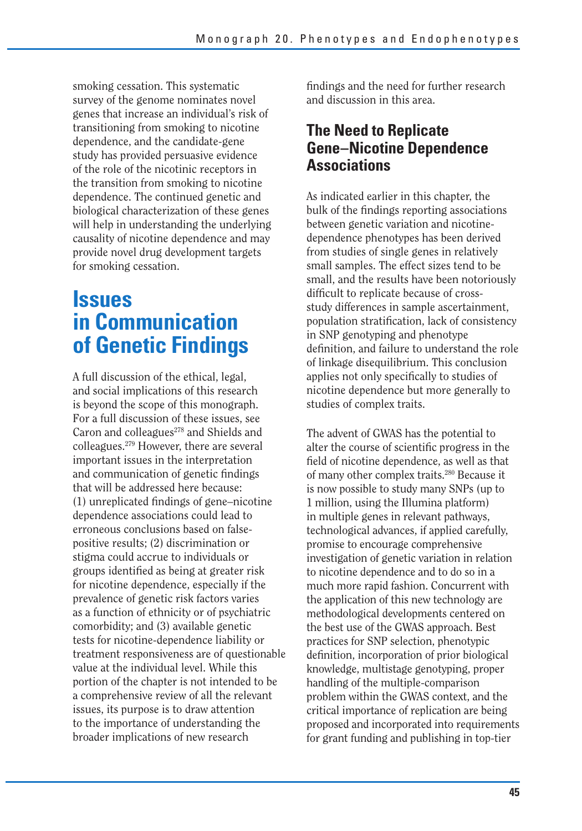smoking cessation. This systematic survey of the genome nominates novel genes that increase an individual's risk of transitioning from smoking to nicotine dependence, and the candidate-gene study has provided persuasive evidence of the role of the nicotinic receptors in the transition from smoking to nicotine dependence. The continued genetic and biological characterization of these genes will help in understanding the underlying causality of nicotine dependence and may provide novel drug development targets for smoking cessation.

### **Issues in Communication of Genetic Findings**

A full discussion of the ethical, legal, and social implications of this research is beyond the scope of this monograph. For a full discussion of these issues, see Caron and colleagues<sup>278</sup> and Shields and colleagues.279 However, there are several important issues in the interpretation and communication of genetic findings that will be addressed here because: (1) unreplicated findings of gene–nicotine dependence associations could lead to erroneous conclusions based on falsepositive results; (2) discrimination or stigma could accrue to individuals or groups identified as being at greater risk for nicotine dependence, especially if the prevalence of genetic risk factors varies as a function of ethnicity or of psychiatric comorbidity; and (3) available genetic tests for nicotine-dependence liability or treatment responsiveness are of questionable value at the individual level. While this portion of the chapter is not intended to be a comprehensive review of all the relevant issues, its purpose is to draw attention to the importance of understanding the broader implications of new research

findings and the need for further research and discussion in this area.

### **The Need to Replicate Gene–Nicotine Dependence Associations**

As indicated earlier in this chapter, the bulk of the findings reporting associations between genetic variation and nicotinedependence phenotypes has been derived from studies of single genes in relatively small samples. The effect sizes tend to be small, and the results have been notoriously difficult to replicate because of crossstudy differences in sample ascertainment, population stratification, lack of consistency in SNP genotyping and phenotype definition, and failure to understand the role of linkage disequilibrium. This conclusion applies not only specifically to studies of nicotine dependence but more generally to studies of complex traits.

The advent of GWAS has the potential to alter the course of scientific progress in the field of nicotine dependence, as well as that of many other complex traits.280 Because it is now possible to study many SNPs (up to 1 million, using the Illumina platform) in multiple genes in relevant pathways, technological advances, if applied carefully, promise to encourage comprehensive investigation of genetic variation in relation to nicotine dependence and to do so in a much more rapid fashion. Concurrent with the application of this new technology are methodological developments centered on the best use of the GWAS approach. Best practices for SNP selection, phenotypic definition, incorporation of prior biological knowledge, multistage genotyping, proper handling of the multiple-comparison problem within the GWAS context, and the critical importance of replication are being proposed and incorporated into requirements for grant funding and publishing in top-tier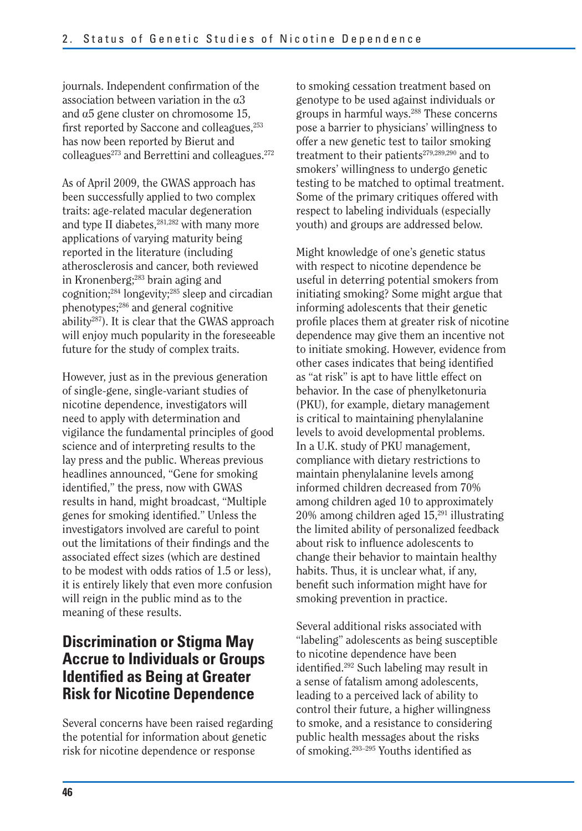journals. Independent confirmation of the association between variation in the a3 and  $\alpha$ 5 gene cluster on chromosome 15, first reported by Saccone and colleagues,<sup>253</sup> has now been reported by Bierut and  $\text{colleagues}^{273}$  and Berrettini and colleagues.<sup>272</sup>

As of April 2009, the GWAS approach has been successfully applied to two complex traits: age-related macular degeneration and type II diabetes, $281,282$  with many more applications of varying maturity being reported in the literature (including atherosclerosis and cancer, both reviewed in Kronenberg;<sup>283</sup> brain aging and cognition;284 longevity;285 sleep and circadian phenotypes;286 and general cognitive ability287). It is clear that the GWAS approach will enjoy much popularity in the foreseeable future for the study of complex traits.

However, just as in the previous generation of single-gene, single-variant studies of nicotine dependence, investigators will need to apply with determination and vigilance the fundamental principles of good science and of interpreting results to the lay press and the public. Whereas previous headlines announced, "Gene for smoking identified," the press, now with GWAS results in hand, might broadcast, "Multiple genes for smoking identified." Unless the investigators involved are careful to point out the limitations of their findings and the associated effect sizes (which are destined to be modest with odds ratios of 1.5 or less), it is entirely likely that even more confusion will reign in the public mind as to the meaning of these results.

### **Discrimination or Stigma May Accrue to Individuals or Groups Identified as Being at Greater Risk for Nicotine Dependence**

Several concerns have been raised regarding the potential for information about genetic risk for nicotine dependence or response

to smoking cessation treatment based on genotype to be used against individuals or groups in harmful ways.288 These concerns pose a barrier to physicians' willingness to offer a new genetic test to tailor smoking treatment to their patients<sup>279,289,290</sup> and to smokers' willingness to undergo genetic testing to be matched to optimal treatment. Some of the primary critiques offered with respect to labeling individuals (especially youth) and groups are addressed below.

Might knowledge of one's genetic status with respect to nicotine dependence be useful in deterring potential smokers from initiating smoking? Some might argue that informing adolescents that their genetic profile places them at greater risk of nicotine dependence may give them an incentive not to initiate smoking. However, evidence from other cases indicates that being identified as "at risk" is apt to have little effect on behavior. In the case of phenylketonuria (PKU), for example, dietary management is critical to maintaining phenylalanine levels to avoid developmental problems. In a U.K. study of PKU management, compliance with dietary restrictions to maintain phenylalanine levels among informed children decreased from 70% among children aged 10 to approximately  $20\%$  among children aged  $15<sup>291</sup>$  illustrating the limited ability of personalized feedback about risk to influence adolescents to change their behavior to maintain healthy habits. Thus, it is unclear what, if any, benefit such information might have for smoking prevention in practice.

Several additional risks associated with "labeling" adolescents as being susceptible to nicotine dependence have been identified.<sup>292</sup> Such labeling may result in a sense of fatalism among adolescents, leading to a perceived lack of ability to control their future, a higher willingness to smoke, and a resistance to considering public health messages about the risks of smoking.<sup>293–295</sup> Youths identified as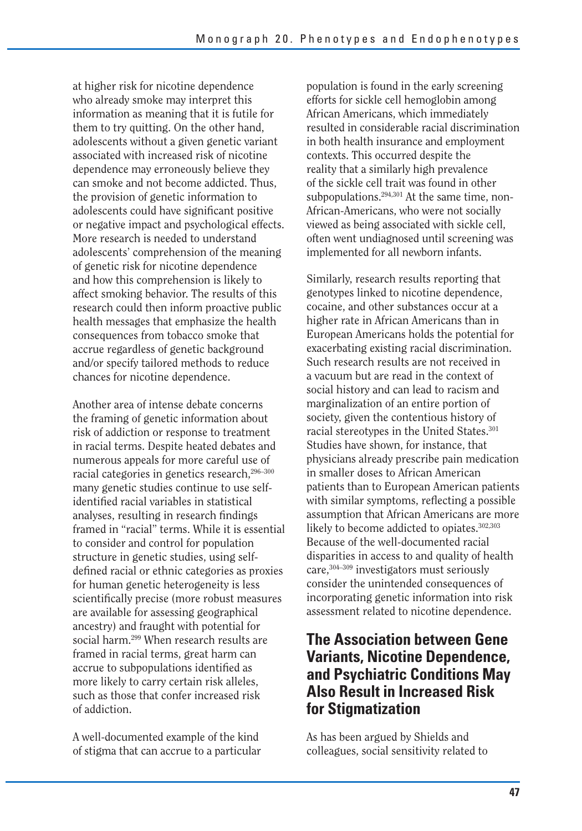at higher risk for nicotine dependence who already smoke may interpret this information as meaning that it is futile for them to try quitting. On the other hand, adolescents without a given genetic variant associated with increased risk of nicotine dependence may erroneously believe they can smoke and not become addicted. Thus, the provision of genetic information to adolescents could have significant positive or negative impact and psychological effects. More research is needed to understand adolescents' comprehension of the meaning of genetic risk for nicotine dependence and how this comprehension is likely to affect smoking behavior. The results of this research could then inform proactive public health messages that emphasize the health consequences from tobacco smoke that accrue regardless of genetic background and/or specify tailored methods to reduce chances for nicotine dependence.

Another area of intense debate concerns the framing of genetic information about risk of addiction or response to treatment in racial terms. Despite heated debates and numerous appeals for more careful use of racial categories in genetics research,<sup>296–300</sup> many genetic studies continue to use selfidentified racial variables in statistical analyses, resulting in research findings framed in "racial" terms. While it is essential to consider and control for population structure in genetic studies, using selfdefined racial or ethnic categories as proxies for human genetic heterogeneity is less scientifically precise (more robust measures are available for assessing geographical ancestry) and fraught with potential for social harm.299 When research results are framed in racial terms, great harm can accrue to subpopulations identified as more likely to carry certain risk alleles, such as those that confer increased risk of addiction.

A well-documented example of the kind of stigma that can accrue to a particular population is found in the early screening efforts for sickle cell hemoglobin among African Americans, which immediately resulted in considerable racial discrimination in both health insurance and employment contexts. This occurred despite the reality that a similarly high prevalence of the sickle cell trait was found in other subpopulations.<sup>294,301</sup> At the same time, non-African-Americans, who were not socially viewed as being associated with sickle cell, often went undiagnosed until screening was implemented for all newborn infants.

Similarly, research results reporting that genotypes linked to nicotine dependence, cocaine, and other substances occur at a higher rate in African Americans than in European Americans holds the potential for exacerbating existing racial discrimination. Such research results are not received in a vacuum but are read in the context of social history and can lead to racism and marginalization of an entire portion of society, given the contentious history of racial stereotypes in the United States.<sup>301</sup> Studies have shown, for instance, that physicians already prescribe pain medication in smaller doses to African American patients than to European American patients with similar symptoms, reflecting a possible assumption that African Americans are more likely to become addicted to opiates.<sup>302,303</sup> Because of the well-documented racial disparities in access to and quality of health care,304–309 investigators must seriously consider the unintended consequences of incorporating genetic information into risk assessment related to nicotine dependence.

### **The Association between Gene Variants, Nicotine Dependence, and Psychiatric Conditions May Also Result in Increased Risk for Stigmatization**

As has been argued by Shields and colleagues, social sensitivity related to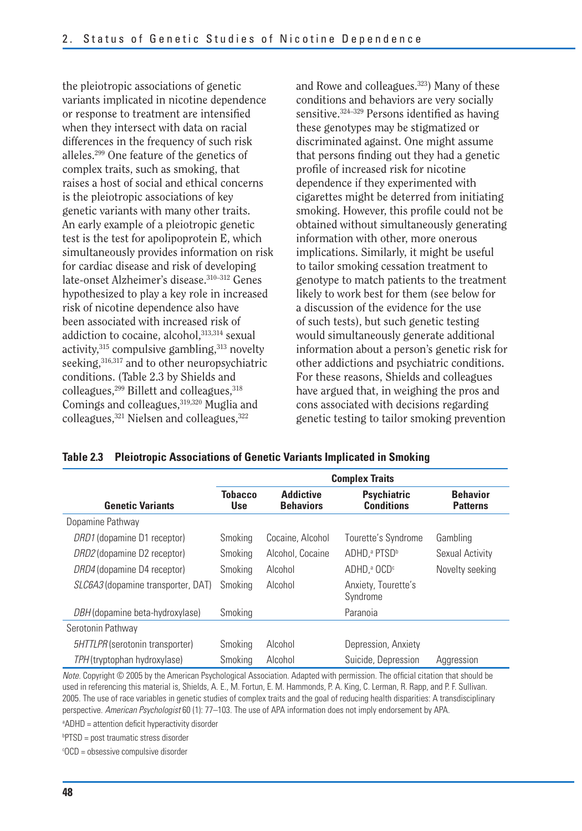the pleiotropic associations of genetic variants implicated in nicotine dependence or response to treatment are intensified when they intersect with data on racial differences in the frequency of such risk alleles.299 One feature of the genetics of complex traits, such as smoking, that raises a host of social and ethical concerns is the pleiotropic associations of key genetic variants with many other traits. An early example of a pleiotropic genetic test is the test for apolipoprotein E, which simultaneously provides information on risk for cardiac disease and risk of developing late-onset Alzheimer's disease.<sup>310-312</sup> Genes hypothesized to play a key role in increased risk of nicotine dependence also have been associated with increased risk of addiction to cocaine, alcohol, 313,314 sexual activity,  $315$  compulsive gambling,  $313$  novelty seeking, 316,317 and to other neuropsychiatric conditions. (Table 2.3 by Shields and  $\text{colle}$ agues,<sup>299</sup> Billett and colleagues,<sup>318</sup> Comings and colleagues, 319,320 Muglia and colleagues,<sup>321</sup> Nielsen and colleagues.<sup>322</sup>

and Rowe and colleagues.323) Many of these conditions and behaviors are very socially sensitive.324–329 Persons identified as having these genotypes may be stigmatized or discriminated against. One might assume that persons finding out they had a genetic profile of increased risk for nicotine dependence if they experimented with cigarettes might be deterred from initiating smoking. However, this profile could not be obtained without simultaneously generating information with other, more onerous implications. Similarly, it might be useful to tailor smoking cessation treatment to genotype to match patients to the treatment likely to work best for them (see below for a discussion of the evidence for the use of such tests), but such genetic testing would simultaneously generate additional information about a person's genetic risk for other addictions and psychiatric conditions. For these reasons, Shields and colleagues have argued that, in weighing the pros and cons associated with decisions regarding genetic testing to tailor smoking prevention

|  | Table 2.3 Pleiotropic Associations of Genetic Variants Implicated in Smoking |  |
|--|------------------------------------------------------------------------------|--|
|--|------------------------------------------------------------------------------|--|

|                                           | <b>Complex Traits</b>        |                                      |                                         |                                    |
|-------------------------------------------|------------------------------|--------------------------------------|-----------------------------------------|------------------------------------|
| <b>Genetic Variants</b>                   | <b>Tobacco</b><br><b>Use</b> | <b>Addictive</b><br><b>Behaviors</b> | <b>Psychiatric</b><br><b>Conditions</b> | <b>Behavior</b><br><b>Patterns</b> |
| Dopamine Pathway                          |                              |                                      |                                         |                                    |
| DRD1 (dopamine D1 receptor)               | Smoking                      | Cocaine, Alcohol                     | Tourette's Syndrome                     | Gambling                           |
| DRD2 (dopamine D2 receptor)               | Smoking                      | Alcohol, Cocaine                     | ADHD, <sup>a</sup> PTSD <sup>b</sup>    | Sexual Activity                    |
| DRD4 (dopamine D4 receptor)               | Smoking                      | Alcohol                              | ADHD. <sup>a</sup> OCD <sup>c</sup>     | Novelty seeking                    |
| <i>SLC6A3</i> (dopamine transporter, DAT) | Smoking                      | Alcohol                              | Anxiety, Tourette's<br>Syndrome         |                                    |
| DBH (dopamine beta-hydroxylase)           | Smoking                      |                                      | Paranoia                                |                                    |
| Serotonin Pathway                         |                              |                                      |                                         |                                    |
| 5HTTLPR (serotonin transporter)           | Smoking                      | Alcohol                              | Depression, Anxiety                     |                                    |
| TPH (tryptophan hydroxylase)              | Smoking                      | Alcohol                              | Suicide, Depression                     | Aggression                         |

Note. Copyright © 2005 by the American Psychological Association. Adapted with permission. The official citation that should be used in referencing this material is, Shields, A. E., M. Fortun, E. M. Hammonds, P. A. King, C. Lerman, R. Rapp, and P. F. Sullivan. 2005. The use of race variables in genetic studies of complex traits and the goal of reducing health disparities: A transdisciplinary perspective. American Psychologist 60 (1): 77-103. The use of APA information does not imply endorsement by APA.

<sup>a</sup>ADHD = attention deficit hyperactivity disorder

b PTSD = post traumatic stress disorder

c OCD = obsessive compulsive disorder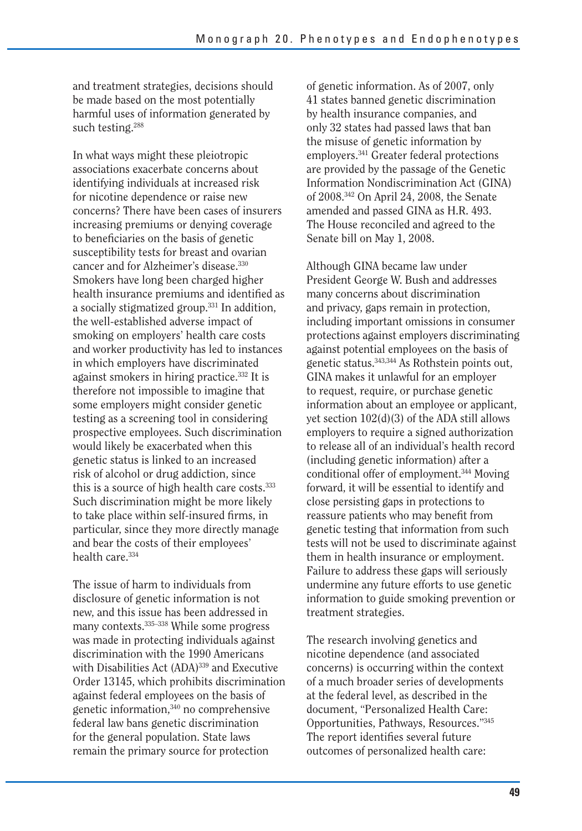and treatment strategies, decisions should be made based on the most potentially harmful uses of information generated by such testing.288

In what ways might these pleiotropic associations exacerbate concerns about identifying individuals at increased risk for nicotine dependence or raise new concerns? There have been cases of insurers increasing premiums or denying coverage to beneficiaries on the basis of genetic susceptibility tests for breast and ovarian cancer and for Alzheimer's disease.330 Smokers have long been charged higher health insurance premiums and identified as a socially stigmatized group.331 In addition, the well-established adverse impact of smoking on employers' health care costs and worker productivity has led to instances in which employers have discriminated against smokers in hiring practice.332 It is therefore not impossible to imagine that some employers might consider genetic testing as a screening tool in considering prospective employees. Such discrimination would likely be exacerbated when this genetic status is linked to an increased risk of alcohol or drug addiction, since this is a source of high health care costs.<sup>333</sup> Such discrimination might be more likely to take place within self-insured firms, in particular, since they more directly manage and bear the costs of their employees' health care.<sup>334</sup>

The issue of harm to individuals from disclosure of genetic information is not new, and this issue has been addressed in many contexts.335–338 While some progress was made in protecting individuals against discrimination with the 1990 Americans with Disabilities Act (ADA)<sup>339</sup> and Executive Order 13145, which prohibits discrimination against federal employees on the basis of genetic information,340 no comprehensive federal law bans genetic discrimination for the general population. State laws remain the primary source for protection

of genetic information. As of 2007, only 41 states banned genetic discrimination by health insurance companies, and only 32 states had passed laws that ban the misuse of genetic information by employers.341 Greater federal protections are provided by the passage of the Genetic Information Nondiscrimination Act (GINA) of 2008.342 On April 24, 2008, the Senate amended and passed GINA as H.R. 493. The House reconciled and agreed to the Senate bill on May 1, 2008.

Although GINA became law under President George W. Bush and addresses many concerns about discrimination and privacy, gaps remain in protection, including important omissions in consumer protections against employers discriminating against potential employees on the basis of genetic status.343,344 As Rothstein points out, GINA makes it unlawful for an employer to request, require, or purchase genetic information about an employee or applicant, yet section 102(d)(3) of the ADA still allows employers to require a signed authorization to release all of an individual's health record (including genetic information) after a conditional offer of employment.344 Moving forward, it will be essential to identify and close persisting gaps in protections to reassure patients who may benefit from genetic testing that information from such tests will not be used to discriminate against them in health insurance or employment. Failure to address these gaps will seriously undermine any future efforts to use genetic information to guide smoking prevention or treatment strategies.

The research involving genetics and nicotine dependence (and associated concerns) is occurring within the context of a much broader series of developments at the federal level, as described in the document, "Personalized Health Care: Opportunities, Pathways, Resources."345 The report identifies several future outcomes of personalized health care: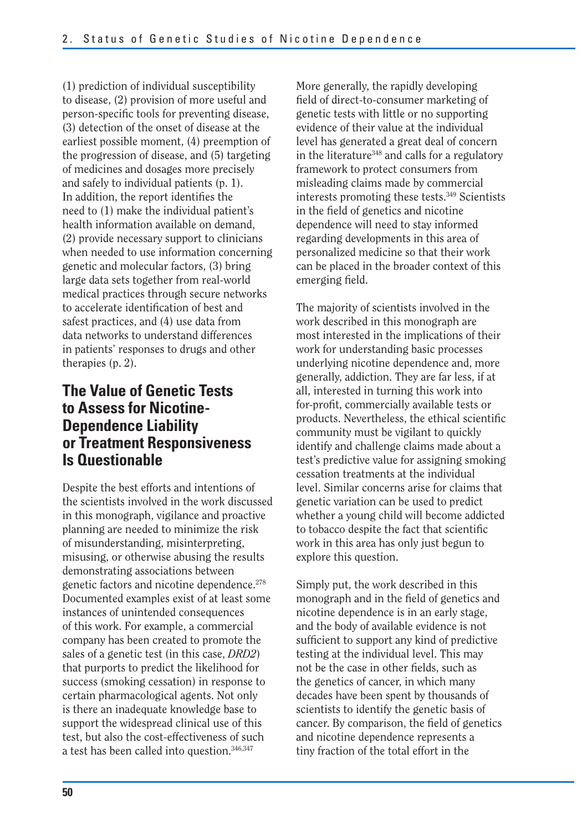(1) prediction of individual susceptibility to disease, (2) provision of more useful and person-specific tools for preventing disease, (3) detection of the onset of disease at the earliest possible moment, (4) preemption of the progression of disease, and (5) targeting of medicines and dosages more precisely and safely to individual patients (p. 1). In addition, the report identifies the need to (1) make the individual patient's health information available on demand, (2) provide necessary support to clinicians when needed to use information concerning genetic and molecular factors, (3) bring large data sets together from real-world medical practices through secure networks to accelerate identification of best and safest practices, and (4) use data from data networks to understand differences in patients' responses to drugs and other therapies (p. 2).

### **The Value of Genetic Tests to Assess for Nicotine-Dependence Liability or Treatment Responsiveness Is Questionable**

Despite the best efforts and intentions of the scientists involved in the work discussed in this monograph, vigilance and proactive planning are needed to minimize the risk of misunderstanding, misinterpreting, misusing, or otherwise abusing the results demonstrating associations between genetic factors and nicotine dependence.278 Documented examples exist of at least some instances of unintended consequences of this work. For example, a commercial company has been created to promote the sales of a genetic test (in this case, *DRD2*) that purports to predict the likelihood for success (smoking cessation) in response to certain pharmacological agents. Not only is there an inadequate knowledge base to support the widespread clinical use of this test, but also the cost-effectiveness of such a test has been called into question.<sup>346,347</sup>

More generally, the rapidly developing field of direct-to-consumer marketing of genetic tests with little or no supporting evidence of their value at the individual level has generated a great deal of concern in the literature<sup>348</sup> and calls for a regulatory framework to protect consumers from misleading claims made by commercial interests promoting these tests.349 Scientists in the field of genetics and nicotine dependence will need to stay informed regarding developments in this area of personalized medicine so that their work can be placed in the broader context of this emerging field.

The majority of scientists involved in the work described in this monograph are most interested in the implications of their work for understanding basic processes underlying nicotine dependence and, more generally, addiction. They are far less, if at all, interested in turning this work into for-profit, commercially available tests or products. Nevertheless, the ethical scientific community must be vigilant to quickly identify and challenge claims made about a test's predictive value for assigning smoking cessation treatments at the individual level. Similar concerns arise for claims that genetic variation can be used to predict whether a young child will become addicted to tobacco despite the fact that scientific work in this area has only just begun to explore this question.

Simply put, the work described in this monograph and in the field of genetics and nicotine dependence is in an early stage, and the body of available evidence is not sufficient to support any kind of predictive testing at the individual level. This may not be the case in other fields, such as the genetics of cancer, in which many decades have been spent by thousands of scientists to identify the genetic basis of cancer. By comparison, the field of genetics and nicotine dependence represents a tiny fraction of the total effort in the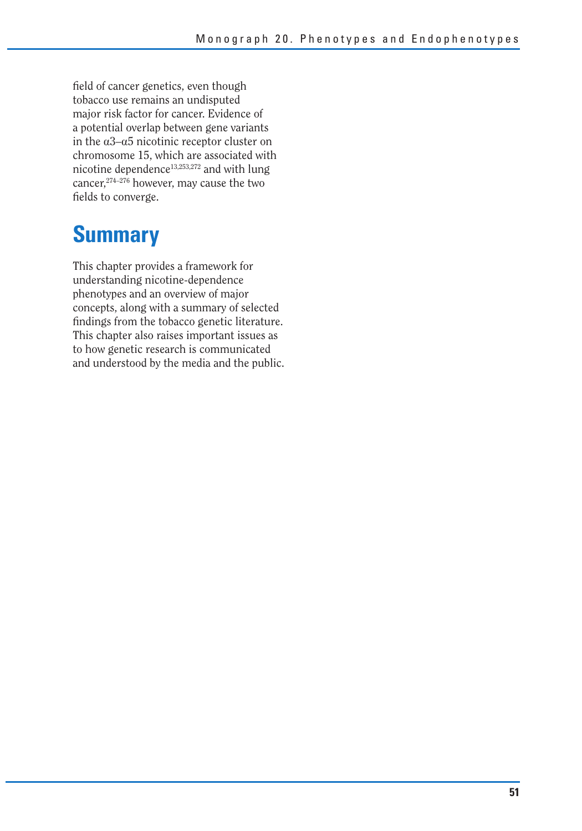field of cancer genetics, even though tobacco use remains an undisputed major risk factor for cancer. Evidence of a potential overlap between gene variants in the  $\alpha$ 3– $\alpha$ 5 nicotinic receptor cluster on chromosome 15, which are associated with nicotine dependence<sup>13,253,272</sup> and with lung cancer,<sup>274–276</sup> however, may cause the two fields to converge.

# **Summary**

This chapter provides a framework for understanding nicotine-dependence phenotypes and an overview of major concepts, along with a summary of selected findings from the tobacco genetic literature. This chapter also raises important issues as to how genetic research is communicated and understood by the media and the public.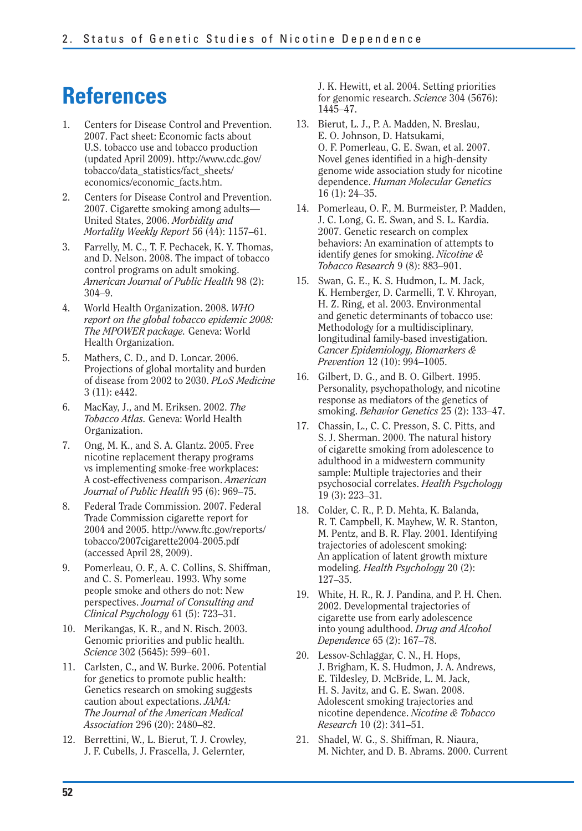## **References**

- 1. Centers for Disease Control and Prevention. 2007. Fact sheet: Economic facts about U.S. tobacco use and tobacco production (updated April 2009). http://www.cdc.gov/ tobacco/data\_statistics/fact\_sheets/ economics/economic\_facts.htm.
- 2. Centers for Disease Control and Prevention. 2007. Cigarette smoking among adults— United States, 2006. *Morbidity and Mortality Weekly Report* 56 (44): 1157–61.
- 3. Farrelly, M. C., T. F. Pechacek, K. Y. Thomas, and D. Nelson. 2008. The impact of tobacco control programs on adult smoking. *American Journal of Public Health* 98 (2): 304–9.
- 4. World Health Organization. 2008. *WHO report on the global tobacco epidemic 2008: The MPOWER package.* Geneva: World Health Organization.
- 5. Mathers, C. D., and D. Loncar. 2006. Projections of global mortality and burden of disease from 2002 to 2030. *PLoS Medicine*  3 (11): e442.
- 6. MacKay, J., and M. Eriksen. 2002. *The Tobacco Atlas.* Geneva: World Health Organization.
- 7. Ong, M. K., and S. A. Glantz. 2005. Free nicotine replacement therapy programs vs implementing smoke-free workplaces: A cost-effectiveness comparison. *American Journal of Public Health* 95 (6): 969–75.
- 8. Federal Trade Commission. 2007. Federal Trade Commission cigarette report for 2004 and 2005. http://www.ftc.gov/reports/ tobacco/2007cigarette2004-2005.pdf (accessed April 28, 2009).
- 9. Pomerleau, O. F., A. C. Collins, S. Shiffman, and C. S. Pomerleau. 1993. Why some people smoke and others do not: New perspectives. *Journal of Consulting and Clinical Psychology* 61 (5): 723–31.
- 10. Merikangas, K. R., and N. Risch. 2003. Genomic priorities and public health. *Science* 302 (5645): 599–601.
- 11. Carlsten, C., and W. Burke. 2006. Potential for genetics to promote public health: Genetics research on smoking suggests caution about expectations. *JAMA: The Journal of the American Medical Association* 296 (20): 2480–82.
- 12. Berrettini, W., L. Bierut, T. J. Crowley, J. F. Cubells, J. Frascella, J. Gelernter,

J. K. Hewitt, et al. 2004. Setting priorities for genomic research. *Science* 304 (5676): 1445–47.

- 13. Bierut, L. J., P. A. Madden, N. Breslau, E. O. Johnson, D. Hatsukami, O. F. Pomerleau, G. E. Swan, et al. 2007. Novel genes identified in a high-density genome wide association study for nicotine dependence. *Human Molecular Genetics*  16 (1): 24–35.
- 14. Pomerleau, O. F., M. Burmeister, P. Madden, J. C. Long, G. E. Swan, and S. L. Kardia. 2007. Genetic research on complex behaviors: An examination of attempts to identify genes for smoking. *Nicotine & Tobacco Research* 9 (8): 883–901.
- 15. Swan, G. E., K. S. Hudmon, L. M. Jack, K. Hemberger, D. Carmelli, T. V. Khroyan, H. Z. Ring, et al. 2003. Environmental and genetic determinants of tobacco use: Methodology for a multidisciplinary, longitudinal family-based investigation. *Cancer Epidemiology, Biomarkers & Prevention* 12 (10): 994–1005.
- 16. Gilbert, D. G., and B. O. Gilbert. 1995. Personality, psychopathology, and nicotine response as mediators of the genetics of smoking. *Behavior Genetics* 25 (2): 133–47.
- 17. Chassin, L., C. C. Presson, S. C. Pitts, and S. J. Sherman. 2000. The natural history of cigarette smoking from adolescence to adulthood in a midwestern community sample: Multiple trajectories and their psychosocial correlates. *Health Psychology*  19 (3): 223–31.
- 18. Colder, C. R., P. D. Mehta, K. Balanda, R. T. Campbell, K. Mayhew, W. R. Stanton, M. Pentz, and B. R. Flay. 2001. Identifying trajectories of adolescent smoking: An application of latent growth mixture modeling. *Health Psychology* 20 (2): 127–35.
- 19. White, H. R., R. J. Pandina, and P. H. Chen. 2002. Developmental trajectories of cigarette use from early adolescence into young adulthood. *Drug and Alcohol Dependence* 65 (2): 167–78.
- 20. Lessov-Schlaggar, C. N., H. Hops, J. Brigham, K. S. Hudmon, J. A. Andrews, E. Tildesley, D. McBride, L. M. Jack, H. S. Javitz, and G. E. Swan. 2008. Adolescent smoking trajectories and nicotine dependence. *Nicotine & Tobacco Research* 10 (2): 341–51.
- 21. Shadel, W. G., S. Shiffman, R. Niaura, M. Nichter, and D. B. Abrams. 2000. Current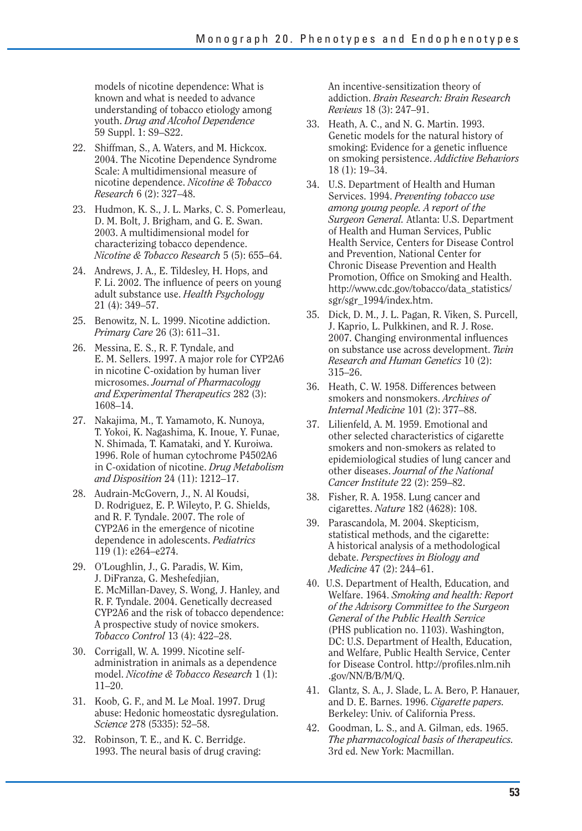models of nicotine dependence: What is known and what is needed to advance understanding of tobacco etiology among youth. *Drug and Alcohol Dependence*  59 Suppl. 1: S9–S22.

- 22. Shiffman, S., A. Waters, and M. Hickcox. 2004. The Nicotine Dependence Syndrome Scale: A multidimensional measure of nicotine dependence. *Nicotine & Tobacco Research* 6 (2): 327–48.
- 23. Hudmon, K. S., J. L. Marks, C. S. Pomerleau, D. M. Bolt, J. Brigham, and G. E. Swan. 2003. A multidimensional model for characterizing tobacco dependence. *Nicotine & Tobacco Research* 5 (5): 655–64.
- 24. Andrews, J. A., E. Tildesley, H. Hops, and F. Li. 2002. The influence of peers on young adult substance use. *Health Psychology*  21 (4): 349–57.
- 25. Benowitz, N. L. 1999. Nicotine addiction. *Primary Care* 26 (3): 611–31.
- 26. Messina, E. S., R. F. Tyndale, and E. M. Sellers. 1997. A major role for CYP2A6 in nicotine C-oxidation by human liver microsomes. *Journal of Pharmacology and Experimental Therapeutics* 282 (3): 1608–14.
- 27. Nakajima, M., T. Yamamoto, K. Nunoya, T. Yokoi, K. Nagashima, K. Inoue, Y. Funae, N. Shimada, T. Kamataki, and Y. Kuroiwa. 1996. Role of human cytochrome P4502A6 in C-oxidation of nicotine. *Drug Metabolism and Disposition* 24 (11): 1212–17.
- 28. Audrain-McGovern, J., N. Al Koudsi, D. Rodriguez, E. P. Wileyto, P. G. Shields, and R. F. Tyndale. 2007. The role of CYP2A6 in the emergence of nicotine dependence in adolescents. *Pediatrics*  119 (1): e264–e274.
- 29. O'Loughlin, J., G. Paradis, W. Kim, J. DiFranza, G. Meshefedjian, E. McMillan-Davey, S. Wong, J. Hanley, and R. F. Tyndale. 2004. Genetically decreased CYP2A6 and the risk of tobacco dependence: A prospective study of novice smokers. *Tobacco Control* 13 (4): 422–28.
- 30. Corrigall, W. A. 1999. Nicotine selfadministration in animals as a dependence model. *Nicotine & Tobacco Research* 1 (1): 11–20.
- 31. Koob, G. F., and M. Le Moal. 1997. Drug abuse: Hedonic homeostatic dysregulation. *Science* 278 (5335): 52–58.
- 32. Robinson, T. E., and K. C. Berridge. 1993. The neural basis of drug craving:

An incentive-sensitization theory of addiction. *Brain Research: Brain Research Reviews* 18 (3): 247–91.

- 33. Heath, A. C., and N. G. Martin. 1993. Genetic models for the natural history of smoking: Evidence for a genetic influence on smoking persistence. *Addictive Behaviors*  18 (1): 19–34.
- 34. U.S. Department of Health and Human Services. 1994. *Preventing tobacco use among young people. A report of the Surgeon General.* Atlanta: U.S. Department of Health and Human Services, Public Health Service, Centers for Disease Control and Prevention, National Center for Chronic Disease Prevention and Health Promotion, Office on Smoking and Health. http://www.cdc.gov/tobacco/data\_statistics/ sgr/sgr\_1994/index.htm.
- 35. Dick, D. M., J. L. Pagan, R. Viken, S. Purcell, J. Kaprio, L. Pulkkinen, and R. J. Rose. 2007. Changing environmental influences on substance use across development. *Twin Research and Human Genetics* 10 (2): 315–26.
- 36. Heath, C. W. 1958. Differences between smokers and nonsmokers. *Archives of Internal Medicine* 101 (2): 377–88.
- 37. Lilienfeld, A. M. 1959. Emotional and other selected characteristics of cigarette smokers and non-smokers as related to epidemiological studies of lung cancer and other diseases. *Journal of the National Cancer Institute* 22 (2): 259–82.
- 38. Fisher, R. A. 1958. Lung cancer and cigarettes. *Nature* 182 (4628): 108.
- 39. Parascandola, M. 2004. Skepticism, statistical methods, and the cigarette: A historical analysis of a methodological debate. *Perspectives in Biology and Medicine* 47 (2): 244–61.
- 40. U.S. Department of Health, Education, and Welfare. 1964. *Smoking and health: Report of the Advisory Committee to the Surgeon General of the Public Health Service*  (PHS publication no. 1103). Washington, DC: U.S. Department of Health, Education, and Welfare, Public Health Service, Center for Disease Control. http://profiles.nlm.nih .gov/NN/B/B/M/Q.
- 41. Glantz, S. A., J. Slade, L. A. Bero, P. Hanauer, and D. E. Barnes. 1996. *Cigarette papers.*  Berkeley: Univ. of California Press.
- 42. Goodman, L. S., and A. Gilman, eds. 1965. *The pharmacological basis of therapeutics.*  3rd ed. New York: Macmillan.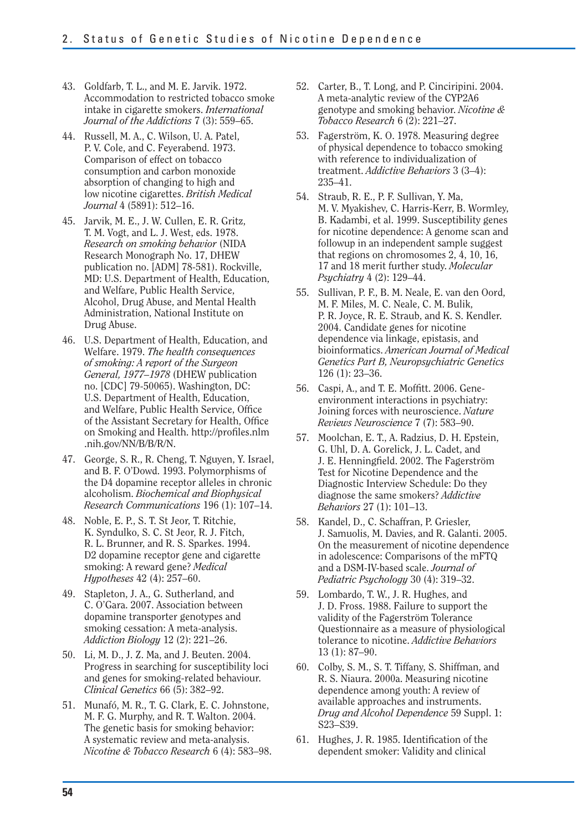- 43. Goldfarb, T. L., and M. E. Jarvik. 1972. Accommodation to restricted tobacco smoke intake in cigarette smokers. *International Journal of the Addictions* 7 (3): 559–65.
- 44. Russell, M. A., C. Wilson, U. A. Patel, P. V. Cole, and C. Feyerabend. 1973. Comparison of effect on tobacco consumption and carbon monoxide absorption of changing to high and low nicotine cigarettes. *British Medical Journal* 4 (5891): 512–16.
- 45. Jarvik, M. E., J. W. Cullen, E. R. Gritz, T. M. Vogt, and L. J. West, eds. 1978. *Research on smoking behavior* (NIDA Research Monograph No. 17, DHEW publication no. [ADM] 78-581). Rockville, MD: U.S. Department of Health, Education, and Welfare, Public Health Service, Alcohol, Drug Abuse, and Mental Health Administration, National Institute on Drug Abuse.
- 46. U.S. Department of Health, Education, and Welfare. 1979. *The health consequences of smoking: A report of the Surgeon General, 1977–1978* (DHEW publication no. [CDC] 79-50065). Washington, DC: U.S. Department of Health, Education, and Welfare, Public Health Service, Office of the Assistant Secretary for Health, Office on Smoking and Health. http://profiles.nlm .nih.gov/NN/B/B/R/N.
- 47. George, S. R., R. Cheng, T. Nguyen, Y. Israel, and B. F. O'Dowd. 1993. Polymorphisms of the D4 dopamine receptor alleles in chronic alcoholism. *Biochemical and Biophysical Research Communications* 196 (1): 107–14.
- 48. Noble, E. P., S. T. St Jeor, T. Ritchie, K. Syndulko, S. C. St Jeor, R. J. Fitch, R. L. Brunner, and R. S. Sparkes. 1994. D2 dopamine receptor gene and cigarette smoking: A reward gene? *Medical Hypotheses* 42 (4): 257–60.
- 49. Stapleton, J. A., G. Sutherland, and C. O'Gara. 2007. Association between dopamine transporter genotypes and smoking cessation: A meta-analysis. *Addiction Biology* 12 (2): 221–26.
- 50. Li, M. D., J. Z. Ma, and J. Beuten. 2004. Progress in searching for susceptibility loci and genes for smoking-related behaviour. *Clinical Genetics* 66 (5): 382–92.
- 51. Munafó, M. R., T. G. Clark, E. C. Johnstone, M. F. G. Murphy, and R. T. Walton. 2004. The genetic basis for smoking behavior: A systematic review and meta-analysis. *Nicotine & Tobacco Research* 6 (4): 583–98.
- 52. Carter, B., T. Long, and P. Cinciripini. 2004. A meta-analytic review of the CYP2A6 genotype and smoking behavior. *Nicotine & Tobacco Research* 6 (2): 221–27.
- 53. Fagerström, K. O. 1978. Measuring degree of physical dependence to tobacco smoking with reference to individualization of treatment. *Addictive Behaviors* 3 (3–4): 235–41.
- 54. Straub, R. E., P. F. Sullivan, Y. Ma, M. V. Myakishev, C. Harris-Kerr, B. Wormley, B. Kadambi, et al. 1999. Susceptibility genes for nicotine dependence: A genome scan and followup in an independent sample suggest that regions on chromosomes 2, 4, 10, 16, 17 and 18 merit further study. *Molecular Psychiatry* 4 (2): 129–44.
- 55. Sullivan, P. F., B. M. Neale, E. van den Oord, M. F. Miles, M. C. Neale, C. M. Bulik, P. R. Joyce, R. E. Straub, and K. S. Kendler. 2004. Candidate genes for nicotine dependence via linkage, epistasis, and bioinformatics. *American Journal of Medical Genetics Part B, Neuropsychiatric Genetics*  126 (1): 23–36.
- 56. Caspi, A., and T. E. Moffitt. 2006. Geneenvironment interactions in psychiatry: Joining forces with neuroscience. *Nature Reviews Neuroscience* 7 (7): 583–90.
- 57. Moolchan, E. T., A. Radzius, D. H. Epstein, G. Uhl, D. A. Gorelick, J. L. Cadet, and J. E. Henningfield. 2002. The Fagerström Test for Nicotine Dependence and the Diagnostic Interview Schedule: Do they diagnose the same smokers? *Addictive Behaviors* 27 (1): 101–13.
- 58. Kandel, D., C. Schaffran, P. Griesler, J. Samuolis, M. Davies, and R. Galanti. 2005. On the measurement of nicotine dependence in adolescence: Comparisons of the mFTQ and a DSM-IV-based scale. *Journal of Pediatric Psychology* 30 (4): 319–32.
- 59. Lombardo, T. W., J. R. Hughes, and J. D. Fross. 1988. Failure to support the validity of the Fagerström Tolerance Questionnaire as a measure of physiological tolerance to nicotine. *Addictive Behaviors*  13 (1): 87–90.
- 60. Colby, S. M., S. T. Tiffany, S. Shiffman, and R. S. Niaura. 2000a. Measuring nicotine dependence among youth: A review of available approaches and instruments. *Drug and Alcohol Dependence* 59 Suppl. 1: S23–S39.
- 61. Hughes, J. R. 1985. Identification of the dependent smoker: Validity and clinical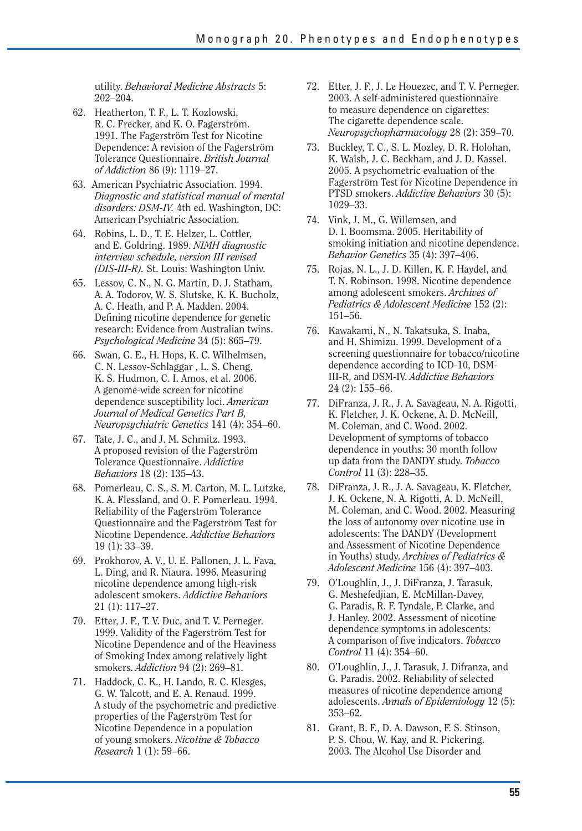utility. *Behavioral Medicine Abstracts* 5: 202–204.

- 62. Heatherton, T. F., L. T. Kozlowski, R. C. Frecker, and K. O. Fagerström. 1991. The Fagerström Test for Nicotine Dependence: A revision of the Fagerström Tolerance Questionnaire. *British Journal of Addiction* 86 (9): 1119–27.
- 63. American Psychiatric Association. 1994. *Diagnostic and statistical manual of mental disorders: DSM-IV.* 4th ed. Washington, DC: American Psychiatric Association.
- 64. Robins, L. D., T. E. Helzer, L. Cottler, and E. Goldring. 1989. *NIMH diagnostic interview schedule, version III revised (DIS-III-R).* St. Louis: Washington Univ.
- 65. Lessov, C. N., N. G. Martin, D. J. Statham, A. A. Todorov, W. S. Slutske, K. K. Bucholz, A. C. Heath, and P. A. Madden. 2004. Defining nicotine dependence for genetic research: Evidence from Australian twins. *Psychological Medicine* 34 (5): 865–79.
- 66. Swan, G. E., H. Hops, K. C. Wilhelmsen, C. N. Lessov-Schlaggar , L. S. Cheng, K. S. Hudmon, C. I. Amos, et al. 2006. A genome-wide screen for nicotine dependence susceptibility loci. *American Journal of Medical Genetics Part B, Neuropsychiatric Genetics* 141 (4): 354–60.
- 67. Tate, J. C., and J. M. Schmitz. 1993. A proposed revision of the Fagerström Tolerance Questionnaire. *Addictive Behaviors* 18 (2): 135–43.
- 68. Pomerleau, C. S., S. M. Carton, M. L. Lutzke, K. A. Flessland, and O. F. Pomerleau. 1994. Reliability of the Fagerström Tolerance Questionnaire and the Fagerström Test for Nicotine Dependence. *Addictive Behaviors*  19 (1): 33–39.
- 69. Prokhorov, A. V., U. E. Pallonen, J. L. Fava, L. Ding, and R. Niaura. 1996. Measuring nicotine dependence among high-risk adolescent smokers. *Addictive Behaviors*  21 (1): 117–27.
- 70. Etter, J. F., T. V. Duc, and T. V. Perneger. 1999. Validity of the Fagerström Test for Nicotine Dependence and of the Heaviness of Smoking Index among relatively light smokers. *Addiction* 94 (2): 269–81.
- 71. Haddock, C. K., H. Lando, R. C. Klesges, G. W. Talcott, and E. A. Renaud. 1999. A study of the psychometric and predictive properties of the Fagerström Test for Nicotine Dependence in a population of young smokers. *Nicotine & Tobacco Research* 1 (1): 59–66.
- 72. Etter, J. F., J. Le Houezec, and T. V. Perneger. 2003. A self-administered questionnaire to measure dependence on cigarettes: The cigarette dependence scale. *Neuropsychopharmacology* 28 (2): 359–70.
- 73. Buckley, T. C., S. L. Mozley, D. R. Holohan, K. Walsh, J. C. Beckham, and J. D. Kassel. 2005. A psychometric evaluation of the Fagerström Test for Nicotine Dependence in PTSD smokers. *Addictive Behaviors* 30 (5): 1029–33.
- 74. Vink, J. M., G. Willemsen, and D. I. Boomsma. 2005. Heritability of smoking initiation and nicotine dependence. *Behavior Genetics* 35 (4): 397–406.
- 75. Rojas, N. L., J. D. Killen, K. F. Haydel, and T. N. Robinson. 1998. Nicotine dependence among adolescent smokers. *Archives of Pediatrics & Adolescent Medicine* 152 (2): 151–56.
- 76. Kawakami, N., N. Takatsuka, S. Inaba, and H. Shimizu. 1999. Development of a screening questionnaire for tobacco/nicotine dependence according to ICD-10, DSM-III-R, and DSM-IV. *Addictive Behaviors*  24 (2): 155–66.
- 77. DiFranza, J. R., J. A. Savageau, N. A. Rigotti, K. Fletcher, J. K. Ockene, A. D. McNeill, M. Coleman, and C. Wood. 2002. Development of symptoms of tobacco dependence in youths: 30 month follow up data from the DANDY study. *Tobacco Control* 11 (3): 228–35.
- 78. DiFranza, J. R., J. A. Savageau, K. Fletcher, J. K. Ockene, N. A. Rigotti, A. D. McNeill, M. Coleman, and C. Wood. 2002. Measuring the loss of autonomy over nicotine use in adolescents: The DANDY (Development and Assessment of Nicotine Dependence in Youths) study. *Archives of Pediatrics & Adolescent Medicine* 156 (4): 397–403.
- 79. O'Loughlin, J., J. DiFranza, J. Tarasuk, G. Meshefedjian, E. McMillan-Davey, G. Paradis, R. F. Tyndale, P. Clarke, and J. Hanley. 2002. Assessment of nicotine dependence symptoms in adolescents: A comparison of five indicators. *Tobacco Control* 11 (4): 354–60.
- 80. O'Loughlin, J., J. Tarasuk, J. Difranza, and G. Paradis. 2002. Reliability of selected measures of nicotine dependence among adolescents. *Annals of Epidemiology* 12 (5): 353–62.
- 81. Grant, B. F., D. A. Dawson, F. S. Stinson, P. S. Chou, W. Kay, and R. Pickering. 2003. The Alcohol Use Disorder and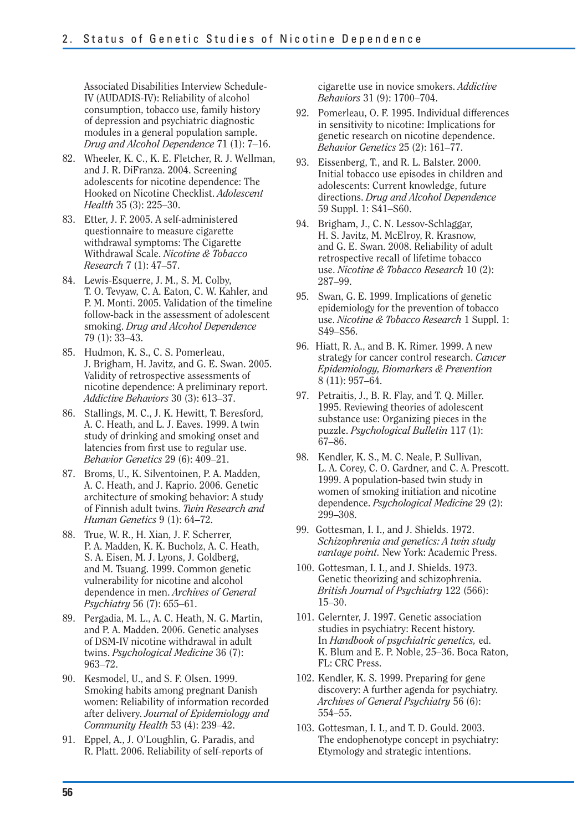Associated Disabilities Interview Schedule-IV (AUDADIS-IV): Reliability of alcohol consumption, tobacco use, family history of depression and psychiatric diagnostic modules in a general population sample. *Drug and Alcohol Dependence* 71 (1): 7–16.

- 82. Wheeler, K. C., K. E. Fletcher, R. J. Wellman. and J. R. DiFranza. 2004. Screening adolescents for nicotine dependence: The Hooked on Nicotine Checklist. *Adolescent Health* 35 (3): 225–30.
- 83. Etter, J. F. 2005. A self-administered questionnaire to measure cigarette withdrawal symptoms: The Cigarette Withdrawal Scale. *Nicotine & Tobacco Research* 7 (1): 47–57.
- 84. Lewis-Esquerre, J. M., S. M. Colby, T. O. Tevyaw, C. A. Eaton, C. W. Kahler, and P. M. Monti. 2005. Validation of the timeline follow-back in the assessment of adolescent smoking. *Drug and Alcohol Dependence*  79 (1): 33–43.
- 85. Hudmon, K. S., C. S. Pomerleau, J. Brigham, H. Javitz, and G. E. Swan. 2005. Validity of retrospective assessments of nicotine dependence: A preliminary report. *Addictive Behaviors* 30 (3): 613–37.
- 86. Stallings, M. C., J. K. Hewitt, T. Beresford, A. C. Heath, and L. J. Eaves. 1999. A twin study of drinking and smoking onset and latencies from first use to regular use. *Behavior Genetics* 29 (6): 409–21.
- 87. Broms, U., K. Silventoinen, P. A. Madden, A. C. Heath, and J. Kaprio. 2006. Genetic architecture of smoking behavior: A study of Finnish adult twins. *Twin Research and Human Genetics* 9 (1): 64–72.
- 88. True, W. R., H. Xian, J. F. Scherrer, P. A. Madden, K. K. Bucholz, A. C. Heath, S. A. Eisen, M. J. Lyons, J. Goldberg, and M. Tsuang. 1999. Common genetic vulnerability for nicotine and alcohol dependence in men. *Archives of General Psychiatry* 56 (7): 655–61.
- 89. Pergadia, M. L., A. C. Heath, N. G. Martin, and P. A. Madden. 2006. Genetic analyses of DSM-IV nicotine withdrawal in adult twins. *Psychological Medicine* 36 (7): 963–72.
- 90. Kesmodel, U., and S. F. Olsen. 1999. Smoking habits among pregnant Danish women: Reliability of information recorded after delivery. *Journal of Epidemiology and Community Health* 53 (4): 239–42.
- 91. Eppel, A., J. O'Loughlin, G. Paradis, and R. Platt. 2006. Reliability of self-reports of

cigarette use in novice smokers. *Addictive Behaviors* 31 (9): 1700–704.

- 92. Pomerleau, O. F. 1995. Individual differences in sensitivity to nicotine: Implications for genetic research on nicotine dependence. *Behavior Genetics* 25 (2): 161–77.
- 93. Eissenberg, T., and R. L. Balster. 2000. Initial tobacco use episodes in children and adolescents: Current knowledge, future directions. *Drug and Alcohol Dependence*  59 Suppl. 1: S41–S60.
- 94. Brigham, J., C. N. Lessov-Schlaggar, H. S. Javitz, M. McElroy, R. Krasnow, and G. E. Swan. 2008. Reliability of adult retrospective recall of lifetime tobacco use. *Nicotine & Tobacco Research* 10 (2): 287–99.
- 95. Swan, G. E. 1999. Implications of genetic epidemiology for the prevention of tobacco use. *Nicotine & Tobacco Research* 1 Suppl. 1: S49–S56.
- 96. Hiatt, R. A., and B. K. Rimer. 1999. A new strategy for cancer control research. *Cancer Epidemiology, Biomarkers & Prevention*  8 (11): 957–64.
- 97. Petraitis, J., B. R. Flay, and T. Q. Miller. 1995. Reviewing theories of adolescent substance use: Organizing pieces in the puzzle. *Psychological Bulletin* 117 (1): 67–86.
- 98. Kendler, K. S., M. C. Neale, P. Sullivan, L. A. Corey, C. O. Gardner, and C. A. Prescott. 1999. A population-based twin study in women of smoking initiation and nicotine dependence. *Psychological Medicine* 29 (2): 299–308.
- 99. Gottesman, I. I., and J. Shields. 1972. *Schizophrenia and genetics: A twin study vantage point.* New York: Academic Press.
- 100. Gottesman, I. I., and J. Shields. 1973. Genetic theorizing and schizophrenia. *British Journal of Psychiatry* 122 (566): 15–30.
- 101. Gelernter, J. 1997. Genetic association studies in psychiatry: Recent history. In *Handbook of psychiatric genetics,* ed. K. Blum and E. P. Noble, 25–36. Boca Raton, FL: CRC Press.
- 102. Kendler, K. S. 1999. Preparing for gene discovery: A further agenda for psychiatry. *Archives of General Psychiatry* 56 (6): 554–55.
- 103. Gottesman, I. I., and T. D. Gould. 2003. The endophenotype concept in psychiatry: Etymology and strategic intentions.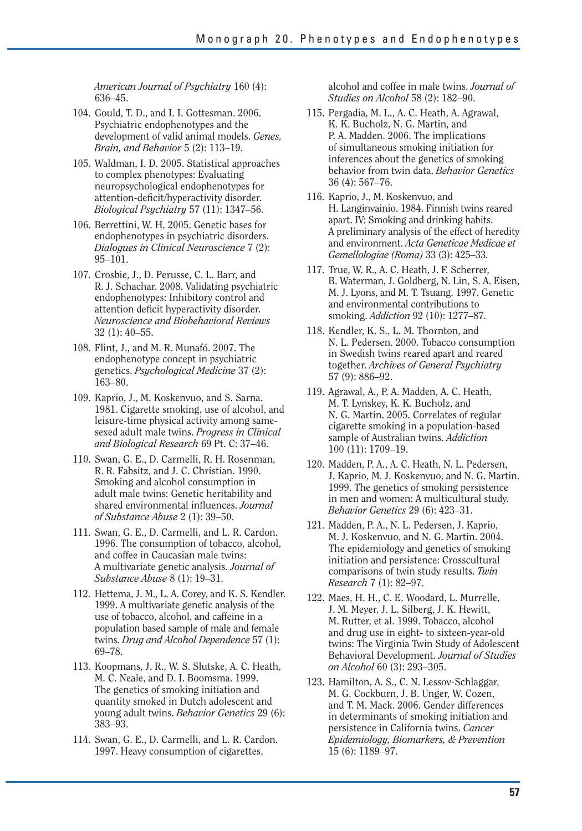*American Journal of Psychiatry* 160 (4): 636–45.

- 104. Gould, T. D., and I. I. Gottesman. 2006. Psychiatric endophenotypes and the development of valid animal models. *Genes, Brain, and Behavior* 5 (2): 113–19.
- 105. Waldman, I. D. 2005. Statistical approaches to complex phenotypes: Evaluating neuropsychological endophenotypes for attention-deficit/hyperactivity disorder. *Biological Psychiatry* 57 (11): 1347–56.
- 106. Berrettini, W. H. 2005. Genetic bases for endophenotypes in psychiatric disorders. *Dialogues in Clinical Neuroscience* 7 (2): 95–101.
- 107. Crosbie, J., D. Perusse, C. L. Barr, and R. J. Schachar. 2008. Validating psychiatric endophenotypes: Inhibitory control and attention deficit hyperactivity disorder. *Neuroscience and Biobehavioral Reviews*  32 (1): 40–55.
- 108. Flint, J., and M. R. Munafó. 2007. The endophenotype concept in psychiatric genetics. *Psychological Medicine* 37 (2): 163–80.
- 109. Kaprio, J., M. Koskenvuo, and S. Sarna. 1981. Cigarette smoking, use of alcohol, and leisure-time physical activity among samesexed adult male twins. *Progress in Clinical and Biological Research* 69 Pt. C: 37–46.
- 110. Swan, G. E., D. Carmelli, R. H. Rosenman, R. R. Fabsitz, and J. C. Christian. 1990. Smoking and alcohol consumption in adult male twins: Genetic heritability and shared environmental influences. *Journal of Substance Abuse* 2 (1): 39–50.
- 111. Swan, G. E., D. Carmelli, and L. R. Cardon. 1996. The consumption of tobacco, alcohol, and coffee in Caucasian male twins: A multivariate genetic analysis. *Journal of Substance Abuse* 8 (1): 19–31.
- 112. Hettema, J. M., L. A. Corey, and K. S. Kendler. 1999. A multivariate genetic analysis of the use of tobacco, alcohol, and caffeine in a population based sample of male and female twins. *Drug and Alcohol Dependence* 57 (1): 69–78.
- 113. Koopmans, J. R., W. S. Slutske, A. C. Heath, M. C. Neale, and D. I. Boomsma. 1999. The genetics of smoking initiation and quantity smoked in Dutch adolescent and young adult twins. *Behavior Genetics* 29 (6): 383–93.
- 114. Swan, G. E., D. Carmelli, and L. R. Cardon. 1997. Heavy consumption of cigarettes,

alcohol and coffee in male twins. *Journal of Studies on Alcohol* 58 (2): 182–90.

- 115. Pergadia, M. L., A. C. Heath, A. Agrawal, K. K. Bucholz, N. G. Martin, and P. A. Madden. 2006. The implications of simultaneous smoking initiation for inferences about the genetics of smoking behavior from twin data. *Behavior Genetics*  36 (4): 567–76.
- 116. Kaprio, J., M. Koskenvuo, and H. Langinvainio. 1984. Finnish twins reared apart. IV: Smoking and drinking habits. A preliminary analysis of the effect of heredity and environment. *Acta Geneticae Medicae et Gemellologiae (Roma)* 33 (3): 425–33.
- 117. True, W. R., A. C. Heath, J. F. Scherrer, B. Waterman, J. Goldberg, N. Lin, S. A. Eisen, M. J. Lyons, and M. T. Tsuang. 1997. Genetic and environmental contributions to smoking. *Addiction* 92 (10): 1277–87.
- 118. Kendler, K. S., L. M. Thornton, and N. L. Pedersen. 2000. Tobacco consumption in Swedish twins reared apart and reared together. *Archives of General Psychiatry*  57 (9): 886–92.
- 119. Agrawal, A., P. A. Madden, A. C. Heath, M. T. Lynskey, K. K. Bucholz, and N. G. Martin. 2005. Correlates of regular cigarette smoking in a population-based sample of Australian twins. *Addiction*  100 (11): 1709–19.
- 120. Madden, P. A., A. C. Heath, N. L. Pedersen, J. Kaprio, M. J. Koskenvuo, and N. G. Martin. 1999. The genetics of smoking persistence in men and women: A multicultural study. *Behavior Genetics* 29 (6): 423–31.
- 121. Madden, P. A., N. L. Pedersen, J. Kaprio, M. J. Koskenvuo, and N. G. Martin. 2004. The epidemiology and genetics of smoking initiation and persistence: Crosscultural comparisons of twin study results. *Twin Research* 7 (1): 82–97.
- 122. Maes, H. H., C. E. Woodard, L. Murrelle, J. M. Meyer, J. L. Silberg, J. K. Hewitt, M. Rutter, et al. 1999. Tobacco, alcohol and drug use in eight- to sixteen-year-old twins: The Virginia Twin Study of Adolescent Behavioral Development. *Journal of Studies on Alcohol* 60 (3): 293–305.
- 123. Hamilton, A. S., C. N. Lessov-Schlaggar, M. G. Cockburn, J. B. Unger, W. Cozen, and T. M. Mack. 2006. Gender differences in determinants of smoking initiation and persistence in California twins. *Cancer Epidemiology, Biomarkers, & Prevention*  15 (6): 1189–97.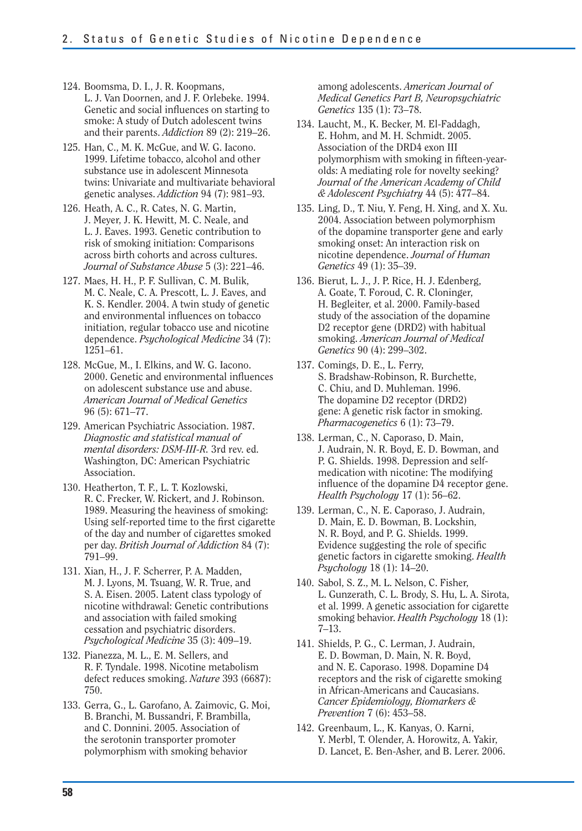- 124. Boomsma, D. I., J. R. Koopmans, L. J. Van Doornen, and J. F. Orlebeke. 1994. Genetic and social influences on starting to smoke: A study of Dutch adolescent twins and their parents. *Addiction* 89 (2): 219–26.
- 125. Han, C., M. K. McGue, and W. G. Iacono. 1999. Lifetime tobacco, alcohol and other substance use in adolescent Minnesota twins: Univariate and multivariate behavioral genetic analyses. *Addiction* 94 (7): 981–93.
- 126. Heath, A. C., R. Cates, N. G. Martin, J. Meyer, J. K. Hewitt, M. C. Neale, and L. J. Eaves. 1993. Genetic contribution to risk of smoking initiation: Comparisons across birth cohorts and across cultures. *Journal of Substance Abuse* 5 (3): 221–46.
- 127. Maes, H. H., P. F. Sullivan, C. M. Bulik, M. C. Neale, C. A. Prescott, L. J. Eaves, and K. S. Kendler. 2004. A twin study of genetic and environmental influences on tobacco initiation, regular tobacco use and nicotine dependence. *Psychological Medicine* 34 (7): 1251–61.
- 128. McGue, M., I. Elkins, and W. G. Iacono. 2000. Genetic and environmental influences on adolescent substance use and abuse. *American Journal of Medical Genetics*  96 (5): 671–77.
- 129. American Psychiatric Association. 1987. *Diagnostic and statistical manual of mental disorders: DSM-III-R.* 3rd rev. ed. Washington, DC: American Psychiatric Association.
- 130. Heatherton, T. F., L. T. Kozlowski, R. C. Frecker, W. Rickert, and J. Robinson. 1989. Measuring the heaviness of smoking: Using self-reported time to the first cigarette of the day and number of cigarettes smoked per day. *British Journal of Addiction* 84 (7): 791–99.
- 131. Xian, H., J. F. Scherrer, P. A. Madden, M. J. Lyons, M. Tsuang, W. R. True, and S. A. Eisen. 2005. Latent class typology of nicotine withdrawal: Genetic contributions and association with failed smoking cessation and psychiatric disorders. *Psychological Medicine* 35 (3): 409–19.
- 132. Pianezza, M. L., E. M. Sellers, and R. F. Tyndale. 1998. Nicotine metabolism defect reduces smoking. *Nature* 393 (6687): 750.
- 133. Gerra, G., L. Garofano, A. Zaimovic, G. Moi, B. Branchi, M. Bussandri, F. Brambilla, and C. Donnini. 2005. Association of the serotonin transporter promoter polymorphism with smoking behavior

among adolescents. *American Journal of Medical Genetics Part B, Neuropsychiatric Genetics* 135 (1): 73–78.

- 134. Laucht, M., K. Becker, M. El-Faddagh, E. Hohm, and M. H. Schmidt. 2005. Association of the DRD4 exon III polymorphism with smoking in fifteen-yearolds: A mediating role for novelty seeking? *Journal of the American Academy of Child & Adolescent Psychiatry* 44 (5): 477–84.
- 135. Ling, D., T. Niu, Y. Feng, H. Xing, and X. Xu. 2004. Association between polymorphism of the dopamine transporter gene and early smoking onset: An interaction risk on nicotine dependence. *Journal of Human Genetics* 49 (1): 35–39.
- 136. Bierut, L. J., J. P. Rice, H. J. Edenberg, A. Goate, T. Foroud, C. R. Cloninger, H. Begleiter, et al. 2000. Family-based study of the association of the dopamine D2 receptor gene (DRD2) with habitual smoking. *American Journal of Medical Genetics* 90 (4): 299–302.
- 137. Comings, D. E., L. Ferry, S. Bradshaw-Robinson, R. Burchette, C. Chiu, and D. Muhleman. 1996. The dopamine D2 receptor (DRD2) gene: A genetic risk factor in smoking. *Pharmacogenetics* 6 (1): 73–79.
- 138. Lerman, C., N. Caporaso, D. Main, J. Audrain, N. R. Boyd, E. D. Bowman, and P. G. Shields. 1998. Depression and selfmedication with nicotine: The modifying influence of the dopamine D4 receptor gene. *Health Psychology* 17 (1): 56–62.
- 139. Lerman, C., N. E. Caporaso, J. Audrain, D. Main, E. D. Bowman, B. Lockshin, N. R. Boyd, and P. G. Shields. 1999. Evidence suggesting the role of specific genetic factors in cigarette smoking. *Health Psychology* 18 (1): 14–20.
- 140. Sabol, S. Z., M. L. Nelson, C. Fisher, L. Gunzerath, C. L. Brody, S. Hu, L. A. Sirota, et al. 1999. A genetic association for cigarette smoking behavior. *Health Psychology* 18 (1): 7–13.
- 141. Shields, P. G., C. Lerman, J. Audrain, E. D. Bowman, D. Main, N. R. Boyd, and N. E. Caporaso. 1998. Dopamine D4 receptors and the risk of cigarette smoking in African-Americans and Caucasians. *Cancer Epidemiology, Biomarkers & Prevention* 7 (6): 453–58.
- 142. Greenbaum, L., K. Kanyas, O. Karni, Y. Merbl, T. Olender, A. Horowitz, A. Yakir, D. Lancet, E. Ben-Asher, and B. Lerer. 2006.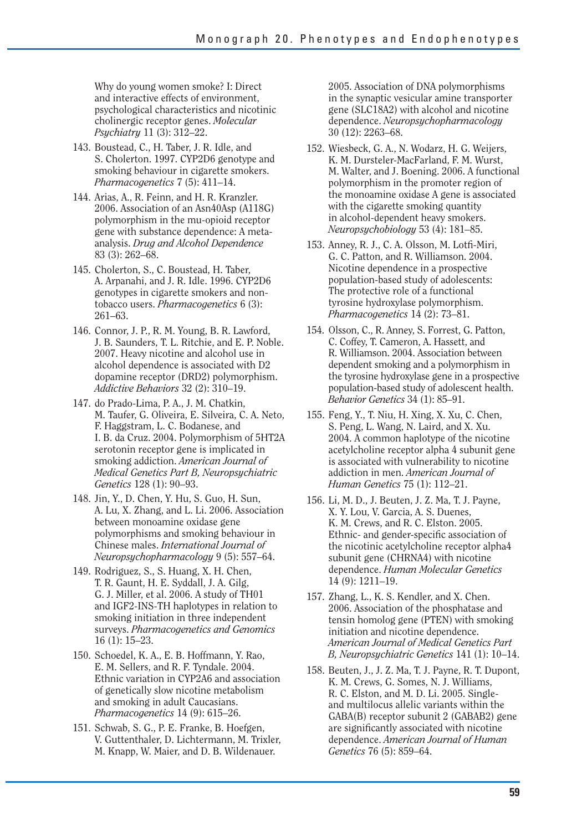Why do young women smoke? I: Direct and interactive effects of environment, psychological characteristics and nicotinic cholinergic receptor genes. *Molecular Psychiatry* 11 (3): 312–22.

- 143. Boustead, C., H. Taber, J. R. Idle, and S. Cholerton. 1997. CYP2D6 genotype and smoking behaviour in cigarette smokers. *Pharmacogenetics* 7 (5): 411–14.
- 144. Arias, A., R. Feinn, and H. R. Kranzler. 2006. Association of an Asn40Asp (A118G) polymorphism in the mu-opioid receptor gene with substance dependence: A metaanalysis. *Drug and Alcohol Dependence*  83 (3): 262–68.
- 145. Cholerton, S., C. Boustead, H. Taber, A. Arpanahi, and J. R. Idle. 1996. CYP2D6 genotypes in cigarette smokers and nontobacco users. *Pharmacogenetics* 6 (3): 261–63.
- 146. Connor, J. P., R. M. Young, B. R. Lawford, J. B. Saunders, T. L. Ritchie, and E. P. Noble. 2007. Heavy nicotine and alcohol use in alcohol dependence is associated with D2 dopamine receptor (DRD2) polymorphism. *Addictive Behaviors* 32 (2): 310–19.
- 147. do Prado-Lima, P. A., J. M. Chatkin, M. Taufer, G. Oliveira, E. Silveira, C. A. Neto, F. Haggstram, L. C. Bodanese, and I. B. da Cruz. 2004. Polymorphism of 5HT2A serotonin receptor gene is implicated in smoking addiction. *American Journal of Medical Genetics Part B, Neuropsychiatric Genetics* 128 (1): 90–93.
- 148. Jin, Y., D. Chen, Y. Hu, S. Guo, H. Sun, A. Lu, X. Zhang, and L. Li. 2006. Association between monoamine oxidase gene polymorphisms and smoking behaviour in Chinese males. *International Journal of Neuropsychopharmacology* 9 (5): 557–64.
- 149. Rodriguez, S., S. Huang, X. H. Chen, T. R. Gaunt, H. E. Syddall, J. A. Gilg, G. J. Miller, et al. 2006. A study of TH01 and IGF2-INS-TH haplotypes in relation to smoking initiation in three independent surveys. *Pharmacogenetics and Genomics*  16 (1): 15–23.
- 150. Schoedel, K. A., E. B. Hoffmann, Y. Rao, E. M. Sellers, and R. F. Tyndale. 2004. Ethnic variation in CYP2A6 and association of genetically slow nicotine metabolism and smoking in adult Caucasians. *Pharmacogenetics* 14 (9): 615–26.
- 151. Schwab, S. G., P. E. Franke, B. Hoefgen, V. Guttenthaler, D. Lichtermann, M. Trixler, M. Knapp, W. Maier, and D. B. Wildenauer.

2005. Association of DNA polymorphisms in the synaptic vesicular amine transporter gene (SLC18A2) with alcohol and nicotine dependence. *Neuropsychopharmacology*  30 (12): 2263–68.

- 152. Wiesbeck, G. A., N. Wodarz, H. G. Weijers, K. M. Dursteler-MacFarland, F. M. Wurst, M. Walter, and J. Boening. 2006. A functional polymorphism in the promoter region of the monoamine oxidase A gene is associated with the cigarette smoking quantity in alcohol-dependent heavy smokers. *Neuropsychobiology* 53 (4): 181–85.
- 153. Anney, R. J., C. A. Olsson, M. Lotfi-Miri, G. C. Patton, and R. Williamson. 2004. Nicotine dependence in a prospective population-based study of adolescents: The protective role of a functional tyrosine hydroxylase polymorphism. *Pharmacogenetics* 14 (2): 73–81.
- 154. Olsson, C., R. Anney, S. Forrest, G. Patton, C. Coffey, T. Cameron, A. Hassett, and R. Williamson. 2004. Association between dependent smoking and a polymorphism in the tyrosine hydroxylase gene in a prospective population-based study of adolescent health. *Behavior Genetics* 34 (1): 85–91.
- 155. Feng, Y., T. Niu, H. Xing, X. Xu, C. Chen, S. Peng, L. Wang, N. Laird, and X. Xu. 2004. A common haplotype of the nicotine acetylcholine receptor alpha 4 subunit gene is associated with vulnerability to nicotine addiction in men. *American Journal of Human Genetics* 75 (1): 112–21.
- 156. Li, M. D., J. Beuten, J. Z. Ma, T. J. Payne, X. Y. Lou, V. Garcia, A. S. Duenes, K. M. Crews, and R. C. Elston. 2005. Ethnic- and gender-specific association of the nicotinic acetylcholine receptor alpha4 subunit gene (CHRNA4) with nicotine dependence. *Human Molecular Genetics*  14 (9): 1211–19.
- 157. Zhang, L., K. S. Kendler, and X. Chen. 2006. Association of the phosphatase and tensin homolog gene (PTEN) with smoking initiation and nicotine dependence. *American Journal of Medical Genetics Part B, Neuropsychiatric Genetics* 141 (1): 10–14.
- 158. Beuten, J., J. Z. Ma, T. J. Payne, R. T. Dupont, K. M. Crews, G. Somes, N. J. Williams, R. C. Elston, and M. D. Li. 2005. Singleand multilocus allelic variants within the GABA(B) receptor subunit 2 (GABAB2) gene are significantly associated with nicotine dependence. *American Journal of Human Genetics* 76 (5): 859–64.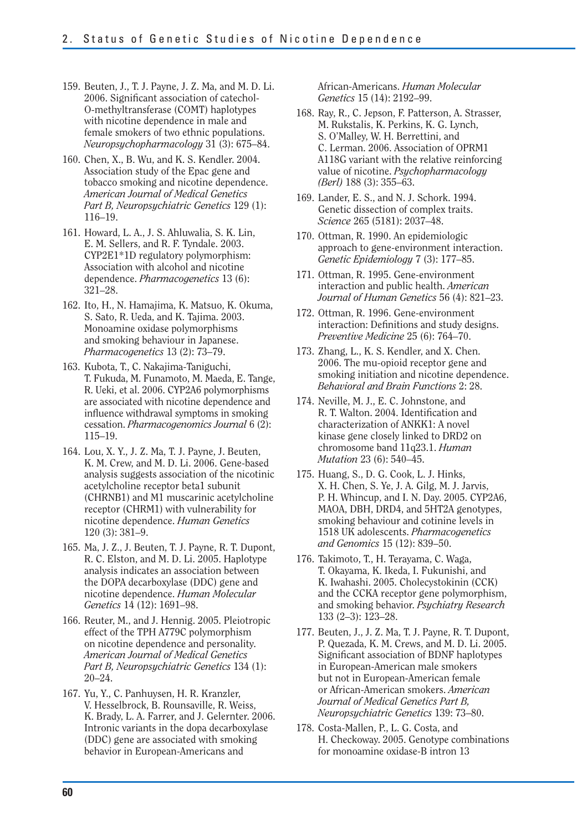- 159. Beuten, J., T. J. Payne, J. Z. Ma, and M. D. Li. 2006. Significant association of catechol-O-methyltransferase (COMT) haplotypes with nicotine dependence in male and female smokers of two ethnic populations. *Neuropsychopharmacology* 31 (3): 675–84.
- 160. Chen, X., B. Wu, and K. S. Kendler. 2004. Association study of the Epac gene and tobacco smoking and nicotine dependence. *American Journal of Medical Genetics Part B, Neuropsychiatric Genetics* 129 (1): 116–19.
- 161. Howard, L. A., J. S. Ahluwalia, S. K. Lin, E. M. Sellers, and R. F. Tyndale. 2003. CYP2E1\*1D regulatory polymorphism: Association with alcohol and nicotine dependence. *Pharmacogenetics* 13 (6): 321–28.
- 162. Ito, H., N. Hamajima, K. Matsuo, K. Okuma, S. Sato, R. Ueda, and K. Tajima. 2003. Monoamine oxidase polymorphisms and smoking behaviour in Japanese. *Pharmacogenetics* 13 (2): 73–79.
- 163. Kubota, T., C. Nakajima-Taniguchi, T. Fukuda, M. Funamoto, M. Maeda, E. Tange, R. Ueki, et al. 2006. CYP2A6 polymorphisms are associated with nicotine dependence and influence withdrawal symptoms in smoking cessation. *Pharmacogenomics Journal* 6 (2): 115–19.
- 164. Lou, X. Y., J. Z. Ma, T. J. Payne, J. Beuten, K. M. Crew, and M. D. Li. 2006. Gene-based analysis suggests association of the nicotinic acetylcholine receptor beta1 subunit (CHRNB1) and M1 muscarinic acetylcholine receptor (CHRM1) with vulnerability for nicotine dependence. *Human Genetics*  120 (3): 381–9.
- 165. Ma, J. Z., J. Beuten, T. J. Payne, R. T. Dupont, R. C. Elston, and M. D. Li. 2005. Haplotype analysis indicates an association between the DOPA decarboxylase (DDC) gene and nicotine dependence. *Human Molecular Genetics* 14 (12): 1691–98.
- 166. Reuter, M., and J. Hennig. 2005. Pleiotropic effect of the TPH A779C polymorphism on nicotine dependence and personality. *American Journal of Medical Genetics Part B, Neuropsychiatric Genetics* 134 (1): 20–24.
- 167. Yu, Y., C. Panhuysen, H. R. Kranzler, V. Hesselbrock, B. Rounsaville, R. Weiss, K. Brady, L. A. Farrer, and J. Gelernter. 2006. Intronic variants in the dopa decarboxylase (DDC) gene are associated with smoking behavior in European-Americans and

African-Americans. *Human Molecular Genetics* 15 (14): 2192–99.

- 168. Ray, R., C. Jepson, F. Patterson, A. Strasser, M. Rukstalis, K. Perkins, K. G. Lynch, S. O'Malley, W. H. Berrettini, and C. Lerman. 2006. Association of OPRM1 A118G variant with the relative reinforcing value of nicotine. *Psychopharmacology (Berl)* 188 (3): 355–63.
- 169. Lander, E. S., and N. J. Schork. 1994. Genetic dissection of complex traits. *Science* 265 (5181): 2037–48.
- 170. Ottman, R. 1990. An epidemiologic approach to gene-environment interaction. *Genetic Epidemiology* 7 (3): 177–85.
- 171. Ottman, R. 1995. Gene-environment interaction and public health. *American Journal of Human Genetics* 56 (4): 821–23.
- 172. Ottman, R. 1996. Gene-environment interaction: Definitions and study designs. *Preventive Medicine* 25 (6): 764–70.
- 173. Zhang, L., K. S. Kendler, and X. Chen. 2006. The mu-opioid receptor gene and smoking initiation and nicotine dependence. *Behavioral and Brain Functions* 2: 28.
- 174. Neville, M. J., E. C. Johnstone, and R. T. Walton. 2004. Identification and characterization of ANKK1: A novel kinase gene closely linked to DRD2 on chromosome band 11q23.1. *Human Mutation* 23 (6): 540–45.
- 175. Huang, S., D. G. Cook, L. J. Hinks, X. H. Chen, S. Ye, J. A. Gilg, M. J. Jarvis, P. H. Whincup, and I. N. Day. 2005. CYP2A6, MAOA, DBH, DRD4, and 5HT2A genotypes, smoking behaviour and cotinine levels in 1518 UK adolescents. *Pharmacogenetics and Genomics* 15 (12): 839–50.
- 176. Takimoto, T., H. Terayama, C. Waga, T. Okayama, K. Ikeda, I. Fukunishi, and K. Iwahashi. 2005. Cholecystokinin (CCK) and the CCKA receptor gene polymorphism, and smoking behavior. *Psychiatry Research*  133 (2–3): 123–28.
- 177. Beuten, J., J. Z. Ma, T. J. Payne, R. T. Dupont, P. Quezada, K. M. Crews, and M. D. Li. 2005. Significant association of BDNF haplotypes in European-American male smokers but not in European-American female or African-American smokers. *American Journal of Medical Genetics Part B, Neuropsychiatric Genetics* 139: 73–80.
- 178. Costa-Mallen, P., L. G. Costa, and H. Checkoway. 2005. Genotype combinations for monoamine oxidase-B intron 13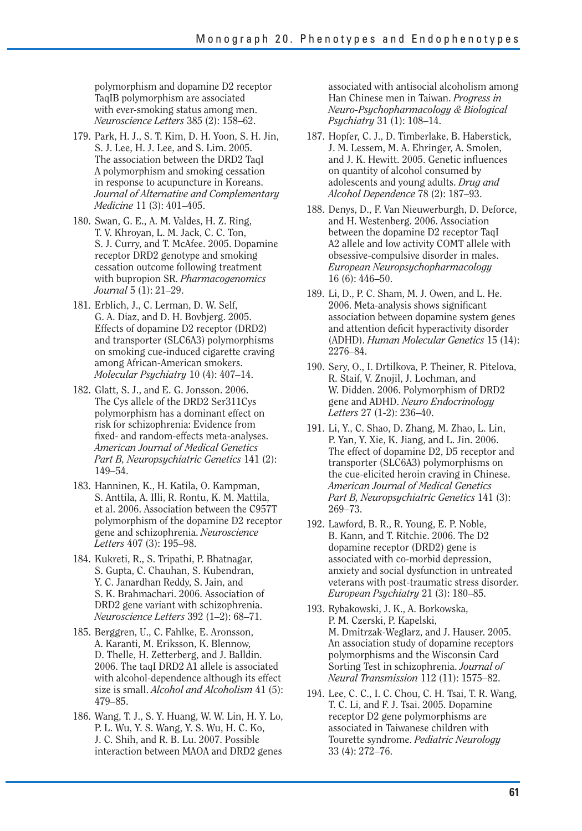polymorphism and dopamine D2 receptor TaqIB polymorphism are associated with ever-smoking status among men. *Neuroscience Letters* 385 (2): 158–62.

- 179. Park, H. J., S. T. Kim, D. H. Yoon, S. H. Jin, S. J. Lee, H. J. Lee, and S. Lim. 2005. The association between the DRD2 TaqI A polymorphism and smoking cessation in response to acupuncture in Koreans. *Journal of Alternative and Complementary Medicine* 11 (3): 401–405.
- 180. Swan, G. E., A. M. Valdes, H. Z. Ring, T. V. Khroyan, L. M. Jack, C. C. Ton, S. J. Curry, and T. McAfee. 2005. Dopamine receptor DRD2 genotype and smoking cessation outcome following treatment with bupropion SR. *Pharmacogenomics Journal* 5 (1): 21–29.
- 181. Erblich, J., C. Lerman, D. W. Self, G. A. Diaz, and D. H. Bovbjerg. 2005. Effects of dopamine D2 receptor (DRD2) and transporter (SLC6A3) polymorphisms on smoking cue-induced cigarette craving among African-American smokers. *Molecular Psychiatry* 10 (4): 407–14.
- 182. Glatt, S. J., and E. G. Jonsson. 2006. The Cys allele of the DRD2 Ser311Cys polymorphism has a dominant effect on risk for schizophrenia: Evidence from fixed- and random-effects meta-analyses. *American Journal of Medical Genetics Part B, Neuropsychiatric Genetics* 141 (2): 149–54.
- 183. Hanninen, K., H. Katila, O. Kampman, S. Anttila, A. Illi, R. Rontu, K. M. Mattila, et al. 2006. Association between the C957T polymorphism of the dopamine D2 receptor gene and schizophrenia. *Neuroscience Letters* 407 (3): 195–98.
- 184. Kukreti, R., S. Tripathi, P. Bhatnagar, S. Gupta, C. Chauhan, S. Kubendran, Y. C. Janardhan Reddy, S. Jain, and S. K. Brahmachari. 2006. Association of DRD2 gene variant with schizophrenia. *Neuroscience Letters* 392 (1–2): 68–71.
- 185. Berggren, U., C. Fahlke, E. Aronsson, A. Karanti, M. Eriksson, K. Blennow, D. Thelle, H. Zetterberg, and J. Balldin. 2006. The taqI DRD2 A1 allele is associated with alcohol-dependence although its effect size is small. *Alcohol and Alcoholism* 41 (5): 479–85.
- 186. Wang, T. J., S. Y. Huang, W. W. Lin, H. Y. Lo, P. L. Wu, Y. S. Wang, Y. S. Wu, H. C. Ko, J. C. Shih, and R. B. Lu. 2007. Possible interaction between MAOA and DRD2 genes

associated with antisocial alcoholism among Han Chinese men in Taiwan. *Progress in Neuro-Psychopharmacology & Biological Psychiatry* 31 (1): 108–14.

- 187. Hopfer, C. J., D. Timberlake, B. Haberstick, J. M. Lessem, M. A. Ehringer, A. Smolen, and J. K. Hewitt. 2005. Genetic influences on quantity of alcohol consumed by adolescents and young adults. *Drug and Alcohol Dependence* 78 (2): 187–93.
- 188. Denys, D., F. Van Nieuwerburgh, D. Deforce, and H. Westenberg. 2006. Association between the dopamine D2 receptor TaqI A2 allele and low activity COMT allele with obsessive-compulsive disorder in males. *European Neuropsychopharmacology*  16 (6): 446–50.
- 189. Li, D., P. C. Sham, M. J. Owen, and L. He. 2006. Meta-analysis shows significant association between dopamine system genes and attention deficit hyperactivity disorder (ADHD). *Human Molecular Genetics* 15 (14): 2276–84.
- 190. Sery, O., I. Drtilkova, P. Theiner, R. Pitelova, R. Staif, V. Znojil, J. Lochman, and W. Didden. 2006. Polymorphism of DRD2 gene and ADHD. *Neuro Endocrinology Letters* 27 (1-2): 236–40.
- 191. Li, Y., C. Shao, D. Zhang, M. Zhao, L. Lin, P. Yan, Y. Xie, K. Jiang, and L. Jin. 2006. The effect of dopamine D2, D5 receptor and transporter (SLC6A3) polymorphisms on the cue-elicited heroin craving in Chinese. *American Journal of Medical Genetics Part B, Neuropsychiatric Genetics* 141 (3): 269–73.
- 192. Lawford, B. R., R. Young, E. P. Noble, B. Kann, and T. Ritchie. 2006. The D2 dopamine receptor (DRD2) gene is associated with co-morbid depression, anxiety and social dysfunction in untreated veterans with post-traumatic stress disorder. *European Psychiatry* 21 (3): 180–85.
- 193. Rybakowski, J. K., A. Borkowska, P. M. Czerski, P. Kapelski, M. Dmitrzak-Weglarz, and J. Hauser. 2005. An association study of dopamine receptors polymorphisms and the Wisconsin Card Sorting Test in schizophrenia. *Journal of Neural Transmission* 112 (11): 1575–82.
- 194. Lee, C. C., I. C. Chou, C. H. Tsai, T. R. Wang, T. C. Li, and F. J. Tsai. 2005. Dopamine receptor D2 gene polymorphisms are associated in Taiwanese children with Tourette syndrome. *Pediatric Neurology*  33 (4): 272–76.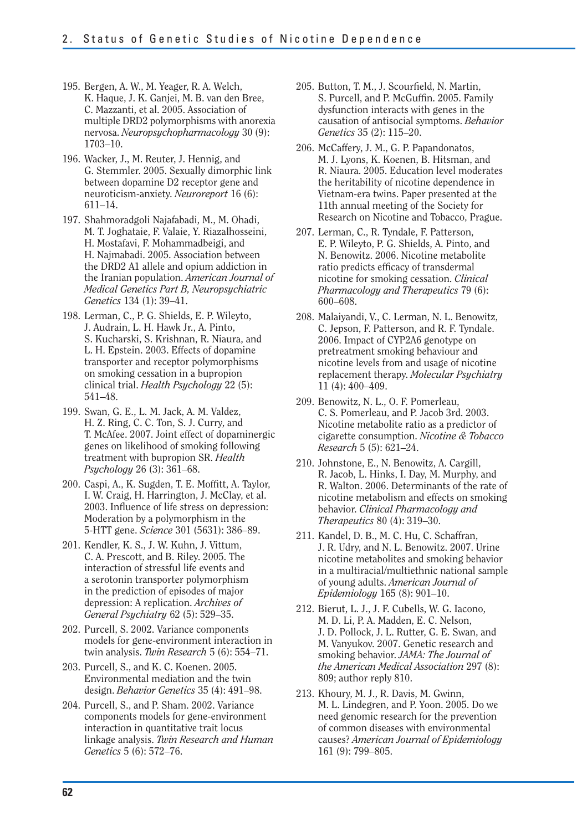- 195. Bergen, A. W., M. Yeager, R. A. Welch, K. Haque, J. K. Ganjei, M. B. van den Bree, C. Mazzanti, et al. 2005. Association of multiple DRD2 polymorphisms with anorexia nervosa. *Neuropsychopharmacology* 30 (9): 1703–10.
- 196. Wacker, J., M. Reuter, J. Hennig, and G. Stemmler. 2005. Sexually dimorphic link between dopamine D2 receptor gene and neuroticism-anxiety. *Neuroreport* 16 (6): 611–14.
- 197. Shahmoradgoli Najafabadi, M., M. Ohadi, M. T. Joghataie, F. Valaie, Y. Riazalhosseini, H. Mostafavi, F. Mohammadbeigi, and H. Najmabadi. 2005. Association between the DRD2 A1 allele and opium addiction in the Iranian population. *American Journal of Medical Genetics Part B, Neuropsychiatric Genetics* 134 (1): 39–41.
- 198. Lerman, C., P. G. Shields, E. P. Wileyto, J. Audrain, L. H. Hawk Jr., A. Pinto, S. Kucharski, S. Krishnan, R. Niaura, and L. H. Epstein. 2003. Effects of dopamine transporter and receptor polymorphisms on smoking cessation in a bupropion clinical trial. *Health Psychology* 22 (5): 541–48.
- 199. Swan, G. E., L. M. Jack, A. M. Valdez, H. Z. Ring, C. C. Ton, S. J. Curry, and T. McAfee. 2007. Joint effect of dopaminergic genes on likelihood of smoking following treatment with bupropion SR. *Health Psychology* 26 (3): 361–68.
- 200. Caspi, A., K. Sugden, T. E. Moffitt, A. Taylor, I. W. Craig, H. Harrington, J. McClay, et al. 2003. Influence of life stress on depression: Moderation by a polymorphism in the 5-HTT gene. *Science* 301 (5631): 386–89.
- 201. Kendler, K. S., J. W. Kuhn, J. Vittum, C. A. Prescott, and B. Riley. 2005. The interaction of stressful life events and a serotonin transporter polymorphism in the prediction of episodes of major depression: A replication. *Archives of General Psychiatry* 62 (5): 529–35.
- 202. Purcell, S. 2002. Variance components models for gene-environment interaction in twin analysis. *Twin Research* 5 (6): 554–71.
- 203. Purcell, S., and K. C. Koenen. 2005. Environmental mediation and the twin design. *Behavior Genetics* 35 (4): 491–98.
- 204. Purcell, S., and P. Sham. 2002. Variance components models for gene-environment interaction in quantitative trait locus linkage analysis. *Twin Research and Human Genetics* 5 (6): 572–76.
- 205. Button, T. M., J. Scourfield, N. Martin, S. Purcell, and P. McGuffin. 2005. Family dysfunction interacts with genes in the causation of antisocial symptoms. *Behavior Genetics* 35 (2): 115–20.
- 206. McCaffery, J. M., G. P. Papandonatos, M. J. Lyons, K. Koenen, B. Hitsman, and R. Niaura. 2005. Education level moderates the heritability of nicotine dependence in Vietnam-era twins. Paper presented at the 11th annual meeting of the Society for Research on Nicotine and Tobacco, Prague.
- 207. Lerman, C., R. Tyndale, F. Patterson, E. P. Wileyto, P. G. Shields, A. Pinto, and N. Benowitz. 2006. Nicotine metabolite ratio predicts efficacy of transdermal nicotine for smoking cessation. *Clinical Pharmacology and Therapeutics* 79 (6): 600–608.
- 208. Malaiyandi, V., C. Lerman, N. L. Benowitz, C. Jepson, F. Patterson, and R. F. Tyndale. 2006. Impact of CYP2A6 genotype on pretreatment smoking behaviour and nicotine levels from and usage of nicotine replacement therapy. *Molecular Psychiatry*  11 (4): 400–409.
- 209. Benowitz, N. L., O. F. Pomerleau, C. S. Pomerleau, and P. Jacob 3rd. 2003. Nicotine metabolite ratio as a predictor of cigarette consumption. *Nicotine & Tobacco Research* 5 (5): 621–24.
- 210. Johnstone, E., N. Benowitz, A. Cargill, R. Jacob, L. Hinks, I. Day, M. Murphy, and R. Walton. 2006. Determinants of the rate of nicotine metabolism and effects on smoking behavior. *Clinical Pharmacology and Therapeutics* 80 (4): 319–30.
- 211. Kandel, D. B., M. C. Hu, C. Schaffran, J. R. Udry, and N. L. Benowitz. 2007. Urine nicotine metabolites and smoking behavior in a multiracial/multiethnic national sample of young adults. *American Journal of Epidemiology* 165 (8): 901–10.
- 212. Bierut, L. J., J. F. Cubells, W. G. Iacono, M. D. Li, P. A. Madden, E. C. Nelson, J. D. Pollock, J. L. Rutter, G. E. Swan, and M. Vanyukov. 2007. Genetic research and smoking behavior. *JAMA: The Journal of the American Medical Association* 297 (8): 809; author reply 810.
- 213. Khoury, M. J., R. Davis, M. Gwinn, M. L. Lindegren, and P. Yoon. 2005. Do we need genomic research for the prevention of common diseases with environmental causes? *American Journal of Epidemiology*  161 (9): 799–805.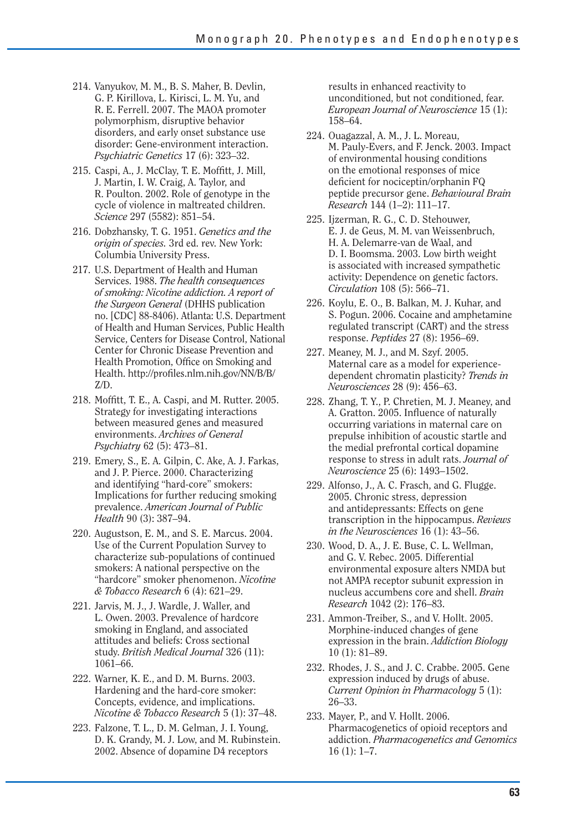- 214. Vanyukov, M. M., B. S. Maher, B. Devlin, G. P. Kirillova, L. Kirisci, L. M. Yu, and R. E. Ferrell. 2007. The MAOA promoter polymorphism, disruptive behavior disorders, and early onset substance use disorder: Gene-environment interaction. *Psychiatric Genetics* 17 (6): 323–32.
- 215. Caspi, A., J. McClay, T. E. Moffitt, J. Mill, J. Martin, I. W. Craig, A. Taylor, and R. Poulton. 2002. Role of genotype in the cycle of violence in maltreated children. *Science* 297 (5582): 851–54.
- 216. Dobzhansky, T. G. 1951. *Genetics and the origin of species.* 3rd ed. rev. New York: Columbia University Press.
- 217. U.S. Department of Health and Human Services. 1988. *The health consequences of smoking: Nicotine addiction. A report of the Surgeon General* (DHHS publication no. [CDC] 88-8406). Atlanta: U.S. Department of Health and Human Services, Public Health Service, Centers for Disease Control, National Center for Chronic Disease Prevention and Health Promotion, Office on Smoking and Health. http://profiles.nlm.nih.gov/NN/B/B/ Z/D.
- 218. Moffitt, T. E., A. Caspi, and M. Rutter. 2005. Strategy for investigating interactions between measured genes and measured environments. *Archives of General Psychiatry* 62 (5): 473–81.
- 219. Emery, S., E. A. Gilpin, C. Ake, A. J. Farkas, and J. P. Pierce. 2000. Characterizing and identifying "hard-core" smokers: Implications for further reducing smoking prevalence. *American Journal of Public Health* 90 (3): 387–94.
- 220. Augustson, E. M., and S. E. Marcus. 2004. Use of the Current Population Survey to characterize sub-populations of continued smokers: A national perspective on the "hardcore" smoker phenomenon. *Nicotine & Tobacco Research* 6 (4): 621–29.
- 221. Jarvis, M. J., J. Wardle, J. Waller, and L. Owen. 2003. Prevalence of hardcore smoking in England, and associated attitudes and beliefs: Cross sectional study. *British Medical Journal* 326 (11): 1061–66.
- 222. Warner, K. E., and D. M. Burns. 2003. Hardening and the hard-core smoker: Concepts, evidence, and implications. *Nicotine & Tobacco Research* 5 (1): 37–48.
- 223. Falzone, T. L., D. M. Gelman, J. I. Young, D. K. Grandy, M. J. Low, and M. Rubinstein. 2002. Absence of dopamine D4 receptors

results in enhanced reactivity to unconditioned, but not conditioned, fear. *European Journal of Neuroscience* 15 (1): 158–64.

- 224. Ouagazzal, A. M., J. L. Moreau, M. Pauly-Evers, and F. Jenck. 2003. Impact of environmental housing conditions on the emotional responses of mice deficient for nociceptin/orphanin FQ peptide precursor gene. *Behavioural Brain Research* 144 (1–2): 111–17.
- 225. Ijzerman, R. G., C. D. Stehouwer, E. J. de Geus, M. M. van Weissenbruch, H. A. Delemarre-van de Waal, and D. I. Boomsma. 2003. Low birth weight is associated with increased sympathetic activity: Dependence on genetic factors. *Circulation* 108 (5): 566–71.
- 226. Koylu, E. O., B. Balkan, M. J. Kuhar, and S. Pogun. 2006. Cocaine and amphetamine regulated transcript (CART) and the stress response. *Peptides* 27 (8): 1956–69.
- 227. Meaney, M. J., and M. Szyf. 2005. Maternal care as a model for experiencedependent chromatin plasticity? *Trends in Neurosciences* 28 (9): 456–63.
- 228. Zhang, T. Y., P. Chretien, M. J. Meaney, and A. Gratton. 2005. Influence of naturally occurring variations in maternal care on prepulse inhibition of acoustic startle and the medial prefrontal cortical dopamine response to stress in adult rats. *Journal of Neuroscience* 25 (6): 1493–1502.
- 229. Alfonso, J., A. C. Frasch, and G. Flugge. 2005. Chronic stress, depression and antidepressants: Effects on gene transcription in the hippocampus. *Reviews in the Neurosciences* 16 (1): 43–56.
- 230. Wood, D. A., J. E. Buse, C. L. Wellman, and G. V. Rebec. 2005. Differential environmental exposure alters NMDA but not AMPA receptor subunit expression in nucleus accumbens core and shell. *Brain Research* 1042 (2): 176–83.
- 231. Ammon-Treiber, S., and V. Hollt. 2005. Morphine-induced changes of gene expression in the brain. *Addiction Biology*  10 (1): 81–89.
- 232. Rhodes, J. S., and J. C. Crabbe. 2005. Gene expression induced by drugs of abuse. *Current Opinion in Pharmacology* 5 (1): 26–33.
- 233. Mayer, P., and V. Hollt. 2006. Pharmacogenetics of opioid receptors and addiction. *Pharmacogenetics and Genomics*   $16(1): 1-7.$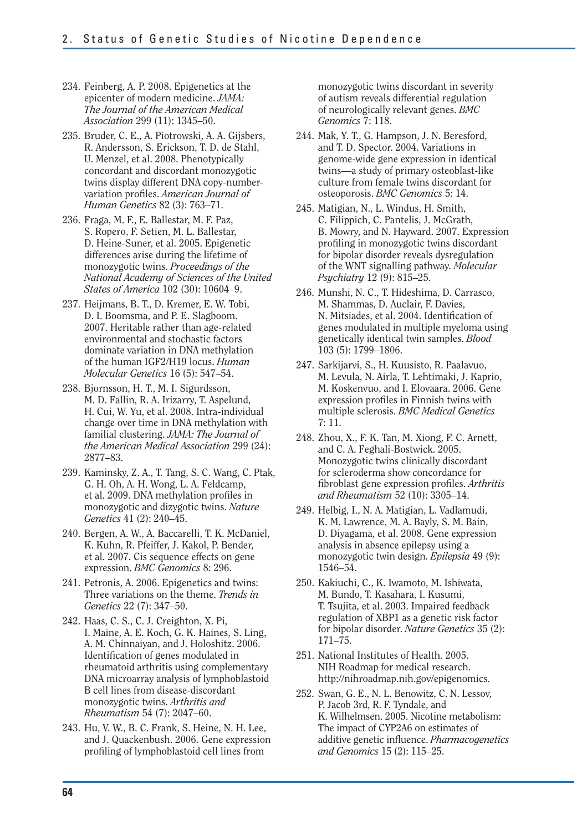- 234. Feinberg, A. P. 2008. Epigenetics at the epicenter of modern medicine. *JAMA: The Journal of the American Medical Association* 299 (11): 1345–50.
- 235. Bruder, C. E., A. Piotrowski, A. A. Gijsbers, R. Andersson, S. Erickson, T. D. de Stahl, U. Menzel, et al. 2008. Phenotypically concordant and discordant monozygotic twins display different DNA copy-numbervariation profiles. *American Journal of Human Genetics* 82 (3): 763–71.
- 236. Fraga, M. F., E. Ballestar, M. F. Paz, S. Ropero, F. Setien, M. L. Ballestar, D. Heine-Suner, et al. 2005. Epigenetic differences arise during the lifetime of monozygotic twins. *Proceedings of the National Academy of Sciences of the United States of America* 102 (30): 10604–9.
- 237. Heijmans, B. T., D. Kremer, E. W. Tobi, D. I. Boomsma, and P. E. Slagboom. 2007. Heritable rather than age-related environmental and stochastic factors dominate variation in DNA methylation of the human IGF2/H19 locus. *Human Molecular Genetics* 16 (5): 547–54.
- 238. Bjornsson, H. T., M. I. Sigurdsson, M. D. Fallin, R. A. Irizarry, T. Aspelund, H. Cui, W. Yu, et al. 2008. Intra-individual change over time in DNA methylation with familial clustering. *JAMA: The Journal of the American Medical Association* 299 (24): 2877–83.
- 239. Kaminsky, Z. A., T. Tang, S. C. Wang, C. Ptak, G. H. Oh, A. H. Wong, L. A. Feldcamp, et al. 2009. DNA methylation profiles in monozygotic and dizygotic twins. *Nature Genetics* 41 (2): 240–45.
- 240. Bergen, A. W., A. Baccarelli, T. K. McDaniel, K. Kuhn, R. Pfeiffer, J. Kakol, P. Bender, et al. 2007. Cis sequence effects on gene expression. *BMC Genomics* 8: 296.
- 241. Petronis, A. 2006. Epigenetics and twins: Three variations on the theme. *Trends in Genetics* 22 (7): 347–50.
- 242. Haas, C. S., C. J. Creighton, X. Pi, I. Maine, A. E. Koch, G. K. Haines, S. Ling, A. M. Chinnaiyan, and J. Holoshitz. 2006. Identification of genes modulated in rheumatoid arthritis using complementary DNA microarray analysis of lymphoblastoid B cell lines from disease-discordant monozygotic twins. *Arthritis and Rheumatism* 54 (7): 2047–60.
- 243. Hu, V. W., B. C. Frank, S. Heine, N. H. Lee, and J. Quackenbush. 2006. Gene expression profiling of lymphoblastoid cell lines from

monozygotic twins discordant in severity of autism reveals differential regulation of neurologically relevant genes. *BMC Genomics* 7: 118.

- 244. Mak, Y. T., G. Hampson, J. N. Beresford, and T. D. Spector. 2004. Variations in genome-wide gene expression in identical twins—a study of primary osteoblast-like culture from female twins discordant for osteoporosis. *BMC Genomics* 5: 14.
- 245. Matigian, N., L. Windus, H. Smith, C. Filippich, C. Pantelis, J. McGrath, B. Mowry, and N. Hayward. 2007. Expression profiling in monozygotic twins discordant for bipolar disorder reveals dysregulation of the WNT signalling pathway. *Molecular Psychiatry* 12 (9): 815–25.
- 246. Munshi, N. C., T. Hideshima, D. Carrasco, M. Shammas, D. Auclair, F. Davies, N. Mitsiades, et al. 2004. Identification of genes modulated in multiple myeloma using genetically identical twin samples. *Blood*  103 (5): 1799–1806.
- 247. Sarkijarvi, S., H. Kuusisto, R. Paalavuo, M. Levula, N. Airla, T. Lehtimaki, J. Kaprio, M. Koskenvuo, and I. Elovaara. 2006. Gene expression profiles in Finnish twins with multiple sclerosis. *BMC Medical Genetics*  7: 11.
- 248. Zhou, X., F. K. Tan, M. Xiong, F. C. Arnett, and C. A. Feghali-Bostwick. 2005. Monozygotic twins clinically discordant for scleroderma show concordance for fibroblast gene expression profiles. *Arthritis and Rheumatism* 52 (10): 3305–14.
- 249. Helbig, I., N. A. Matigian, L. Vadlamudi, K. M. Lawrence, M. A. Bayly, S. M. Bain, D. Diyagama, et al. 2008. Gene expression analysis in absence epilepsy using a monozygotic twin design. *Epilepsia* 49 (9): 1546–54.
- 250. Kakiuchi, C., K. Iwamoto, M. Ishiwata, M. Bundo, T. Kasahara, I. Kusumi, T. Tsujita, et al. 2003. Impaired feedback regulation of XBP1 as a genetic risk factor for bipolar disorder. *Nature Genetics* 35 (2): 171–75.
- 251. National Institutes of Health. 2005. NIH Roadmap for medical research. http://nihroadmap.nih.gov/epigenomics.
- 252. Swan, G. E., N. L. Benowitz, C. N. Lessov, P. Jacob 3rd, R. F. Tyndale, and K. Wilhelmsen. 2005. Nicotine metabolism: The impact of CYP2A6 on estimates of additive genetic infl uence. *Pharmacogenetics and Genomics* 15 (2): 115–25.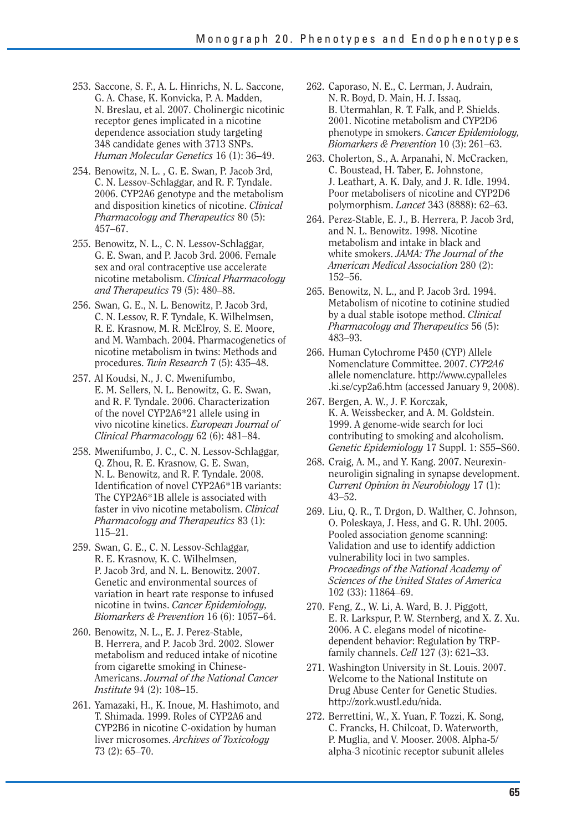- 253. Saccone, S. F., A. L. Hinrichs, N. L. Saccone, G. A. Chase, K. Konvicka, P. A. Madden, N. Breslau, et al. 2007. Cholinergic nicotinic receptor genes implicated in a nicotine dependence association study targeting 348 candidate genes with 3713 SNPs. *Human Molecular Genetics* 16 (1): 36–49.
- 254. Benowitz, N. L. , G. E. Swan, P. Jacob 3rd, C. N. Lessov-Schlaggar, and R. F. Tyndale. 2006. CYP2A6 genotype and the metabolism and disposition kinetics of nicotine. *Clinical Pharmacology and Therapeutics* 80 (5): 457–67.
- 255. Benowitz, N. L., C. N. Lessov-Schlaggar, G. E. Swan, and P. Jacob 3rd. 2006. Female sex and oral contraceptive use accelerate nicotine metabolism. *Clinical Pharmacology and Therapeutics* 79 (5): 480–88.
- 256. Swan, G. E., N. L. Benowitz, P. Jacob 3rd, C. N. Lessov, R. F. Tyndale, K. Wilhelmsen, R. E. Krasnow, M. R. McElroy, S. E. Moore, and M. Wambach. 2004. Pharmacogenetics of nicotine metabolism in twins: Methods and procedures. *Twin Research* 7 (5): 435–48.
- 257. Al Koudsi, N., J. C. Mwenifumbo, E. M. Sellers, N. L. Benowitz, G. E. Swan, and R. F. Tyndale. 2006. Characterization of the novel CYP2A6\*21 allele using in vivo nicotine kinetics. *European Journal of Clinical Pharmacology* 62 (6): 481–84.
- 258. Mwenifumbo, J. C., C. N. Lessov-Schlaggar, Q. Zhou, R. E. Krasnow, G. E. Swan, N. L. Benowitz, and R. F. Tyndale. 2008. Identification of novel CYP2A6\*1B variants: The CYP2A6\*1B allele is associated with faster in vivo nicotine metabolism. *Clinical Pharmacology and Therapeutics* 83 (1): 115–21.
- 259. Swan, G. E., C. N. Lessov-Schlaggar, R. E. Krasnow, K. C. Wilhelmsen, P. Jacob 3rd, and N. L. Benowitz. 2007. Genetic and environmental sources of variation in heart rate response to infused nicotine in twins. *Cancer Epidemiology, Biomarkers & Prevention* 16 (6): 1057–64.
- 260. Benowitz, N. L., E. J. Perez-Stable, B. Herrera, and P. Jacob 3rd. 2002. Slower metabolism and reduced intake of nicotine from cigarette smoking in Chinese-Americans. *Journal of the National Cancer Institute* 94 (2): 108–15.
- 261. Yamazaki, H., K. Inoue, M. Hashimoto, and T. Shimada. 1999. Roles of CYP2A6 and CYP2B6 in nicotine C-oxidation by human liver microsomes. *Archives of Toxicology*  73 (2): 65–70.
- 262. Caporaso, N. E., C. Lerman, J. Audrain, N. R. Boyd, D. Main, H. J. Issaq, B. Utermahlan, R. T. Falk, and P. Shields. 2001. Nicotine metabolism and CYP2D6 phenotype in smokers. *Cancer Epidemiology, Biomarkers & Prevention* 10 (3): 261–63.
- 263. Cholerton, S., A. Arpanahi, N. McCracken, C. Boustead, H. Taber, E. Johnstone, J. Leathart, A. K. Daly, and J. R. Idle. 1994. Poor metabolisers of nicotine and CYP2D6 polymorphism. *Lancet* 343 (8888): 62–63.
- 264. Perez-Stable, E. J., B. Herrera, P. Jacob 3rd, and N. L. Benowitz. 1998. Nicotine metabolism and intake in black and white smokers. *JAMA: The Journal of the American Medical Association* 280 (2): 152–56.
- 265. Benowitz, N. L., and P. Jacob 3rd. 1994. Metabolism of nicotine to cotinine studied by a dual stable isotope method. *Clinical Pharmacology and Therapeutics* 56 (5): 483–93.
- 266. Human Cytochrome P450 (CYP) Allele Nomenclature Committee. 2007. *CYP2A6*  allele nomenclature. http://www.cypalleles .ki.se/cyp2a6.htm (accessed January 9, 2008).
- 267. Bergen, A. W., J. F. Korczak, K. A. Weissbecker, and A. M. Goldstein. 1999. A genome-wide search for loci contributing to smoking and alcoholism. *Genetic Epidemiology* 17 Suppl. 1: S55–S60.
- 268. Craig, A. M., and Y. Kang. 2007. Neurexinneuroligin signaling in synapse development. *Current Opinion in Neurobiology* 17 (1): 43–52.
- 269. Liu, Q. R., T. Drgon, D. Walther, C. Johnson, O. Poleskaya, J. Hess, and G. R. Uhl. 2005. Pooled association genome scanning: Validation and use to identify addiction vulnerability loci in two samples. *Proceedings of the National Academy of Sciences of the United States of America*  102 (33): 11864–69.
- 270. Feng, Z., W. Li, A. Ward, B. J. Piggott, E. R. Larkspur, P. W. Sternberg, and X. Z. Xu. 2006. A C. elegans model of nicotinedependent behavior: Regulation by TRPfamily channels. *Cell* 127 (3): 621–33.
- 271. Washington University in St. Louis. 2007. Welcome to the National Institute on Drug Abuse Center for Genetic Studies. http://zork.wustl.edu/nida.
- 272. Berrettini, W., X. Yuan, F. Tozzi, K. Song, C. Francks, H. Chilcoat, D. Waterworth, P. Muglia, and V. Mooser. 2008. Alpha-5/ alpha-3 nicotinic receptor subunit alleles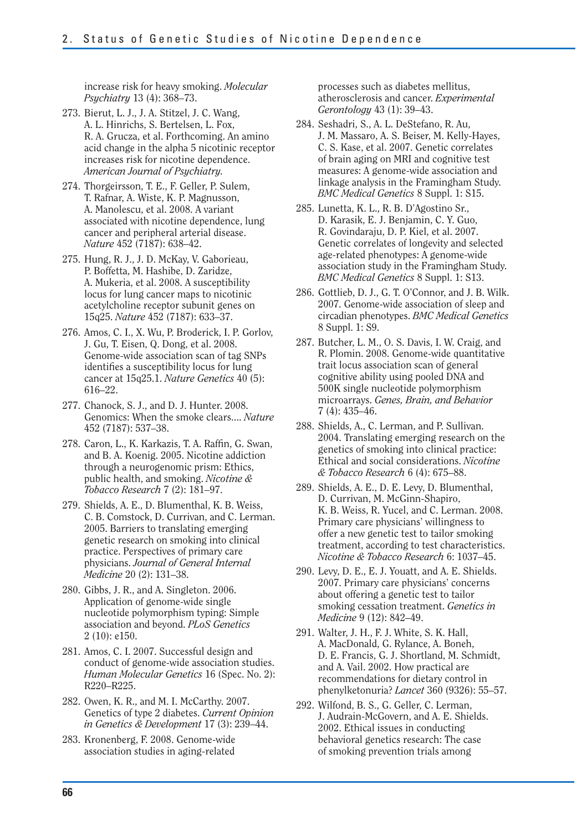increase risk for heavy smoking. *Molecular Psychiatry* 13 (4): 368–73.

- 273. Bierut, L. J., J. A. Stitzel, J. C. Wang, A. L. Hinrichs, S. Bertelsen, L. Fox, R. A. Grucza, et al. Forthcoming. An amino acid change in the alpha 5 nicotinic receptor increases risk for nicotine dependence. *American Journal of Psychiatry.*
- 274. Thorgeirsson, T. E., F. Geller, P. Sulem, T. Rafnar, A. Wiste, K. P. Magnusson, A. Manolescu, et al. 2008. A variant associated with nicotine dependence, lung cancer and peripheral arterial disease. *Nature* 452 (7187): 638–42.
- 275. Hung, R. J., J. D. McKay, V. Gaborieau, P. Boffetta, M. Hashibe, D. Zaridze, A. Mukeria, et al. 2008. A susceptibility locus for lung cancer maps to nicotinic acetylcholine receptor subunit genes on 15q25. *Nature* 452 (7187): 633–37.
- 276. Amos, C. I., X. Wu, P. Broderick, I. P. Gorlov, J. Gu, T. Eisen, Q. Dong, et al. 2008. Genome-wide association scan of tag SNPs identifies a susceptibility locus for lung cancer at 15q25.1. *Nature Genetics* 40 (5): 616–22.
- 277. Chanock, S. J., and D. J. Hunter. 2008. Genomics: When the smoke clears.... *Nature*  452 (7187): 537–38.
- 278. Caron, L., K. Karkazis, T. A. Raffin, G. Swan, and B. A. Koenig. 2005. Nicotine addiction through a neurogenomic prism: Ethics, public health, and smoking. *Nicotine & Tobacco Research* 7 (2): 181–97.
- 279. Shields, A. E., D. Blumenthal, K. B. Weiss, C. B. Comstock, D. Currivan, and C. Lerman. 2005. Barriers to translating emerging genetic research on smoking into clinical practice. Perspectives of primary care physicians. *Journal of General Internal Medicine* 20 (2): 131–38.
- 280. Gibbs, J. R., and A. Singleton. 2006. Application of genome-wide single nucleotide polymorphism typing: Simple association and beyond. *PLoS Genetics*  2 (10): e150.
- 281. Amos, C. I. 2007. Successful design and conduct of genome-wide association studies. *Human Molecular Genetics* 16 (Spec. No. 2): R220–R225.
- 282. Owen, K. R., and M. I. McCarthy. 2007. Genetics of type 2 diabetes. *Current Opinion in Genetics & Development* 17 (3): 239–44.
- 283. Kronenberg, F. 2008. Genome-wide association studies in aging-related

processes such as diabetes mellitus, atherosclerosis and cancer. *Experimental Gerontology* 43 (1): 39–43.

- 284. Seshadri, S., A. L. DeStefano, R. Au, J. M. Massaro, A. S. Beiser, M. Kelly-Hayes, C. S. Kase, et al. 2007. Genetic correlates of brain aging on MRI and cognitive test measures: A genome-wide association and linkage analysis in the Framingham Study. *BMC Medical Genetics* 8 Suppl. 1: S15.
- 285. Lunetta, K. L., R. B. D'Agostino Sr., D. Karasik, E. J. Benjamin, C. Y. Guo, R. Govindaraju, D. P. Kiel, et al. 2007. Genetic correlates of longevity and selected age-related phenotypes: A genome-wide association study in the Framingham Study. *BMC Medical Genetics* 8 Suppl. 1: S13.
- 286. Gottlieb, D. J., G. T. O'Connor, and J. B. Wilk. 2007. Genome-wide association of sleep and circadian phenotypes. *BMC Medical Genetics*  8 Suppl. 1: S9.
- 287. Butcher, L. M., O. S. Davis, I. W. Craig, and R. Plomin. 2008. Genome-wide quantitative trait locus association scan of general cognitive ability using pooled DNA and 500K single nucleotide polymorphism microarrays. *Genes, Brain, and Behavior*  7 (4): 435–46.
- 288. Shields, A., C. Lerman, and P. Sullivan. 2004. Translating emerging research on the genetics of smoking into clinical practice: Ethical and social considerations. *Nicotine & Tobacco Research* 6 (4): 675–88.
- 289. Shields, A. E., D. E. Levy, D. Blumenthal, D. Currivan, M. McGinn-Shapiro, K. B. Weiss, R. Yucel, and C. Lerman. 2008. Primary care physicians' willingness to offer a new genetic test to tailor smoking treatment, according to test characteristics. *Nicotine & Tobacco Research* 6: 1037–45.
- 290. Levy, D. E., E. J. Youatt, and A. E. Shields. 2007. Primary care physicians' concerns about offering a genetic test to tailor smoking cessation treatment. *Genetics in Medicine* 9 (12): 842–49.
- 291. Walter, J. H., F. J. White, S. K. Hall, A. MacDonald, G. Rylance, A. Boneh, D. E. Francis, G. J. Shortland, M. Schmidt, and A. Vail. 2002. How practical are recommendations for dietary control in phenylketonuria? *Lancet* 360 (9326): 55–57.
- 292. Wilfond, B. S., G. Geller, C. Lerman, J. Audrain-McGovern, and A. E. Shields. 2002. Ethical issues in conducting behavioral genetics research: The case of smoking prevention trials among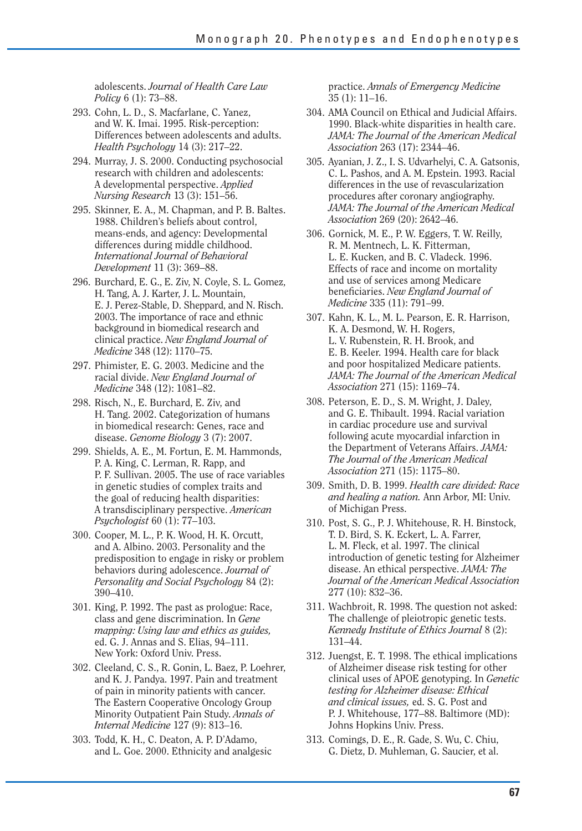adolescents. *Journal of Health Care Law Policy* 6 (1): 73–88.

- 293. Cohn, L. D., S. Macfarlane, C. Yanez, and W. K. Imai. 1995. Risk-perception: Differences between adolescents and adults. *Health Psychology* 14 (3): 217–22.
- 294. Murray, J. S. 2000. Conducting psychosocial research with children and adolescents: A developmental perspective. *Applied Nursing Research* 13 (3): 151–56.
- 295. Skinner, E. A., M. Chapman, and P. B. Baltes. 1988. Children's beliefs about control, means-ends, and agency: Developmental differences during middle childhood. *International Journal of Behavioral Development* 11 (3): 369–88.
- 296. Burchard, E. G., E. Ziv, N. Coyle, S. L. Gomez, H. Tang, A. J. Karter, J. L. Mountain, E. J. Perez-Stable, D. Sheppard, and N. Risch. 2003. The importance of race and ethnic background in biomedical research and clinical practice. *New England Journal of Medicine* 348 (12): 1170–75.
- 297. Phimister, E. G. 2003. Medicine and the racial divide. *New England Journal of Medicine* 348 (12): 1081–82.
- 298. Risch, N., E. Burchard, E. Ziv, and H. Tang. 2002. Categorization of humans in biomedical research: Genes, race and disease. *Genome Biology* 3 (7): 2007.
- 299. Shields, A. E., M. Fortun, E. M. Hammonds, P. A. King, C. Lerman, R. Rapp, and P. F. Sullivan. 2005. The use of race variables in genetic studies of complex traits and the goal of reducing health disparities: A transdisciplinary perspective. *American Psychologist* 60 (1): 77–103.
- 300. Cooper, M. L., P. K. Wood, H. K. Orcutt, and A. Albino. 2003. Personality and the predisposition to engage in risky or problem behaviors during adolescence. *Journal of Personality and Social Psychology* 84 (2): 390–410.
- 301. King, P. 1992. The past as prologue: Race, class and gene discrimination. In *Gene mapping: Using law and ethics as guides,*  ed. G. J. Annas and S. Elias, 94–111. New York: Oxford Univ. Press.
- 302. Cleeland, C. S., R. Gonin, L. Baez, P. Loehrer, and K. J. Pandya. 1997. Pain and treatment of pain in minority patients with cancer. The Eastern Cooperative Oncology Group Minority Outpatient Pain Study. *Annals of Internal Medicine* 127 (9): 813–16.
- 303. Todd, K. H., C. Deaton, A. P. D'Adamo, and L. Goe. 2000. Ethnicity and analgesic

practice. *Annals of Emergency Medicine*  35 (1): 11–16.

- 304. AMA Council on Ethical and Judicial Affairs. 1990. Black-white disparities in health care. *JAMA: The Journal of the American Medical Association* 263 (17): 2344–46.
- 305. Ayanian, J. Z., I. S. Udvarhelyi, C. A. Gatsonis, C. L. Pashos, and A. M. Epstein. 1993. Racial differences in the use of revascularization procedures after coronary angiography. *JAMA: The Journal of the American Medical Association* 269 (20): 2642–46.
- 306. Gornick, M. E., P. W. Eggers, T. W. Reilly, R. M. Mentnech, L. K. Fitterman, L. E. Kucken, and B. C. Vladeck. 1996. Effects of race and income on mortality and use of services among Medicare beneficiaries. *New England Journal of Medicine* 335 (11): 791–99.
- 307. Kahn, K. L., M. L. Pearson, E. R. Harrison, K. A. Desmond, W. H. Rogers, L. V. Rubenstein, R. H. Brook, and E. B. Keeler. 1994. Health care for black and poor hospitalized Medicare patients. *JAMA: The Journal of the American Medical Association* 271 (15): 1169–74.
- 308. Peterson, E. D., S. M. Wright, J. Daley, and G. E. Thibault. 1994. Racial variation in cardiac procedure use and survival following acute myocardial infarction in the Department of Veterans Affairs. *JAMA: The Journal of the American Medical Association* 271 (15): 1175–80.
- 309. Smith, D. B. 1999. *Health care divided: Race and healing a nation.* Ann Arbor, MI: Univ. of Michigan Press.
- 310. Post, S. G., P. J. Whitehouse, R. H. Binstock, T. D. Bird, S. K. Eckert, L. A. Farrer, L. M. Fleck, et al. 1997. The clinical introduction of genetic testing for Alzheimer disease. An ethical perspective. *JAMA: The Journal of the American Medical Association*  277 (10): 832–36.
- 311. Wachbroit, R. 1998. The question not asked: The challenge of pleiotropic genetic tests. *Kennedy Institute of Ethics Journal* 8 (2): 131–44.
- 312. Juengst, E. T. 1998. The ethical implications of Alzheimer disease risk testing for other clinical uses of APOE genotyping. In *Genetic testing for Alzheimer disease: Ethical and clinical issues,* ed. S. G. Post and P. J. Whitehouse, 177–88. Baltimore (MD): Johns Hopkins Univ. Press.
- 313. Comings, D. E., R. Gade, S. Wu, C. Chiu, G. Dietz, D. Muhleman, G. Saucier, et al.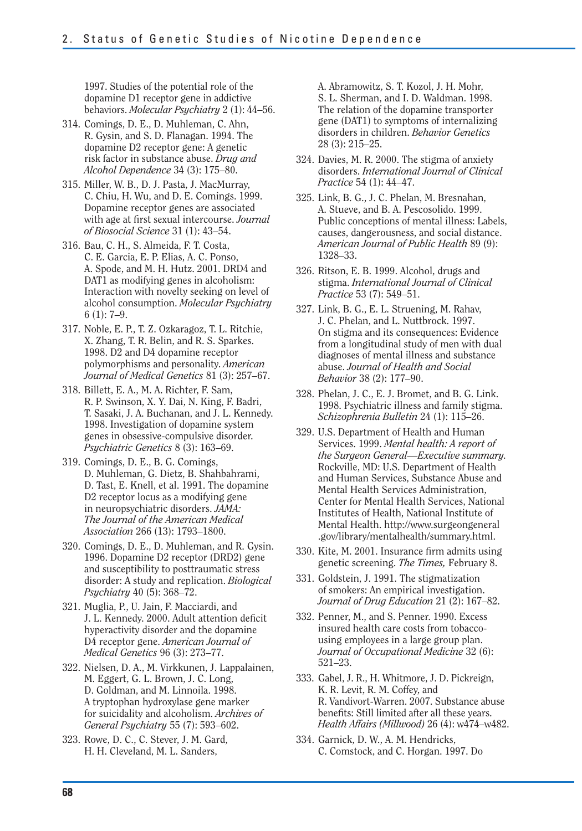1997. Studies of the potential role of the dopamine D1 receptor gene in addictive behaviors. *Molecular Psychiatry* 2 (1): 44–56.

- 314. Comings, D. E., D. Muhleman, C. Ahn, R. Gysin, and S. D. Flanagan. 1994. The dopamine D2 receptor gene: A genetic risk factor in substance abuse. *Drug and Alcohol Dependence* 34 (3): 175–80.
- 315. Miller, W. B., D. J. Pasta, J. MacMurray, C. Chiu, H. Wu, and D. E. Comings. 1999. Dopamine receptor genes are associated with age at first sexual intercourse. *Journal of Biosocial Science* 31 (1): 43–54.
- 316. Bau, C. H., S. Almeida, F. T. Costa, C. E. Garcia, E. P. Elias, A. C. Ponso, A. Spode, and M. H. Hutz. 2001. DRD4 and DAT1 as modifying genes in alcoholism: Interaction with novelty seeking on level of alcohol consumption. *Molecular Psychiatry*  6 (1): 7–9.
- 317. Noble, E. P., T. Z. Ozkaragoz, T. L. Ritchie, X. Zhang, T. R. Belin, and R. S. Sparkes. 1998. D2 and D4 dopamine receptor polymorphisms and personality. *American Journal of Medical Genetics* 81 (3): 257–67.
- 318. Billett, E. A., M. A. Richter, F. Sam, R. P. Swinson, X. Y. Dai, N. King, F. Badri, T. Sasaki, J. A. Buchanan, and J. L. Kennedy. 1998. Investigation of dopamine system genes in obsessive-compulsive disorder. *Psychiatric Genetics* 8 (3): 163–69.
- 319. Comings, D. E., B. G. Comings, D. Muhleman, G. Dietz, B. Shahbahrami, D. Tast, E. Knell, et al. 1991. The dopamine D2 receptor locus as a modifying gene in neuropsychiatric disorders. *JAMA: The Journal of the American Medical Association* 266 (13): 1793–1800.
- 320. Comings, D. E., D. Muhleman, and R. Gysin. 1996. Dopamine D2 receptor (DRD2) gene and susceptibility to posttraumatic stress disorder: A study and replication. *Biological Psychiatry* 40 (5): 368–72.
- 321. Muglia, P., U. Jain, F. Macciardi, and J. L. Kennedy. 2000. Adult attention deficit hyperactivity disorder and the dopamine D4 receptor gene. *American Journal of Medical Genetics* 96 (3): 273–77.
- 322. Nielsen, D. A., M. Virkkunen, J. Lappalainen, M. Eggert, G. L. Brown, J. C. Long, D. Goldman, and M. Linnoila. 1998. A tryptophan hydroxylase gene marker for suicidality and alcoholism. *Archives of General Psychiatry* 55 (7): 593–602.
- 323. Rowe, D. C., C. Stever, J. M. Gard, H. H. Cleveland, M. L. Sanders,

A. Abramowitz, S. T. Kozol, J. H. Mohr, S. L. Sherman, and I. D. Waldman. 1998. The relation of the dopamine transporter gene (DAT1) to symptoms of internalizing disorders in children. *Behavior Genetics*  28 (3): 215–25.

- 324. Davies, M. R. 2000. The stigma of anxiety disorders. *International Journal of Clinical Practice* 54 (1): 44–47.
- 325. Link, B. G., J. C. Phelan, M. Bresnahan, A. Stueve, and B. A. Pescosolido. 1999. Public conceptions of mental illness: Labels, causes, dangerousness, and social distance. *American Journal of Public Health* 89 (9): 1328–33.
- 326. Ritson, E. B. 1999. Alcohol, drugs and stigma. *International Journal of Clinical Practice* 53 (7): 549–51.
- 327. Link, B. G., E. L. Struening, M. Rahav, J. C. Phelan, and L. Nuttbrock. 1997. On stigma and its consequences: Evidence from a longitudinal study of men with dual diagnoses of mental illness and substance abuse. *Journal of Health and Social Behavior* 38 (2): 177–90.
- 328. Phelan, J. C., E. J. Bromet, and B. G. Link. 1998. Psychiatric illness and family stigma. *Schizophrenia Bulletin* 24 (1): 115–26.
- 329. U.S. Department of Health and Human Services. 1999. *Mental health: A report of the Surgeon General—Executive summary.*  Rockville, MD: U.S. Department of Health and Human Services, Substance Abuse and Mental Health Services Administration, Center for Mental Health Services, National Institutes of Health, National Institute of Mental Health. http://www.surgeongeneral .gov/library/mentalhealth/summary.html.
- 330. Kite, M. 2001. Insurance firm admits using genetic screening. *The Times,* February 8.
- 331. Goldstein, J. 1991. The stigmatization of smokers: An empirical investigation. *Journal of Drug Education* 21 (2): 167–82.
- 332. Penner, M., and S. Penner. 1990. Excess insured health care costs from tobaccousing employees in a large group plan. *Journal of Occupational Medicine* 32 (6): 521–23.
- 333. Gabel, J. R., H. Whitmore, J. D. Pickreign, K. R. Levit, R. M. Coffey, and R. Vandivort-Warren. 2007. Substance abuse benefits: Still limited after all these years. *Health Affairs (Millwood)* 26 (4): w474–w482.
- 334. Garnick, D. W., A. M. Hendricks, C. Comstock, and C. Horgan. 1997. Do